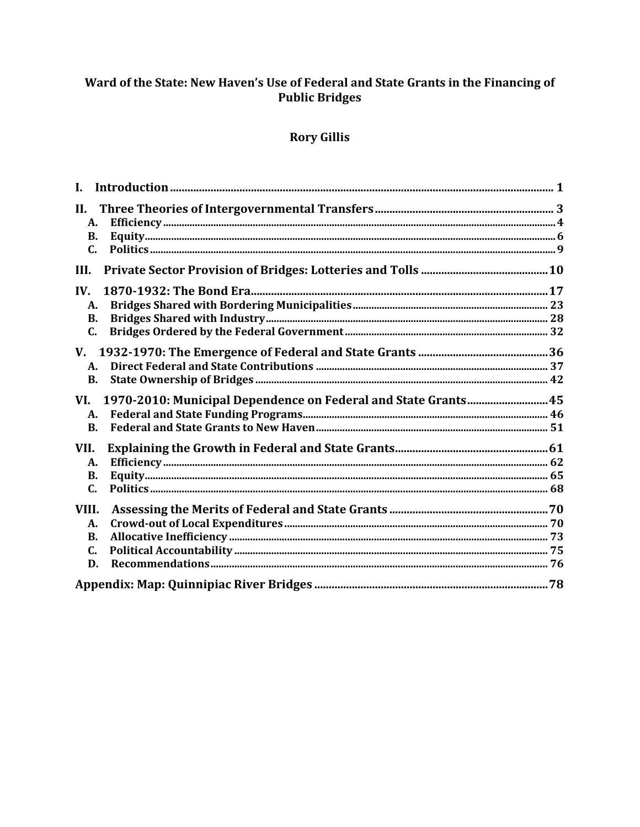# Ward of the State: New Haven's Use of Federal and State Grants in the Financing of **Public Bridges**

# **Rory Gillis**

| I.                                                                    |  |
|-----------------------------------------------------------------------|--|
| II.                                                                   |  |
| А.                                                                    |  |
| <b>B.</b>                                                             |  |
| C.                                                                    |  |
| III.                                                                  |  |
| IV.                                                                   |  |
| А.                                                                    |  |
| В.                                                                    |  |
| C.                                                                    |  |
| V.                                                                    |  |
| A.                                                                    |  |
| <b>B.</b>                                                             |  |
| 1970-2010: Municipal Dependence on Federal and State Grants 45<br>VI. |  |
| A.                                                                    |  |
| $\mathbf{B}$ .                                                        |  |
| VII.                                                                  |  |
| A.                                                                    |  |
| <b>B.</b>                                                             |  |
| C.                                                                    |  |
| VIII.                                                                 |  |
| А.                                                                    |  |
| В.                                                                    |  |
| C.                                                                    |  |
| D.                                                                    |  |
|                                                                       |  |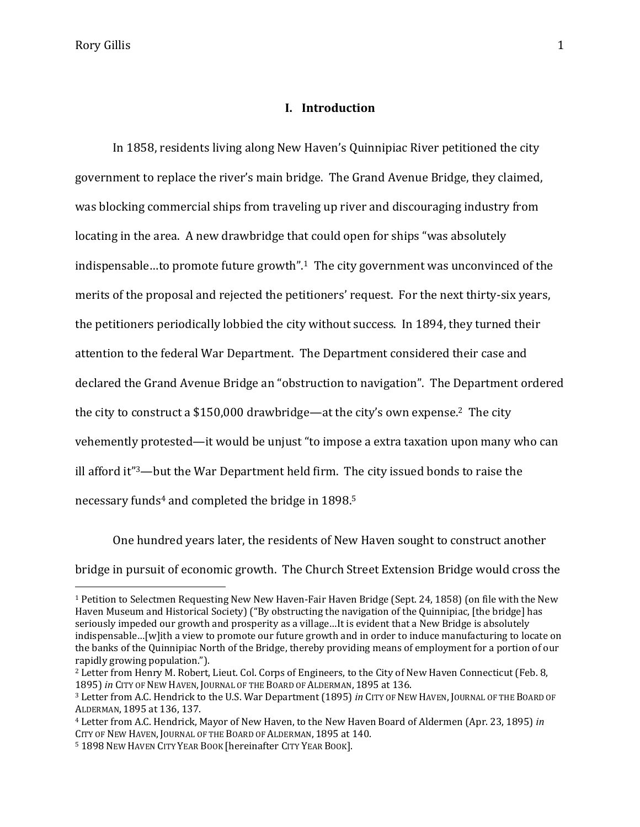$\overline{a}$ 

#### **I. Introduction**

In 1858, residents living along New Haven's Quinnipiac River petitioned the city government to replace the river's main bridge. The Grand Avenue Bridge, they claimed, was blocking commercial ships from traveling up river and discouraging industry from locating in the area. A new drawbridge that could open for ships "was absolutely indispensable…to promote future growth".1 The city government was unconvinced of the merits of the proposal and rejected the petitioners' request. For the next thirty-six years, the petitioners periodically lobbied the city without success. In 1894, they turned their attention to the federal War Department. The Department considered their case and declared the Grand Avenue Bridge an "obstruction to navigation". The Department ordered the city to construct a \$150,000 drawbridge—at the city's own expense.2 The city vehemently protested—it would be unjust "to impose a extra taxation upon many who can ill afford it"3—but the War Department held firm. The city issued bonds to raise the necessary funds<sup>4</sup> and completed the bridge in 1898.<sup>5</sup>

One hundred years later, the residents of New Haven sought to construct another bridge in pursuit of economic growth. The Church Street Extension Bridge would cross the

<sup>1</sup> Petition to Selectmen Requesting New New Haven-Fair Haven Bridge (Sept. 24, 1858) (on file with the New Haven Museum and Historical Society) ("By obstructing the navigation of the Quinnipiac, [the bridge] has seriously impeded our growth and prosperity as a village…It is evident that a New Bridge is absolutely indispensable…[w]ith a view to promote our future growth and in order to induce manufacturing to locate on the banks of the Quinnipiac North of the Bridge, thereby providing means of employment for a portion of our rapidly growing population.").

<sup>2</sup> Letter from Henry M. Robert, Lieut. Col. Corps of Engineers, to the City of New Haven Connecticut (Feb. 8, 1895) *in* CITY OF NEW HAVEN, JOURNAL OF THE BOARD OF ALDERMAN, 1895 at 136.

<sup>3</sup> Letter from A.C. Hendrick to the U.S. War Department (1895) *in* CITY OF NEW HAVEN, JOURNAL OF THE BOARD OF ALDERMAN, 1895 at 136, 137.

<sup>4</sup> Letter from A.C. Hendrick, Mayor of New Haven, to the New Haven Board of Aldermen (Apr. 23, 1895) *in*  CITY OF NEW HAVEN, JOURNAL OF THE BOARD OF ALDERMAN, 1895 at 140.

<sup>5</sup> 1898 NEW HAVEN CITY YEAR BOOK [hereinafter CITY YEAR BOOK].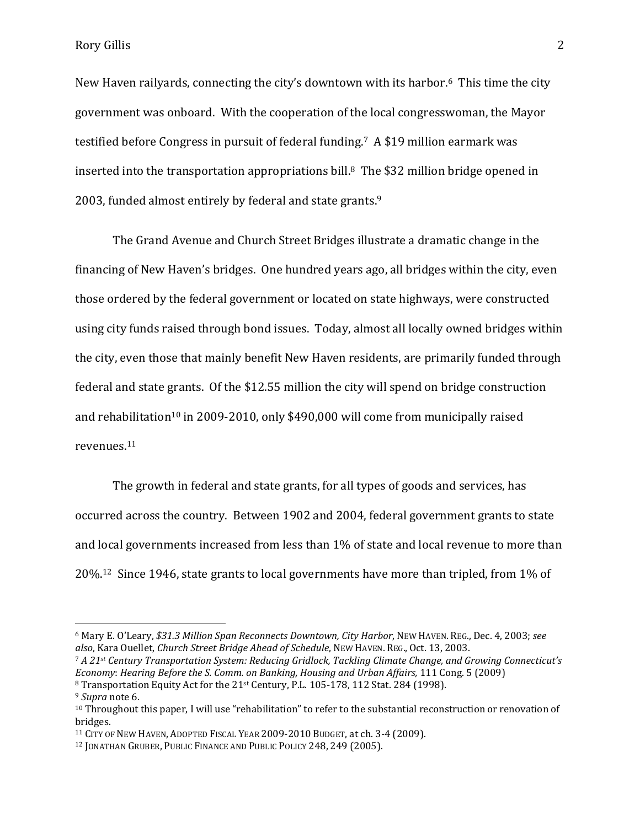New Haven railyards, connecting the city's downtown with its harbor.6 This time the city government was onboard. With the cooperation of the local congresswoman, the Mayor testified before Congress in pursuit of federal funding.7 A \$19 million earmark was inserted into the transportation appropriations bill.8 The \$32 million bridge opened in 2003, funded almost entirely by federal and state grants.<sup>9</sup>

The Grand Avenue and Church Street Bridges illustrate a dramatic change in the financing of New Haven's bridges. One hundred years ago, all bridges within the city, even those ordered by the federal government or located on state highways, were constructed using city funds raised through bond issues. Today, almost all locally owned bridges within the city, even those that mainly benefit New Haven residents, are primarily funded through federal and state grants. Of the \$12.55 million the city will spend on bridge construction and rehabilitation<sup>10</sup> in 2009-2010, only \$490,000 will come from municipally raised revenues.<sup>11</sup>

The growth in federal and state grants, for all types of goods and services, has occurred across the country. Between 1902 and 2004, federal government grants to state and local governments increased from less than 1% of state and local revenue to more than 20%.12 Since 1946, state grants to local governments have more than tripled, from 1% of

<sup>6</sup> Mary E. O'Leary, *\$31.3 Million Span Reconnects Downtown, City Harbor*, NEW HAVEN. REG., Dec. 4, 2003; *see also*, Kara Ouellet, *Church Street Bridge Ahead of Schedule*, NEW HAVEN. REG., Oct. 13, 2003.

<sup>7</sup> *A 21st Century Transportation System: Reducing Gridlock, Tackling Climate Change, and Growing Connecticut's Economy*: *Hearing Before the S. Comm. on Banking, Housing and Urban Affairs,* 111 Cong. 5 (2009) <sup>8</sup> Transportation Equity Act for the 21st Century, P.L. 105-178, 112 Stat. 284 (1998).

<sup>9</sup> *Supra* note 6.

<sup>10</sup> Throughout this paper, I will use "rehabilitation" to refer to the substantial reconstruction or renovation of bridges.

<sup>11</sup> CITY OF NEW HAVEN, ADOPTED FISCAL YEAR 2009-2010 BUDGET, at ch. 3-4 (2009).

<sup>12</sup> JONATHAN GRUBER, PUBLIC FINANCE AND PUBLIC POLICY 248, 249 (2005).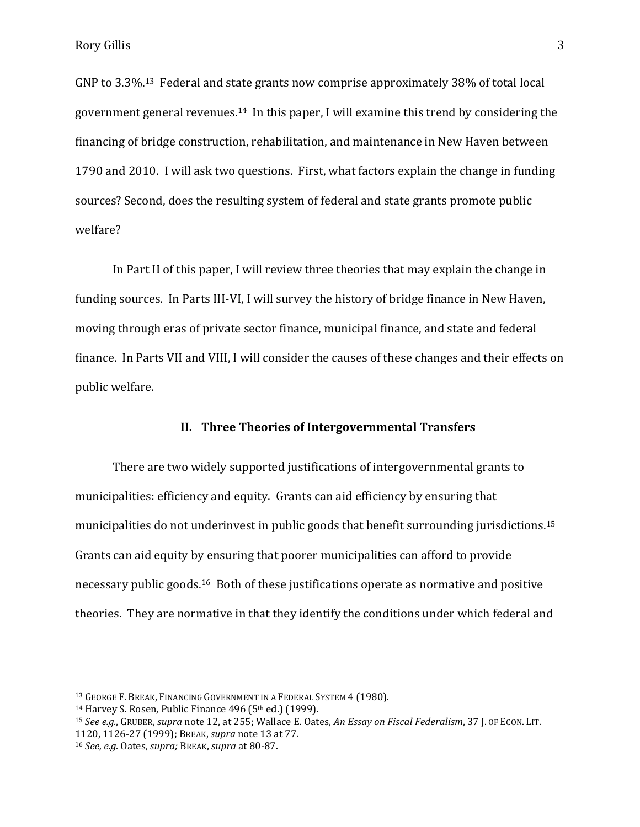GNP to 3.3%.13 Federal and state grants now comprise approximately 38% of total local government general revenues.14 In this paper, I will examine this trend by considering the financing of bridge construction, rehabilitation, and maintenance in New Haven between 1790 and 2010. I will ask two questions. First, what factors explain the change in funding sources? Second, does the resulting system of federal and state grants promote public welfare?

In Part II of this paper, I will review three theories that may explain the change in funding sources. In Parts III-VI, I will survey the history of bridge finance in New Haven, moving through eras of private sector finance, municipal finance, and state and federal finance. In Parts VII and VIII, I will consider the causes of these changes and their effects on public welfare.

## **II. Three Theories of Intergovernmental Transfers**

There are two widely supported justifications of intergovernmental grants to municipalities: efficiency and equity. Grants can aid efficiency by ensuring that municipalities do not underinvest in public goods that benefit surrounding jurisdictions. 15 Grants can aid equity by ensuring that poorer municipalities can afford to provide necessary public goods.16 Both of these justifications operate as normative and positive theories. They are normative in that they identify the conditions under which federal and

l

<sup>&</sup>lt;sup>13</sup> GEORGE F. BREAK, FINANCING GOVERNMENT IN A FEDERAL SYSTEM 4 (1980).

<sup>&</sup>lt;sup>14</sup> Harvey S. Rosen, Public Finance 496 (5<sup>th</sup> ed.) (1999).

<sup>15</sup> *See e.g.*, GRUBER, *supra* note 12, at 255; Wallace E. Oates, *An Essay on Fiscal Federalism*, 37 J. OF ECON. LIT. 1120, 1126-27 (1999); BREAK, *supra* note 13 at 77.

<sup>16</sup> *See, e.g.* Oates, *supra;* BREAK, *supra* at 80-87.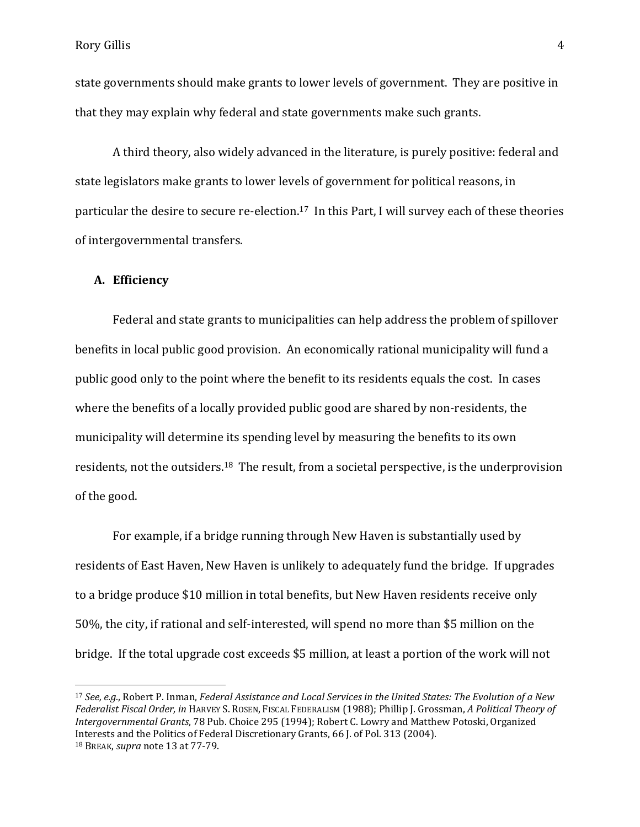state governments should make grants to lower levels of government. They are positive in that they may explain why federal and state governments make such grants.

A third theory, also widely advanced in the literature, is purely positive: federal and state legislators make grants to lower levels of government for political reasons, in particular the desire to secure re-election.17 In this Part, I will survey each of these theories of intergovernmental transfers.

### **A. Efficiency**

l

Federal and state grants to municipalities can help address the problem of spillover benefits in local public good provision. An economically rational municipality will fund a public good only to the point where the benefit to its residents equals the cost. In cases where the benefits of a locally provided public good are shared by non-residents, the municipality will determine its spending level by measuring the benefits to its own residents, not the outsiders.<sup>18</sup> The result, from a societal perspective, is the underprovision of the good.

For example, if a bridge running through New Haven is substantially used by residents of East Haven, New Haven is unlikely to adequately fund the bridge. If upgrades to a bridge produce \$10 million in total benefits, but New Haven residents receive only 50%, the city, if rational and self-interested, will spend no more than \$5 million on the bridge. If the total upgrade cost exceeds \$5 million, at least a portion of the work will not

<sup>17</sup> *See, e.g.*, Robert P. Inman, *Federal Assistance and Local Services in the United States: The Evolution of a New Federalist Fiscal Order, in* HARVEY S. ROSEN, FISCAL FEDERALISM (1988); Phillip J. Grossman, *A Political Theory of Intergovernmental Grants*, 78 Pub. Choice 295 (1994); Robert C. Lowry and Matthew Potoski, Organized Interests and the Politics of Federal Discretionary Grants, 66 J. of Pol. 313 (2004). <sup>18</sup> BREAK, *supra* note 13 at 77-79.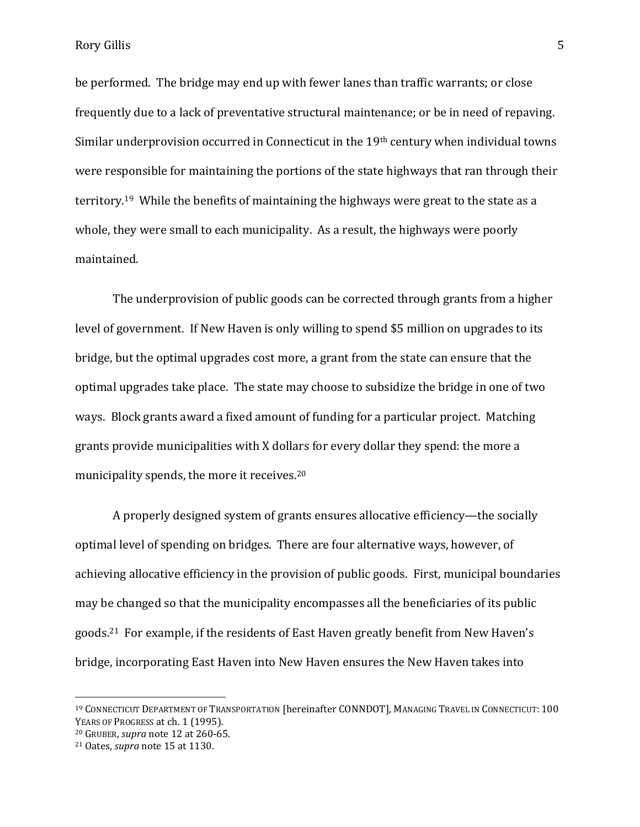be performed. The bridge may end up with fewer lanes than traffic warrants; or close frequently due to a lack of preventative structural maintenance; or be in need of repaving. Similar underprovision occurred in Connecticut in the 19th century when individual towns were responsible for maintaining the portions of the state highways that ran through their territory.19 While the benefits of maintaining the highways were great to the state as a whole, they were small to each municipality. As a result, the highways were poorly maintained.

The underprovision of public goods can be corrected through grants from a higher level of government. If New Haven is only willing to spend \$5 million on upgrades to its bridge, but the optimal upgrades cost more, a grant from the state can ensure that the optimal upgrades take place. The state may choose to subsidize the bridge in one of two ways. Block grants award a fixed amount of funding for a particular project. Matching grants provide municipalities with X dollars for every dollar they spend: the more a municipality spends, the more it receives.<sup>20</sup>

A properly designed system of grants ensures allocative efficiency—the socially optimal level of spending on bridges. There are four alternative ways, however, of achieving allocative efficiency in the provision of public goods. First, municipal boundaries may be changed so that the municipality encompasses all the beneficiaries of its public goods. <sup>21</sup> For example, if the residents of East Haven greatly benefit from New Haven's bridge, incorporating East Haven into New Haven ensures the New Haven takes into

<sup>19</sup> CONNECTICUT DEPARTMENT OF TRANSPORTATION [hereinafter CONNDOT], MANAGING TRAVEL IN CONNECTICUT: 100 YEARS OF PROGRESS at ch. 1 (1995).

<sup>20</sup> GRUBER, *supra* note 12 at 260-65.

<sup>21</sup> Oates, *supra* note 15 at 1130.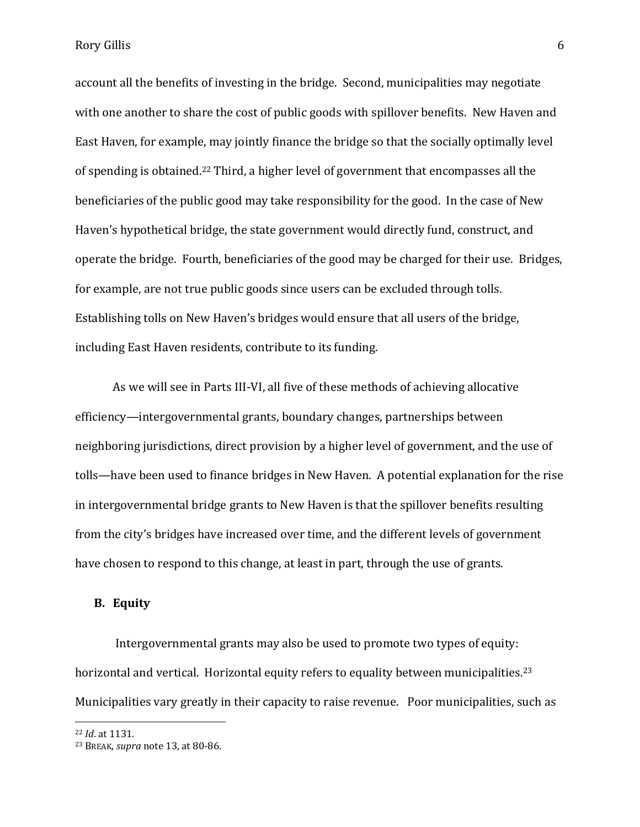account all the benefits of investing in the bridge. Second, municipalities may negotiate with one another to share the cost of public goods with spillover benefits. New Haven and East Haven, for example, may jointly finance the bridge so that the socially optimally level of spending is obtained.<sup>22</sup> Third, a higher level of government that encompasses all the beneficiaries of the public good may take responsibility for the good. In the case of New Haven's hypothetical bridge, the state government would directly fund, construct, and operate the bridge. Fourth, beneficiaries of the good may be charged for their use. Bridges, for example, are not true public goods since users can be excluded through tolls. Establishing tolls on New Haven's bridges would ensure that all users of the bridge, including East Haven residents, contribute to its funding.

As we will see in Parts III-VI, all five of these methods of achieving allocative efficiency—intergovernmental grants, boundary changes, partnerships between neighboring jurisdictions, direct provision by a higher level of government, and the use of tolls—have been used to finance bridges in New Haven. A potential explanation for the rise in intergovernmental bridge grants to New Haven is that the spillover benefits resulting from the city's bridges have increased over time, and the different levels of government have chosen to respond to this change, at least in part, through the use of grants.

# **B. Equity**

Intergovernmental grants may also be used to promote two types of equity: horizontal and vertical. Horizontal equity refers to equality between municipalities.<sup>23</sup> Municipalities vary greatly in their capacity to raise revenue. Poor municipalities, such as

<sup>22</sup> *Id*. at 1131.

<sup>23</sup> BREAK, *supra* note 13, at 80-86.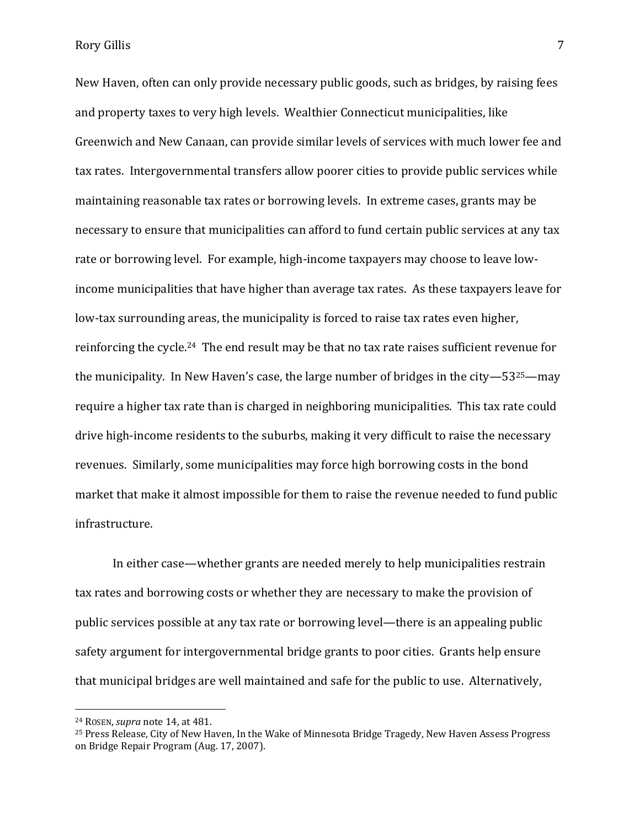New Haven, often can only provide necessary public goods, such as bridges, by raising fees and property taxes to very high levels. Wealthier Connecticut municipalities, like Greenwich and New Canaan, can provide similar levels of services with much lower fee and tax rates. Intergovernmental transfers allow poorer cities to provide public services while maintaining reasonable tax rates or borrowing levels. In extreme cases, grants may be necessary to ensure that municipalities can afford to fund certain public services at any tax rate or borrowing level. For example, high-income taxpayers may choose to leave lowincome municipalities that have higher than average tax rates. As these taxpayers leave for low-tax surrounding areas, the municipality is forced to raise tax rates even higher, reinforcing the cycle.24 The end result may be that no tax rate raises sufficient revenue for the municipality. In New Haven's case, the large number of bridges in the city—5325—may require a higher tax rate than is charged in neighboring municipalities. This tax rate could drive high-income residents to the suburbs, making it very difficult to raise the necessary revenues. Similarly, some municipalities may force high borrowing costs in the bond market that make it almost impossible for them to raise the revenue needed to fund public infrastructure.

In either case—whether grants are needed merely to help municipalities restrain tax rates and borrowing costs or whether they are necessary to make the provision of public services possible at any tax rate or borrowing level—there is an appealing public safety argument for intergovernmental bridge grants to poor cities. Grants help ensure that municipal bridges are well maintained and safe for the public to use. Alternatively,

<sup>24</sup> ROSEN, *supra* note 14, at 481.

<sup>25</sup> Press Release, City of New Haven, In the Wake of Minnesota Bridge Tragedy, New Haven Assess Progress on Bridge Repair Program (Aug. 17, 2007).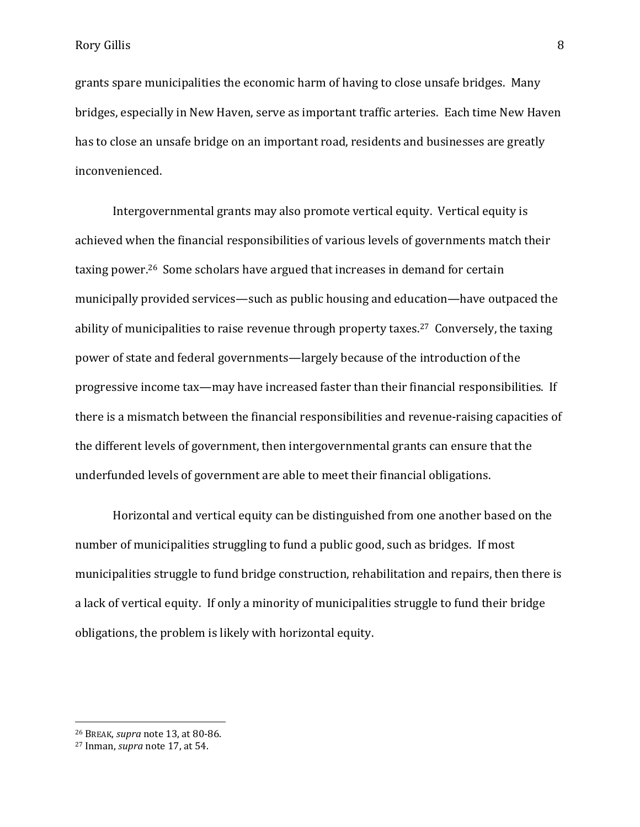grants spare municipalities the economic harm of having to close unsafe bridges. Many bridges, especially in New Haven, serve as important traffic arteries. Each time New Haven has to close an unsafe bridge on an important road, residents and businesses are greatly inconvenienced.

Intergovernmental grants may also promote vertical equity. Vertical equity is achieved when the financial responsibilities of various levels of governments match their taxing power.26 Some scholars have argued that increases in demand for certain municipally provided services—such as public housing and education—have outpaced the ability of municipalities to raise revenue through property taxes.<sup>27</sup> Conversely, the taxing power of state and federal governments—largely because of the introduction of the progressive income tax—may have increased faster than their financial responsibilities. If there is a mismatch between the financial responsibilities and revenue-raising capacities of the different levels of government, then intergovernmental grants can ensure that the underfunded levels of government are able to meet their financial obligations.

Horizontal and vertical equity can be distinguished from one another based on the number of municipalities struggling to fund a public good, such as bridges. If most municipalities struggle to fund bridge construction, rehabilitation and repairs, then there is a lack of vertical equity. If only a minority of municipalities struggle to fund their bridge obligations, the problem is likely with horizontal equity.

<sup>26</sup> BREAK, *supra* note 13, at 80-86.

<sup>27</sup> Inman, *supra* note 17, at 54.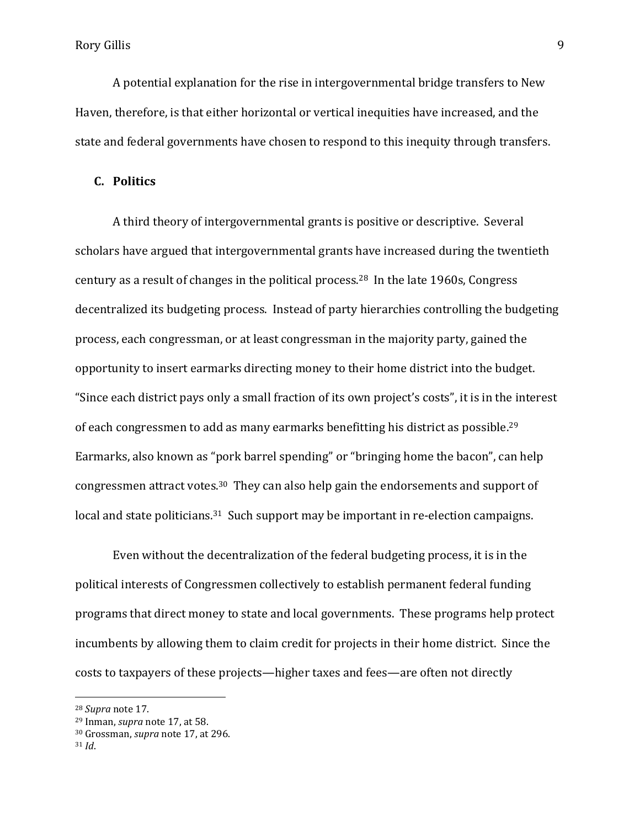A potential explanation for the rise in intergovernmental bridge transfers to New Haven, therefore, is that either horizontal or vertical inequities have increased, and the state and federal governments have chosen to respond to this inequity through transfers.

#### **C. Politics**

A third theory of intergovernmental grants is positive or descriptive. Several scholars have argued that intergovernmental grants have increased during the twentieth century as a result of changes in the political process.28 In the late 1960s, Congress decentralized its budgeting process. Instead of party hierarchies controlling the budgeting process, each congressman, or at least congressman in the majority party, gained the opportunity to insert earmarks directing money to their home district into the budget. "Since each district pays only a small fraction of its own project's costs", it is in the interest of each congressmen to add as many earmarks benefitting his district as possible.<sup>29</sup> Earmarks, also known as "pork barrel spending" or "bringing home the bacon", can help congressmen attract votes.30 They can also help gain the endorsements and support of local and state politicians.<sup>31</sup> Such support may be important in re-election campaigns.

Even without the decentralization of the federal budgeting process, it is in the political interests of Congressmen collectively to establish permanent federal funding programs that direct money to state and local governments. These programs help protect incumbents by allowing them to claim credit for projects in their home district. Since the costs to taxpayers of these projects—higher taxes and fees—are often not directly

<sup>28</sup> *Supra* note 17.

<sup>29</sup> Inman, *supra* note 17, at 58.

<sup>30</sup> Grossman, *supra* note 17, at 296.

<sup>31</sup> *Id*.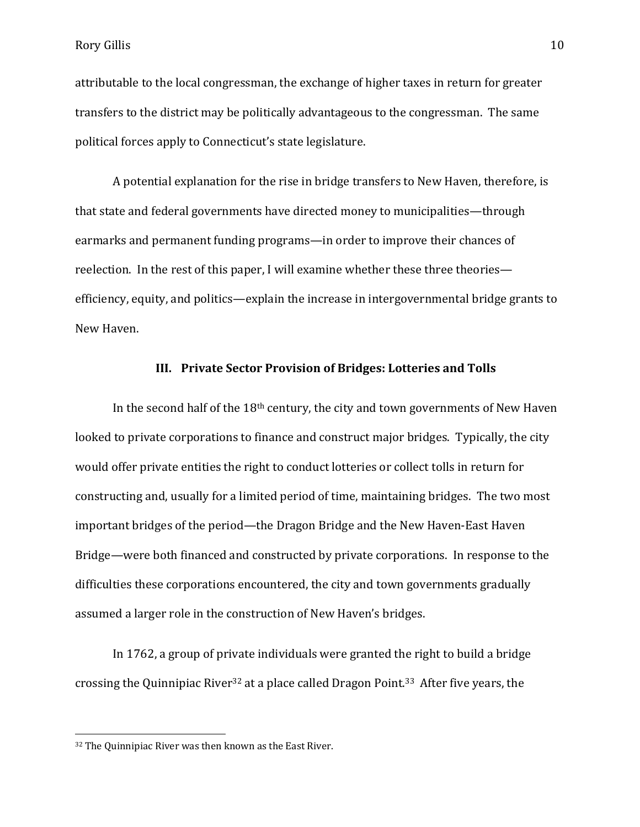attributable to the local congressman, the exchange of higher taxes in return for greater transfers to the district may be politically advantageous to the congressman. The same political forces apply to Connecticut's state legislature.

A potential explanation for the rise in bridge transfers to New Haven, therefore, is that state and federal governments have directed money to municipalities—through earmarks and permanent funding programs—in order to improve their chances of reelection. In the rest of this paper, I will examine whether these three theories efficiency, equity, and politics—explain the increase in intergovernmental bridge grants to New Haven.

#### **III. Private Sector Provision of Bridges: Lotteries and Tolls**

In the second half of the  $18<sup>th</sup>$  century, the city and town governments of New Haven looked to private corporations to finance and construct major bridges. Typically, the city would offer private entities the right to conduct lotteries or collect tolls in return for constructing and, usually for a limited period of time, maintaining bridges. The two most important bridges of the period—the Dragon Bridge and the New Haven-East Haven Bridge—were both financed and constructed by private corporations. In response to the difficulties these corporations encountered, the city and town governments gradually assumed a larger role in the construction of New Haven's bridges.

In 1762, a group of private individuals were granted the right to build a bridge crossing the Quinnipiac River<sup>32</sup> at a place called Dragon Point.33 After five years, the

l

<sup>32</sup> The Quinnipiac River was then known as the East River.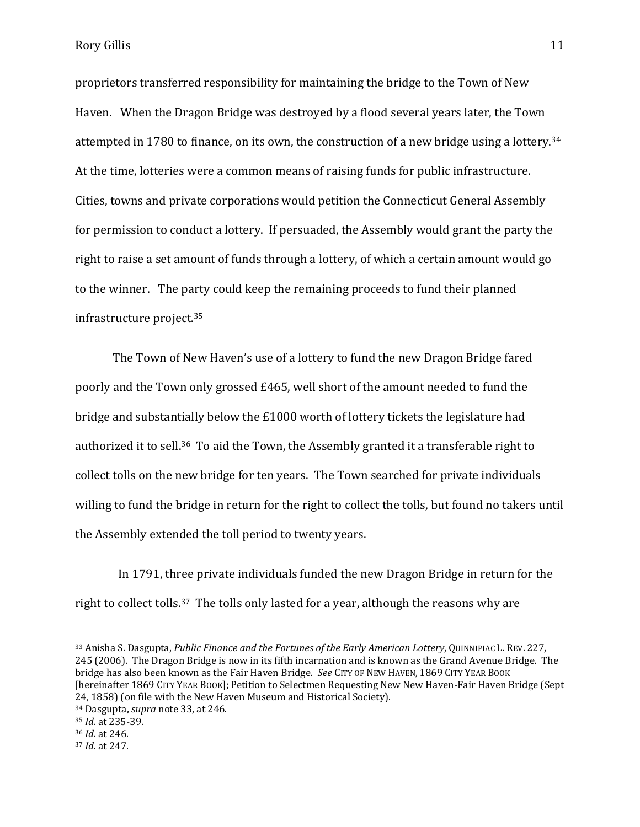Rory Gillis 2012 11

proprietors transferred responsibility for maintaining the bridge to the Town of New Haven. When the Dragon Bridge was destroyed by a flood several years later, the Town attempted in 1780 to finance, on its own, the construction of a new bridge using a lottery.<sup>34</sup> At the time, lotteries were a common means of raising funds for public infrastructure. Cities, towns and private corporations would petition the Connecticut General Assembly for permission to conduct a lottery. If persuaded, the Assembly would grant the party the right to raise a set amount of funds through a lottery, of which a certain amount would go to the winner. The party could keep the remaining proceeds to fund their planned infrastructure project.<sup>35</sup>

The Town of New Haven's use of a lottery to fund the new Dragon Bridge fared poorly and the Town only grossed £465, well short of the amount needed to fund the bridge and substantially below the £1000 worth of lottery tickets the legislature had authorized it to sell.36 To aid the Town, the Assembly granted it a transferable right to collect tolls on the new bridge for ten years. The Town searched for private individuals willing to fund the bridge in return for the right to collect the tolls, but found no takers until the Assembly extended the toll period to twenty years.

 In 1791, three private individuals funded the new Dragon Bridge in return for the right to collect tolls.<sup>37</sup> The tolls only lasted for a year, although the reasons why are

<sup>33</sup> Anisha S. Dasgupta, *Public Finance and the Fortunes of the Early American Lottery*, QUINNIPIAC L. REV. 227, 245 (2006). The Dragon Bridge is now in its fifth incarnation and is known as the Grand Avenue Bridge. The bridge has also been known as the Fair Haven Bridge. *See* CITY OF NEW HAVEN, 1869 CITY YEAR BOOK [hereinafter 1869 CITY YEAR BOOK]; Petition to Selectmen Requesting New New Haven-Fair Haven Bridge (Sept 24, 1858) (on file with the New Haven Museum and Historical Society).

<sup>34</sup> Dasgupta, *supra* note 33, at 246.

<sup>35</sup> *Id.* at 235-39.

<sup>36</sup> *Id*. at 246.

<sup>37</sup> *Id*. at 247.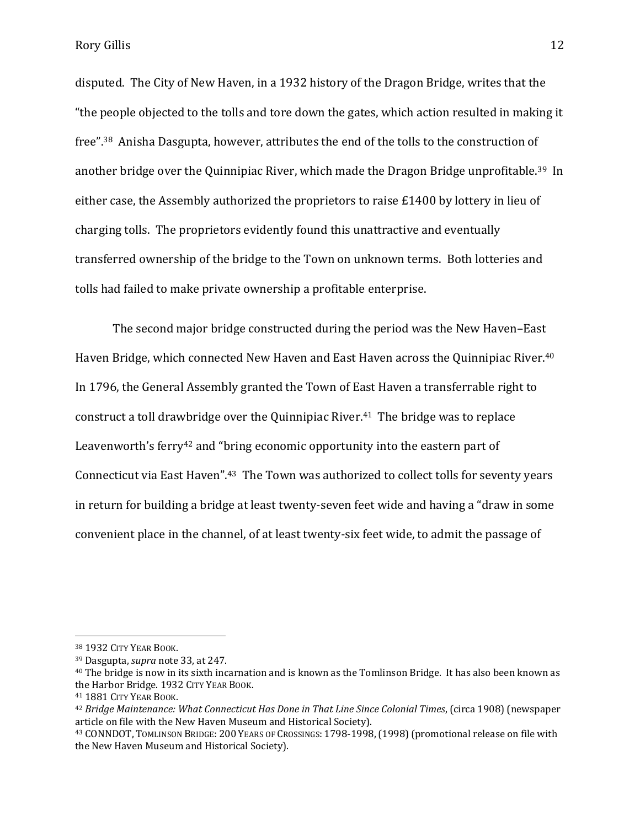Rory Gillis 2012 12

disputed. The City of New Haven, in a 1932 history of the Dragon Bridge, writes that the "the people objected to the tolls and tore down the gates, which action resulted in making it free".38 Anisha Dasgupta, however, attributes the end of the tolls to the construction of another bridge over the Quinnipiac River, which made the Dragon Bridge unprofitable.39 In either case, the Assembly authorized the proprietors to raise £1400 by lottery in lieu of charging tolls. The proprietors evidently found this unattractive and eventually transferred ownership of the bridge to the Town on unknown terms. Both lotteries and tolls had failed to make private ownership a profitable enterprise.

The second major bridge constructed during the period was the New Haven–East Haven Bridge, which connected New Haven and East Haven across the Quinnipiac River.<sup>40</sup> In 1796, the General Assembly granted the Town of East Haven a transferrable right to construct a toll drawbridge over the Quinnipiac River. <sup>41</sup> The bridge was to replace Leavenworth's ferry<sup>42</sup> and "bring economic opportunity into the eastern part of Connecticut via East Haven".43 The Town was authorized to collect tolls for seventy years in return for building a bridge at least twenty-seven feet wide and having a "draw in some convenient place in the channel, of at least twenty-six feet wide, to admit the passage of

<sup>38</sup> 1932 CITY YEAR BOOK.

<sup>39</sup> Dasgupta, *supra* note 33, at 247.

<sup>40</sup> The bridge is now in its sixth incarnation and is known as the Tomlinson Bridge. It has also been known as the Harbor Bridge. 1932 CITY YEAR BOOK.

<sup>41</sup> 1881 CITY YEAR BOOK.

<sup>42</sup> *Bridge Maintenance: What Connecticut Has Done in That Line Since Colonial Times*, (circa 1908) (newspaper article on file with the New Haven Museum and Historical Society).

<sup>43</sup> CONNDOT, TOMLINSON BRIDGE: 200 YEARS OF CROSSINGS: 1798-1998,(1998)(promotional release on file with the New Haven Museum and Historical Society).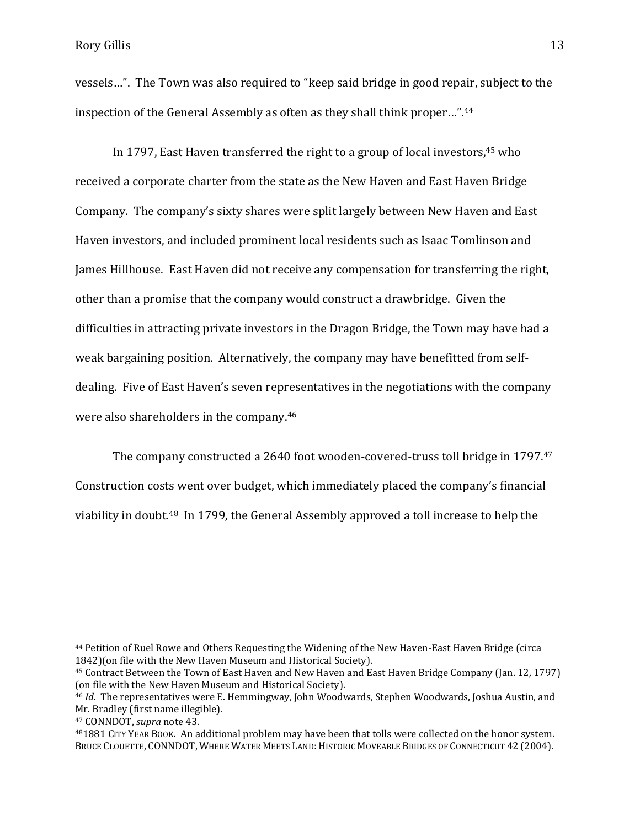vessels…". The Town was also required to "keep said bridge in good repair, subject to the inspection of the General Assembly as often as they shall think proper…". 44

In 1797, East Haven transferred the right to a group of local investors, $45$  who received a corporate charter from the state as the New Haven and East Haven Bridge Company. The company's sixty shares were split largely between New Haven and East Haven investors, and included prominent local residents such as Isaac Tomlinson and James Hillhouse. East Haven did not receive any compensation for transferring the right, other than a promise that the company would construct a drawbridge. Given the difficulties in attracting private investors in the Dragon Bridge, the Town may have had a weak bargaining position. Alternatively, the company may have benefitted from selfdealing. Five of East Haven's seven representatives in the negotiations with the company were also shareholders in the company.<sup>46</sup>

The company constructed a 2640 foot wooden-covered-truss toll bridge in 1797. 47 Construction costs went over budget, which immediately placed the company's financial viability in doubt. <sup>48</sup> In 1799, the General Assembly approved a toll increase to help the

<sup>44</sup> Petition of Ruel Rowe and Others Requesting the Widening of the New Haven-East Haven Bridge (circa 1842)(on file with the New Haven Museum and Historical Society).

<sup>45</sup> Contract Between the Town of East Haven and New Haven and East Haven Bridge Company (Jan. 12, 1797) (on file with the New Haven Museum and Historical Society).

<sup>46</sup> *Id*. The representatives were E. Hemmingway, John Woodwards, Stephen Woodwards, Joshua Austin, and Mr. Bradley (first name illegible).

<sup>47</sup> CONNDOT, *supra* note 43.

<sup>48</sup>1881 CITY YEAR BOOK. An additional problem may have been that tolls were collected on the honor system. BRUCE CLOUETTE, CONNDOT, WHERE WATER MEETS LAND: HISTORIC MOVEABLE BRIDGES OF CONNECTICUT 42 (2004).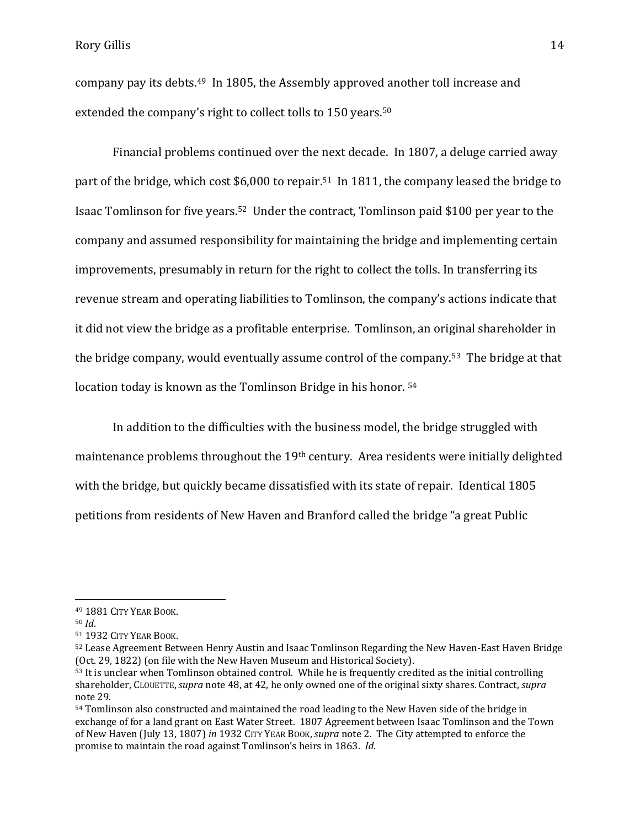company pay its debts.49 In 1805, the Assembly approved another toll increase and extended the company's right to collect tolls to 150 years.<sup>50</sup>

Financial problems continued over the next decade. In 1807, a deluge carried away part of the bridge, which cost \$6,000 to repair.<sup>51</sup> In 1811, the company leased the bridge to Isaac Tomlinson for five years. <sup>52</sup> Under the contract, Tomlinson paid \$100 per year to the company and assumed responsibility for maintaining the bridge and implementing certain improvements, presumably in return for the right to collect the tolls. In transferring its revenue stream and operating liabilities to Tomlinson, the company's actions indicate that it did not view the bridge as a profitable enterprise. Tomlinson, an original shareholder in the bridge company, would eventually assume control of the company.<sup>53</sup> The bridge at that location today is known as the Tomlinson Bridge in his honor. 54

In addition to the difficulties with the business model, the bridge struggled with maintenance problems throughout the 19th century. Area residents were initially delighted with the bridge, but quickly became dissatisfied with its state of repair. Identical 1805 petitions from residents of New Haven and Branford called the bridge "a great Public

l

<sup>49</sup> 1881 CITY YEAR BOOK.

<sup>50</sup> *Id*.

<sup>51</sup> 1932 CITY YEAR BOOK.

<sup>52</sup> Lease Agreement Between Henry Austin and Isaac Tomlinson Regarding the New Haven-East Haven Bridge (Oct. 29, 1822) (on file with the New Haven Museum and Historical Society).

<sup>53</sup> It is unclear when Tomlinson obtained control. While he is frequently credited as the initial controlling shareholder, CLOUETTE,*supra* note 48, at 42, he only owned one of the original sixty shares. Contract, *supra* note 29.

<sup>54</sup> Tomlinson also constructed and maintained the road leading to the New Haven side of the bridge in exchange of for a land grant on East Water Street. 1807 Agreement between Isaac Tomlinson and the Town of New Haven (July 13, 1807) *in* 1932 CITY YEAR BOOK,*supra* note 2. The City attempted to enforce the promise to maintain the road against Tomlinson's heirs in 1863. *Id*.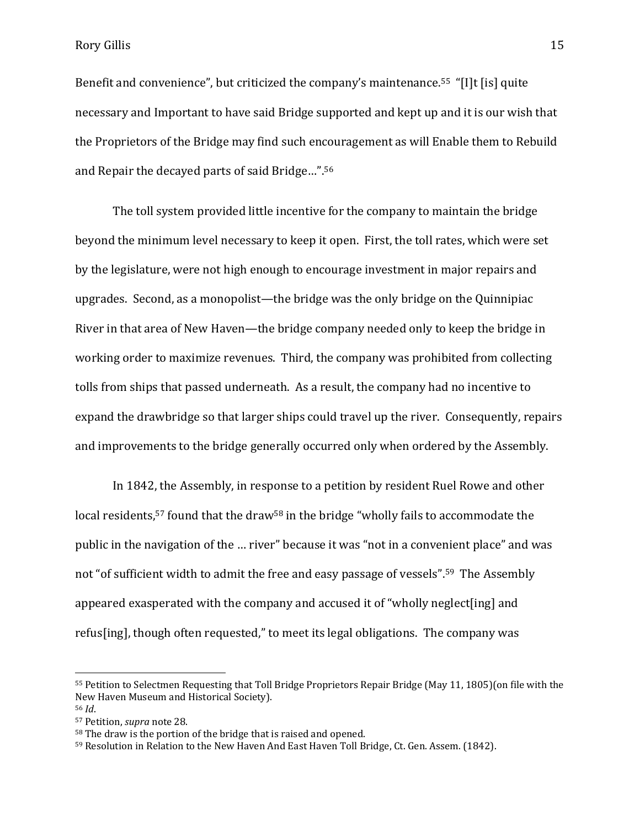Rory Gillis 2018 15

Benefit and convenience", but criticized the company's maintenance.<sup>55</sup> "[I]t [is] quite necessary and Important to have said Bridge supported and kept up and it is our wish that the Proprietors of the Bridge may find such encouragement as will Enable them to Rebuild and Repair the decayed parts of said Bridge…".<sup>56</sup>

The toll system provided little incentive for the company to maintain the bridge beyond the minimum level necessary to keep it open. First, the toll rates, which were set by the legislature, were not high enough to encourage investment in major repairs and upgrades. Second, as a monopolist—the bridge was the only bridge on the Quinnipiac River in that area of New Haven—the bridge company needed only to keep the bridge in working order to maximize revenues. Third, the company was prohibited from collecting tolls from ships that passed underneath. As a result, the company had no incentive to expand the drawbridge so that larger ships could travel up the river. Consequently, repairs and improvements to the bridge generally occurred only when ordered by the Assembly.

In 1842, the Assembly, in response to a petition by resident Ruel Rowe and other local residents,<sup>57</sup> found that the draw<sup>58</sup> in the bridge "wholly fails to accommodate the public in the navigation of the … river" because it was "not in a convenient place" and was not "of sufficient width to admit the free and easy passage of vessels".59 The Assembly appeared exasperated with the company and accused it of "wholly neglect[ing] and refus[ing], though often requested," to meet its legal obligations. The company was

<sup>55</sup> Petition to Selectmen Requesting that Toll Bridge Proprietors Repair Bridge (May 11, 1805)(on file with the New Haven Museum and Historical Society). <sup>56</sup> *Id*.

<sup>57</sup> Petition, *supra* note 28.

<sup>58</sup> The draw is the portion of the bridge that is raised and opened.

<sup>59</sup> Resolution in Relation to the New Haven And East Haven Toll Bridge, Ct. Gen. Assem. (1842).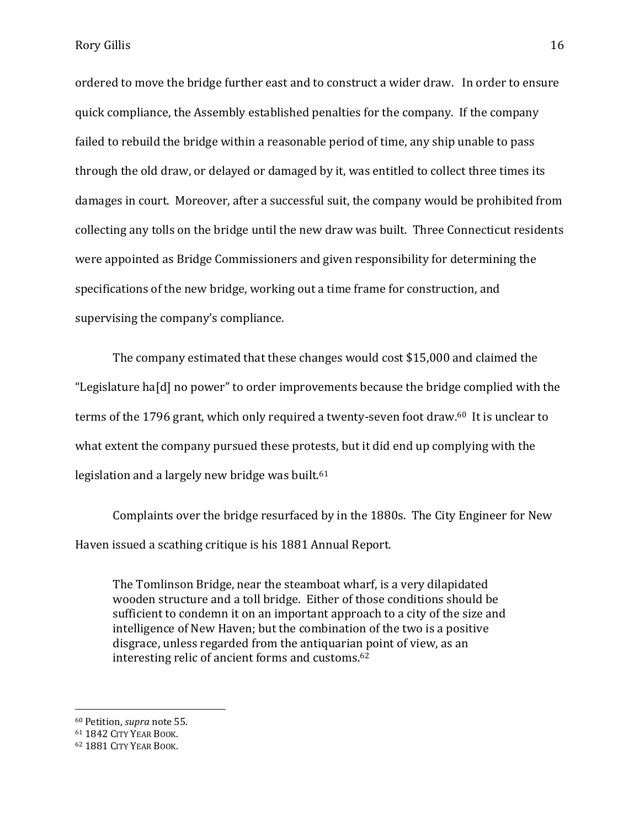ordered to move the bridge further east and to construct a wider draw. In order to ensure quick compliance, the Assembly established penalties for the company. If the company failed to rebuild the bridge within a reasonable period of time, any ship unable to pass through the old draw, or delayed or damaged by it, was entitled to collect three times its damages in court. Moreover, after a successful suit, the company would be prohibited from collecting any tolls on the bridge until the new draw was built. Three Connecticut residents were appointed as Bridge Commissioners and given responsibility for determining the specifications of the new bridge, working out a time frame for construction, and supervising the company's compliance.

The company estimated that these changes would cost \$15,000 and claimed the "Legislature ha[d] no power" to order improvements because the bridge complied with the terms of the 1796 grant, which only required a twenty-seven foot draw.<sup>60</sup> It is unclear to what extent the company pursued these protests, but it did end up complying with the legislation and a largely new bridge was built.<sup>61</sup>

Complaints over the bridge resurfaced by in the 1880s. The City Engineer for New Haven issued a scathing critique is his 1881 Annual Report.

The Tomlinson Bridge, near the steamboat wharf, is a very dilapidated wooden structure and a toll bridge. Either of those conditions should be sufficient to condemn it on an important approach to a city of the size and intelligence of New Haven; but the combination of the two is a positive disgrace, unless regarded from the antiquarian point of view, as an interesting relic of ancient forms and customs.<sup>62</sup>

<sup>60</sup> Petition, *supra* note 55.

<sup>61</sup> 1842 CITY YEAR BOOK.

<sup>62</sup> 1881 CITY YEAR BOOK.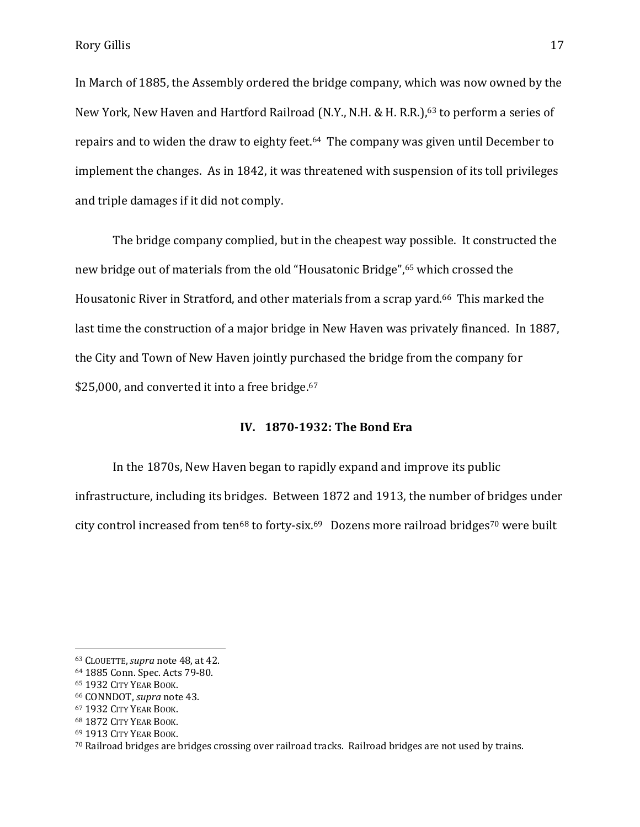Rory Gillis 2012 17

In March of 1885, the Assembly ordered the bridge company, which was now owned by the New York, New Haven and Hartford Railroad (N.Y., N.H. & H. R.R.),<sup>63</sup> to perform a series of repairs and to widen the draw to eighty feet.<sup>64</sup> The company was given until December to implement the changes. As in 1842, it was threatened with suspension of its toll privileges and triple damages if it did not comply.

The bridge company complied, but in the cheapest way possible. It constructed the new bridge out of materials from the old "Housatonic Bridge",<sup>65</sup> which crossed the Housatonic River in Stratford, and other materials from a scrap yard.<sup>66</sup> This marked the last time the construction of a major bridge in New Haven was privately financed. In 1887, the City and Town of New Haven jointly purchased the bridge from the company for \$25,000, and converted it into a free bridge.<sup>67</sup>

### **IV. 1870-1932: The Bond Era**

In the 1870s, New Haven began to rapidly expand and improve its public infrastructure, including its bridges. Between 1872 and 1913, the number of bridges under city control increased from ten<sup>68</sup> to forty-six.<sup>69</sup> Dozens more railroad bridges<sup>70</sup> were built

l

<sup>63</sup> CLOUETTE,*supra* note 48, at 42.

<sup>64</sup> 1885 Conn. Spec. Acts 79-80.

<sup>65</sup> 1932 CITY YEAR BOOK.

<sup>66</sup> CONNDOT, *supra* note 43.

<sup>67</sup> 1932 CITY YEAR BOOK.

<sup>68</sup> 1872 CITY YEAR BOOK.

<sup>69</sup> 1913 CITY YEAR BOOK.

<sup>70</sup> Railroad bridges are bridges crossing over railroad tracks. Railroad bridges are not used by trains.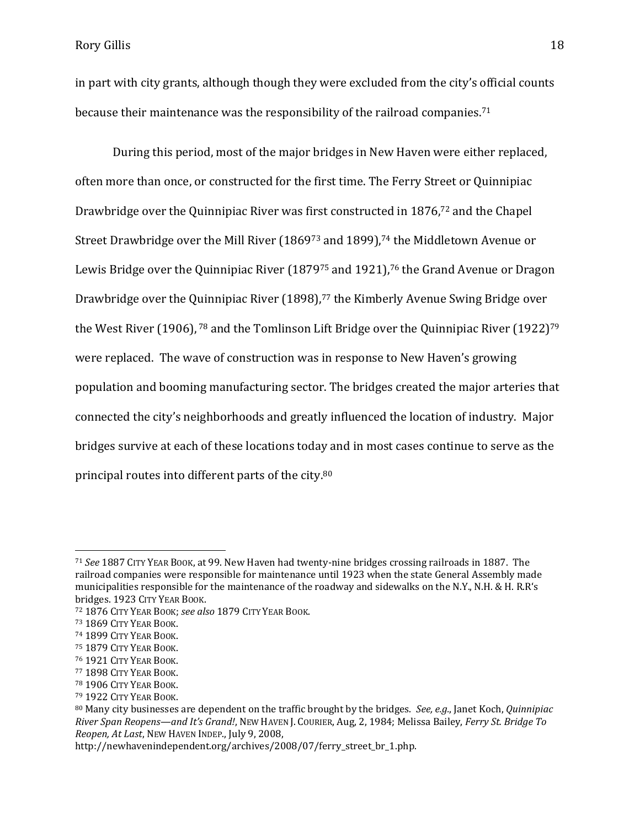in part with city grants, although though they were excluded from the city's official counts because their maintenance was the responsibility of the railroad companies.<sup>71</sup>

During this period, most of the major bridges in New Haven were either replaced, often more than once, or constructed for the first time. The Ferry Street or Quinnipiac Drawbridge over the Quinnipiac River was first constructed in 1876, <sup>72</sup> and the Chapel Street Drawbridge over the Mill River (1869<sup>73</sup> and 1899),<sup>74</sup> the Middletown Avenue or Lewis Bridge over the Quinnipiac River (1879<sup>75</sup> and 1921), <sup>76</sup> the Grand Avenue or Dragon Drawbridge over the Quinnipiac River (1898), <sup>77</sup> the Kimberly Avenue Swing Bridge over the West River (1906), <sup>78</sup> and the Tomlinson Lift Bridge over the Quinnipiac River (1922)<sup>79</sup> were replaced. The wave of construction was in response to New Haven's growing population and booming manufacturing sector. The bridges created the major arteries that connected the city's neighborhoods and greatly influenced the location of industry. Major bridges survive at each of these locations today and in most cases continue to serve as the principal routes into different parts of the city.<sup>80</sup>

<sup>72</sup> 1876 CITY YEAR BOOK; *see also* 1879 CITY YEAR BOOK.

l

<sup>71</sup> *See* 1887 CITY YEAR BOOK, at 99. New Haven had twenty-nine bridges crossing railroads in 1887. The railroad companies were responsible for maintenance until 1923 when the state General Assembly made municipalities responsible for the maintenance of the roadway and sidewalks on the N.Y., N.H. & H. R.R's bridges. 1923 CITY YEAR BOOK.

<sup>73</sup> 1869 CITY YEAR BOOK.

<sup>74</sup> 1899 CITY YEAR BOOK.

<sup>75</sup> 1879 CITY YEAR BOOK.

<sup>76</sup> 1921 CITY YEAR BOOK.

<sup>77</sup> 1898 CITY YEAR BOOK.

<sup>78</sup> 1906 CITY YEAR BOOK.

<sup>79</sup> 1922 CITY YEAR BOOK.

<sup>80</sup> Many city businesses are dependent on the traffic brought by the bridges. *See, e.g.*, Janet Koch, *Quinnipiac River Span Reopens—and It's Grand!*, NEW HAVEN J. COURIER, Aug, 2, 1984; Melissa Bailey, *Ferry St. Bridge To Reopen, At Last*, NEW HAVEN INDEP., July 9, 2008,

http://newhavenindependent.org/archives/2008/07/ferry\_street\_br\_1.php.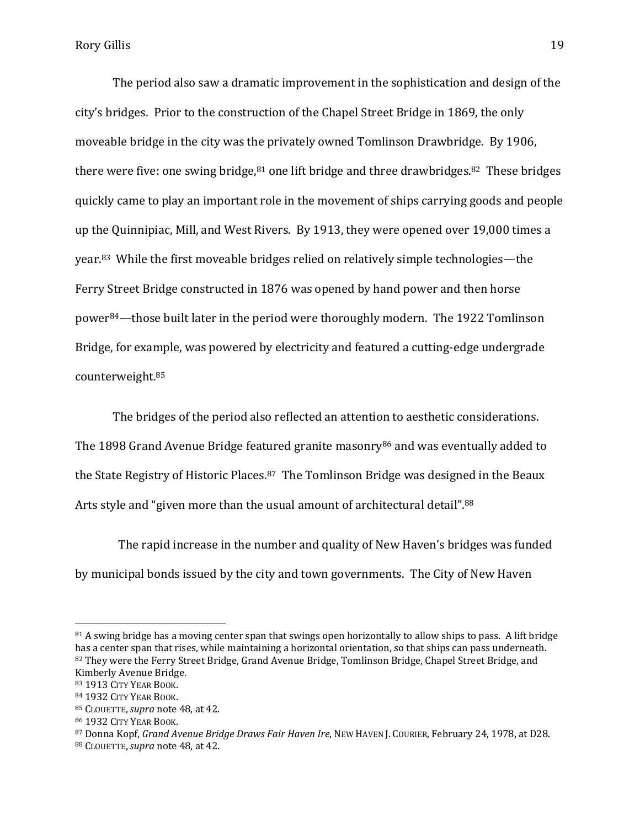The period also saw a dramatic improvement in the sophistication and design of the city's bridges. Prior to the construction of the Chapel Street Bridge in 1869, the only moveable bridge in the city was the privately owned Tomlinson Drawbridge. By 1906, there were five: one swing bridge,<sup>81</sup> one lift bridge and three drawbridges.<sup>82</sup> These bridges quickly came to play an important role in the movement of ships carrying goods and people up the Quinnipiac, Mill, and West Rivers. By 1913, they were opened over 19,000 times a year.83 While the first moveable bridges relied on relatively simple technologies—the Ferry Street Bridge constructed in 1876 was opened by hand power and then horse power84—those built later in the period were thoroughly modern. The 1922 Tomlinson Bridge, for example, was powered by electricity and featured a cutting-edge undergrade counterweight.<sup>85</sup>

The bridges of the period also reflected an attention to aesthetic considerations. The 1898 Grand Avenue Bridge featured granite masonry<sup>86</sup> and was eventually added to the State Registry of Historic Places.87 The Tomlinson Bridge was designed in the Beaux Arts style and "given more than the usual amount of architectural detail".<sup>88</sup>

 The rapid increase in the number and quality of New Haven's bridges was funded by municipal bonds issued by the city and town governments. The City of New Haven

 $81$  A swing bridge has a moving center span that swings open horizontally to allow ships to pass. A lift bridge has a center span that rises, while maintaining a horizontal orientation, so that ships can pass underneath. 82 They were the Ferry Street Bridge, Grand Avenue Bridge, Tomlinson Bridge, Chapel Street Bridge, and Kimberly Avenue Bridge.

<sup>83</sup> 1913 CITY YEAR BOOK.

<sup>84</sup> 1932 CITY YEAR BOOK.

<sup>85</sup> CLOUETTE,*supra* note 48, at 42.

<sup>86</sup> 1932 CITY YEAR BOOK.

<sup>87</sup> Donna Kopf, *Grand Avenue Bridge Draws Fair Haven Ire*, NEW HAVEN J. COURIER, February 24, 1978, at D28. <sup>88</sup> CLOUETTE,*supra* note 48, at 42.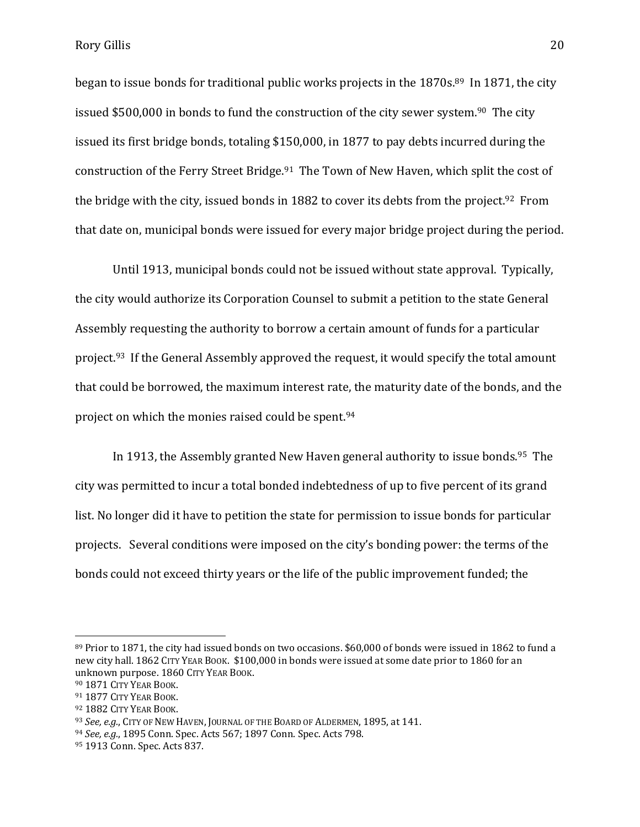began to issue bonds for traditional public works projects in the 1870s.<sup>89</sup> In 1871, the city issued \$500,000 in bonds to fund the construction of the city sewer system.<sup>90</sup> The city issued its first bridge bonds, totaling \$150,000, in 1877 to pay debts incurred during the construction of the Ferry Street Bridge.<sup>91</sup> The Town of New Haven, which split the cost of the bridge with the city, issued bonds in 1882 to cover its debts from the project.<sup>92</sup> From that date on, municipal bonds were issued for every major bridge project during the period.

Until 1913, municipal bonds could not be issued without state approval. Typically, the city would authorize its Corporation Counsel to submit a petition to the state General Assembly requesting the authority to borrow a certain amount of funds for a particular project.93 If the General Assembly approved the request, it would specify the total amount that could be borrowed, the maximum interest rate, the maturity date of the bonds, and the project on which the monies raised could be spent.<sup>94</sup>

In 1913, the Assembly granted New Haven general authority to issue bonds.<sup>95</sup> The city was permitted to incur a total bonded indebtedness of up to five percent of its grand list. No longer did it have to petition the state for permission to issue bonds for particular projects. Several conditions were imposed on the city's bonding power: the terms of the bonds could not exceed thirty years or the life of the public improvement funded; the

<sup>89</sup> Prior to 1871, the city had issued bonds on two occasions. \$60,000 of bonds were issued in 1862 to fund a new city hall. 1862 CITY YEAR BOOK. \$100,000 in bonds were issued at some date prior to 1860 for an unknown purpose. 1860 CITY YEAR BOOK.

<sup>90</sup> 1871 CITY YEAR BOOK.

<sup>91</sup> 1877 CITY YEAR BOOK.

<sup>92</sup> 1882 CITY YEAR BOOK.

<sup>93</sup> *See, e.g.*, CITY OF NEW HAVEN, JOURNAL OF THE BOARD OF ALDERMEN, 1895, at 141.

<sup>94</sup> *See, e.g.*, 1895 Conn. Spec. Acts 567; 1897 Conn. Spec. Acts 798.

<sup>95</sup> 1913 Conn. Spec. Acts 837.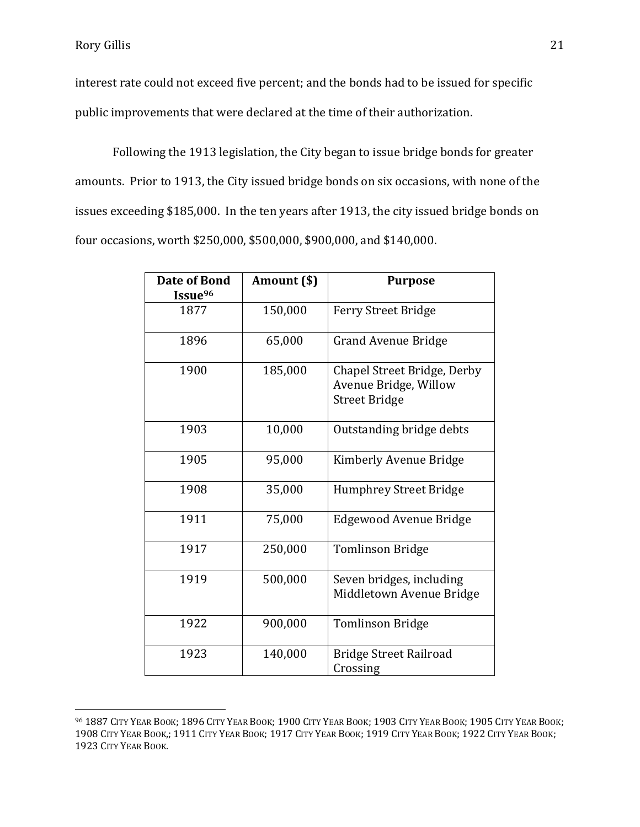$\overline{a}$ 

interest rate could not exceed five percent; and the bonds had to be issued for specific public improvements that were declared at the time of their authorization.

Following the 1913 legislation, the City began to issue bridge bonds for greater amounts. Prior to 1913, the City issued bridge bonds on six occasions, with none of the issues exceeding \$185,000. In the ten years after 1913, the city issued bridge bonds on four occasions, worth \$250,000, \$500,000, \$900,000, and \$140,000.

| Date of Bond<br>Issue <sup>96</sup> | Amount (\$) | <b>Purpose</b>                                                               |
|-------------------------------------|-------------|------------------------------------------------------------------------------|
| 1877                                | 150,000     | <b>Ferry Street Bridge</b>                                                   |
| 1896                                | 65,000      | <b>Grand Avenue Bridge</b>                                                   |
| 1900                                | 185,000     | Chapel Street Bridge, Derby<br>Avenue Bridge, Willow<br><b>Street Bridge</b> |
| 1903                                | 10,000      | Outstanding bridge debts                                                     |
| 1905                                | 95,000      | Kimberly Avenue Bridge                                                       |
| 1908                                | 35,000      | <b>Humphrey Street Bridge</b>                                                |
| 1911                                | 75,000      | Edgewood Avenue Bridge                                                       |
| 1917                                | 250,000     | <b>Tomlinson Bridge</b>                                                      |
| 1919                                | 500,000     | Seven bridges, including<br>Middletown Avenue Bridge                         |
| 1922                                | 900,000     | <b>Tomlinson Bridge</b>                                                      |
| 1923                                | 140,000     | <b>Bridge Street Railroad</b><br>Crossing                                    |

<sup>96</sup> 1887 CITY YEAR BOOK; 1896 CITY YEAR BOOK; 1900 CITY YEAR BOOK; 1903 CITY YEAR BOOK; 1905 CITY YEAR BOOK; 1908 CITY YEAR BOOK,; 1911 CITY YEAR BOOK; 1917 CITY YEAR BOOK; 1919 CITY YEAR BOOK; 1922 CITY YEAR BOOK; 1923 CITY YEAR BOOK.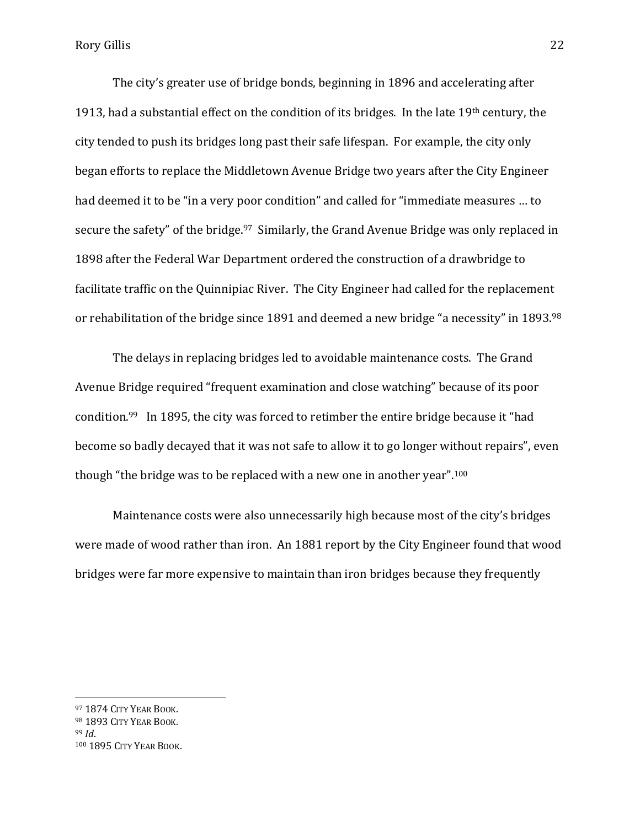The city's greater use of bridge bonds, beginning in 1896 and accelerating after 1913, had a substantial effect on the condition of its bridges. In the late 19th century, the city tended to push its bridges long past their safe lifespan. For example, the city only began efforts to replace the Middletown Avenue Bridge two years after the City Engineer had deemed it to be "in a very poor condition" and called for "immediate measures … to secure the safety" of the bridge.<sup>97</sup> Similarly, the Grand Avenue Bridge was only replaced in 1898 after the Federal War Department ordered the construction of a drawbridge to facilitate traffic on the Quinnipiac River. The City Engineer had called for the replacement or rehabilitation of the bridge since 1891 and deemed a new bridge "a necessity" in 1893.<sup>98</sup>

The delays in replacing bridges led to avoidable maintenance costs. The Grand Avenue Bridge required "frequent examination and close watching" because of its poor condition.<sup>99</sup> In 1895, the city was forced to retimber the entire bridge because it "had become so badly decayed that it was not safe to allow it to go longer without repairs", even though "the bridge was to be replaced with a new one in another year".<sup>100</sup>

Maintenance costs were also unnecessarily high because most of the city's bridges were made of wood rather than iron. An 1881 report by the City Engineer found that wood bridges were far more expensive to maintain than iron bridges because they frequently

<sup>97</sup> 1874 CITY YEAR BOOK.

<sup>98 1893</sup> CITY YEAR BOOK.

<sup>99</sup> *Id*.

<sup>100</sup> 1895 CITY YEAR BOOK.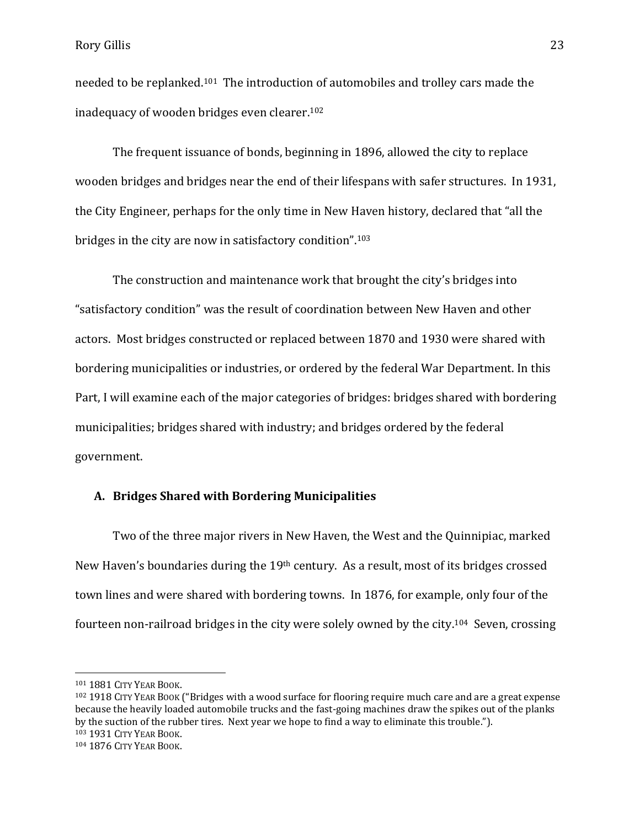needed to be replanked.101 The introduction of automobiles and trolley cars made the inadequacy of wooden bridges even clearer.<sup>102</sup>

The frequent issuance of bonds, beginning in 1896, allowed the city to replace wooden bridges and bridges near the end of their lifespans with safer structures. In 1931, the City Engineer, perhaps for the only time in New Haven history, declared that "all the bridges in the city are now in satisfactory condition".<sup>103</sup>

The construction and maintenance work that brought the city's bridges into "satisfactory condition" was the result of coordination between New Haven and other actors. Most bridges constructed or replaced between 1870 and 1930 were shared with bordering municipalities or industries, or ordered by the federal War Department. In this Part, I will examine each of the major categories of bridges: bridges shared with bordering municipalities; bridges shared with industry; and bridges ordered by the federal government.

# **A. Bridges Shared with Bordering Municipalities**

Two of the three major rivers in New Haven, the West and the Quinnipiac, marked New Haven's boundaries during the 19th century. As a result, most of its bridges crossed town lines and were shared with bordering towns. In 1876, for example, only four of the fourteen non-railroad bridges in the city were solely owned by the city.104 Seven, crossing

<sup>101</sup> 1881 CITY YEAR BOOK.

<sup>102</sup> 1918 CITY YEAR BOOK ("Bridges with a wood surface for flooring require much care and are a great expense because the heavily loaded automobile trucks and the fast-going machines draw the spikes out of the planks by the suction of the rubber tires. Next year we hope to find a way to eliminate this trouble."). <sup>103</sup> 1931 CITY YEAR BOOK.

<sup>104</sup> 1876 CITY YEAR BOOK.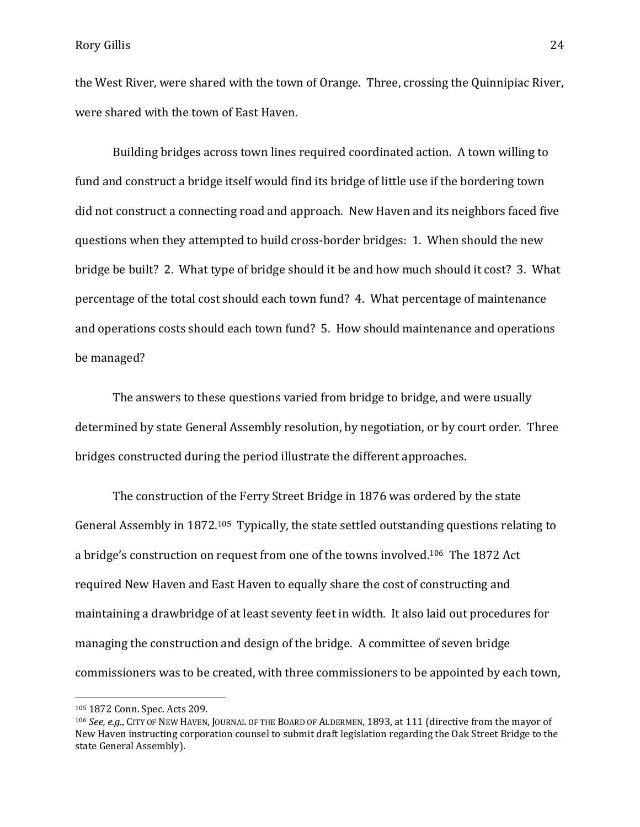the West River, were shared with the town of Orange. Three, crossing the Quinnipiac River, were shared with the town of East Haven.

Building bridges across town lines required coordinated action. A town willing to fund and construct a bridge itself would find its bridge of little use if the bordering town did not construct a connecting road and approach. New Haven and its neighbors faced five questions when they attempted to build cross-border bridges: 1. When should the new bridge be built? 2. What type of bridge should it be and how much should it cost? 3. What percentage of the total cost should each town fund? 4. What percentage of maintenance and operations costs should each town fund? 5. How should maintenance and operations be managed?

The answers to these questions varied from bridge to bridge, and were usually determined by state General Assembly resolution, by negotiation, or by court order. Three bridges constructed during the period illustrate the different approaches.

The construction of the Ferry Street Bridge in 1876 was ordered by the state General Assembly in 1872.105 Typically, the state settled outstanding questions relating to a bridge's construction on request from one of the towns involved.106 The 1872 Act required New Haven and East Haven to equally share the cost of constructing and maintaining a drawbridge of at least seventy feet in width. It also laid out procedures for managing the construction and design of the bridge. A committee of seven bridge commissioners was to be created, with three commissioners to be appointed by each town,

<sup>105</sup> 1872 Conn. Spec. Acts 209.

<sup>106</sup> *See, e.g.*, CITY OF NEW HAVEN, JOURNAL OF THE BOARD OF ALDERMEN, 1893, at 111 (directive from the mayor of New Haven instructing corporation counsel to submit draft legislation regarding the Oak Street Bridge to the state General Assembly).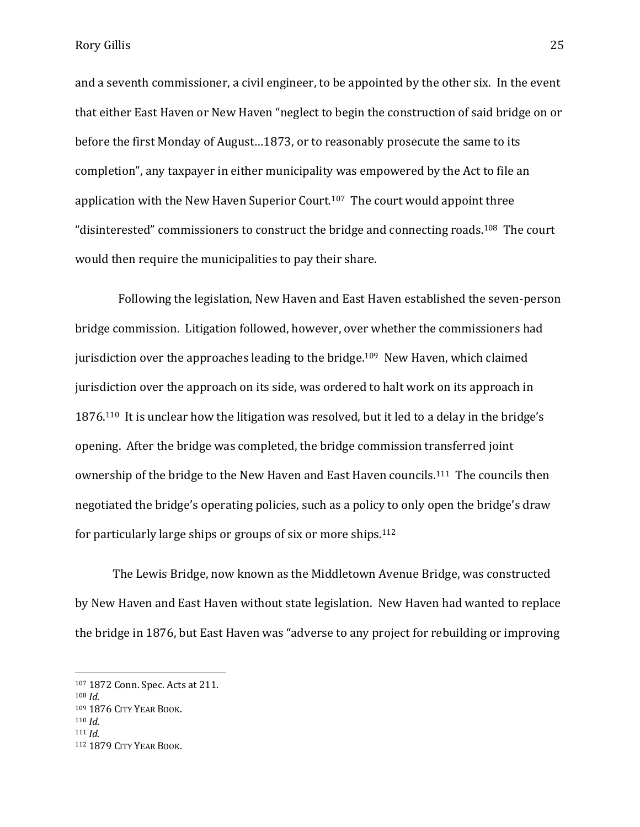and a seventh commissioner, a civil engineer, to be appointed by the other six. In the event that either East Haven or New Haven "neglect to begin the construction of said bridge on or before the first Monday of August…1873, or to reasonably prosecute the same to its completion", any taxpayer in either municipality was empowered by the Act to file an application with the New Haven Superior Court.107 The court would appoint three "disinterested" commissioners to construct the bridge and connecting roads.<sup>108</sup> The court would then require the municipalities to pay their share.

Following the legislation, New Haven and East Haven established the seven-person bridge commission. Litigation followed, however, over whether the commissioners had jurisdiction over the approaches leading to the bridge.<sup>109</sup> New Haven, which claimed jurisdiction over the approach on its side, was ordered to halt work on its approach in 1876.110 It is unclear how the litigation was resolved, but it led to a delay in the bridge's opening. After the bridge was completed, the bridge commission transferred joint ownership of the bridge to the New Haven and East Haven councils.111 The councils then negotiated the bridge's operating policies, such as a policy to only open the bridge's draw for particularly large ships or groups of six or more ships.<sup>112</sup>

The Lewis Bridge, now known as the Middletown Avenue Bridge, was constructed by New Haven and East Haven without state legislation. New Haven had wanted to replace the bridge in 1876, but East Haven was "adverse to any project for rebuilding or improving

<sup>107</sup> 1872 Conn. Spec. Acts at 211.

<sup>108</sup> *Id*.

<sup>109</sup> 1876 CITY YEAR BOOK.

<sup>110</sup> *Id*.

<sup>111</sup> *Id*.

<sup>112</sup> 1879 CITY YEAR BOOK.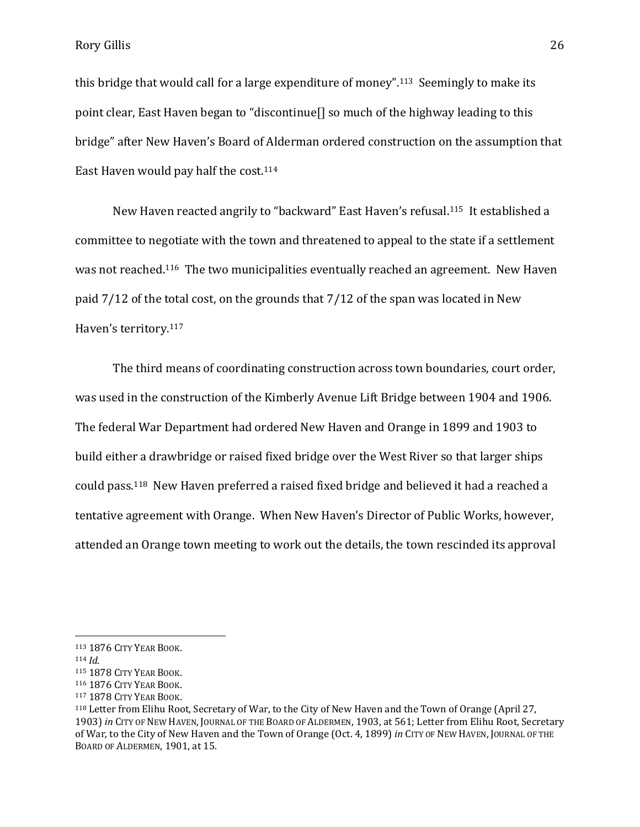this bridge that would call for a large expenditure of money".113 Seemingly to make its point clear, East Haven began to "discontinue[] so much of the highway leading to this bridge" after New Haven's Board of Alderman ordered construction on the assumption that East Haven would pay half the cost.<sup>114</sup>

New Haven reacted angrily to "backward" East Haven's refusal.115 It established a committee to negotiate with the town and threatened to appeal to the state if a settlement was not reached.116 The two municipalities eventually reached an agreement. New Haven paid 7/12 of the total cost, on the grounds that 7/12 of the span was located in New Haven's territory.<sup>117</sup>

The third means of coordinating construction across town boundaries, court order, was used in the construction of the Kimberly Avenue Lift Bridge between 1904 and 1906. The federal War Department had ordered New Haven and Orange in 1899 and 1903 to build either a drawbridge or raised fixed bridge over the West River so that larger ships could pass.118 New Haven preferred a raised fixed bridge and believed it had a reached a tentative agreement with Orange. When New Haven's Director of Public Works, however, attended an Orange town meeting to work out the details, the town rescinded its approval

<sup>113</sup> 1876 CITY YEAR BOOK.

<sup>114</sup> *Id*.

<sup>115</sup> 1878 CITY YEAR BOOK.

<sup>116</sup> 1876 CITY YEAR BOOK.

<sup>117</sup> 1878 CITY YEAR BOOK.

<sup>118</sup> Letter from Elihu Root, Secretary of War, to the City of New Haven and the Town of Orange (April 27, 1903) *in* CITY OF NEW HAVEN, JOURNAL OF THE BOARD OF ALDERMEN, 1903, at 561; Letter from Elihu Root, Secretary of War, to the City of New Haven and the Town of Orange (Oct. 4, 1899) *in* CITY OF NEW HAVEN, JOURNAL OF THE BOARD OF ALDERMEN, 1901, at 15.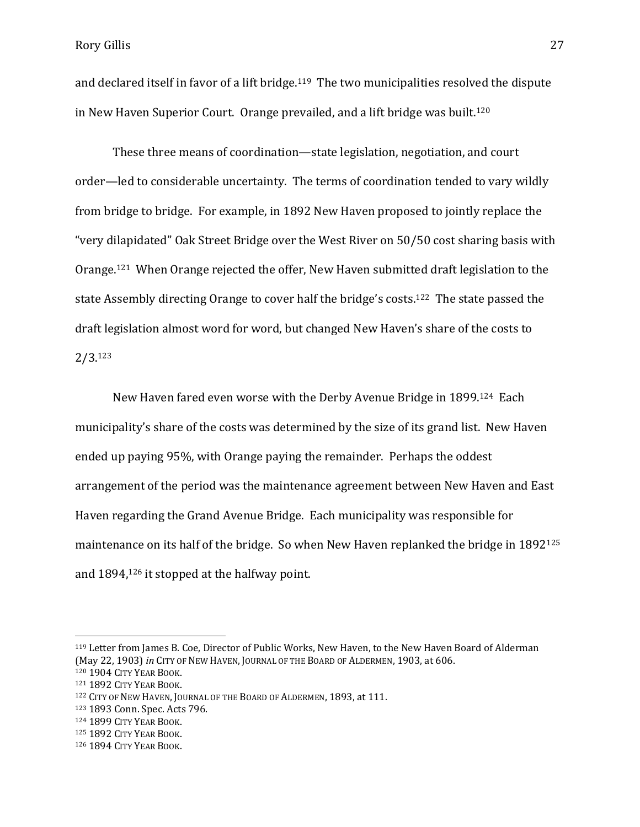and declared itself in favor of a lift bridge.<sup>119</sup> The two municipalities resolved the dispute in New Haven Superior Court. Orange prevailed, and a lift bridge was built.<sup>120</sup>

These three means of coordination—state legislation, negotiation, and court order—led to considerable uncertainty. The terms of coordination tended to vary wildly from bridge to bridge. For example, in 1892 New Haven proposed to jointly replace the "very dilapidated" Oak Street Bridge over the West River on 50/50 cost sharing basis with Orange.121 When Orange rejected the offer, New Haven submitted draft legislation to the state Assembly directing Orange to cover half the bridge's costs.122 The state passed the draft legislation almost word for word, but changed New Haven's share of the costs to 2/3.<sup>123</sup>

New Haven fared even worse with the Derby Avenue Bridge in 1899.124 Each municipality's share of the costs was determined by the size of its grand list. New Haven ended up paying 95%, with Orange paying the remainder. Perhaps the oddest arrangement of the period was the maintenance agreement between New Haven and East Haven regarding the Grand Avenue Bridge. Each municipality was responsible for maintenance on its half of the bridge. So when New Haven replanked the bridge in 1892<sup>125</sup> and 1894, <sup>126</sup> it stopped at the halfway point.

<sup>119</sup> Letter from James B. Coe, Director of Public Works, New Haven, to the New Haven Board of Alderman (May 22, 1903) *in* CITY OF NEW HAVEN, JOURNAL OF THE BOARD OF ALDERMEN, 1903, at 606.

<sup>120</sup> 1904 CITY YEAR BOOK.

<sup>121</sup> 1892 CITY YEAR BOOK.

<sup>122</sup> CITY OF NEW HAVEN, JOURNAL OF THE BOARD OF ALDERMEN, 1893, at 111.

<sup>123</sup> 1893 Conn. Spec. Acts 796.

<sup>124</sup> 1899 CITY YEAR BOOK.

<sup>125</sup> 1892 CITY YEAR BOOK.

<sup>126</sup> 1894 CITY YEAR BOOK.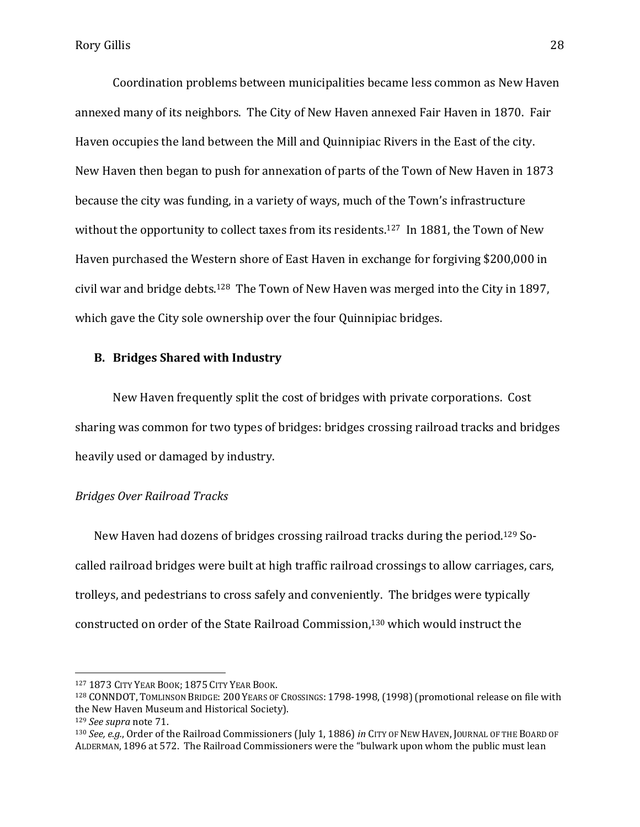Coordination problems between municipalities became less common as New Haven annexed many of its neighbors. The City of New Haven annexed Fair Haven in 1870. Fair Haven occupies the land between the Mill and Quinnipiac Rivers in the East of the city. New Haven then began to push for annexation of parts of the Town of New Haven in 1873 because the city was funding, in a variety of ways, much of the Town's infrastructure without the opportunity to collect taxes from its residents.<sup>127</sup> In 1881, the Town of New Haven purchased the Western shore of East Haven in exchange for forgiving \$200,000 in civil war and bridge debts.128 The Town of New Haven was merged into the City in 1897, which gave the City sole ownership over the four Quinnipiac bridges.

# **B. Bridges Shared with Industry**

New Haven frequently split the cost of bridges with private corporations. Cost sharing was common for two types of bridges: bridges crossing railroad tracks and bridges heavily used or damaged by industry.

### *Bridges Over Railroad Tracks*

New Haven had dozens of bridges crossing railroad tracks during the period.<sup>129</sup> Socalled railroad bridges were built at high traffic railroad crossings to allow carriages, cars, trolleys, and pedestrians to cross safely and conveniently. The bridges were typically constructed on order of the State Railroad Commission, <sup>130</sup> which would instruct the

<sup>127</sup> 1873 CITY YEAR BOOK; 1875 CITY YEAR BOOK.

<sup>128</sup> CONNDOT, TOMLINSON BRIDGE: 200 YEARS OF CROSSINGS: 1798-1998,(1998)(promotional release on file with the New Haven Museum and Historical Society).

<sup>129</sup> *See supra* note 71.

<sup>130</sup> *See, e.g.*, Order of the Railroad Commissioners (July 1, 1886) *in* CITY OF NEW HAVEN, JOURNAL OF THE BOARD OF ALDERMAN, 1896 at 572. The Railroad Commissioners were the "bulwark upon whom the public must lean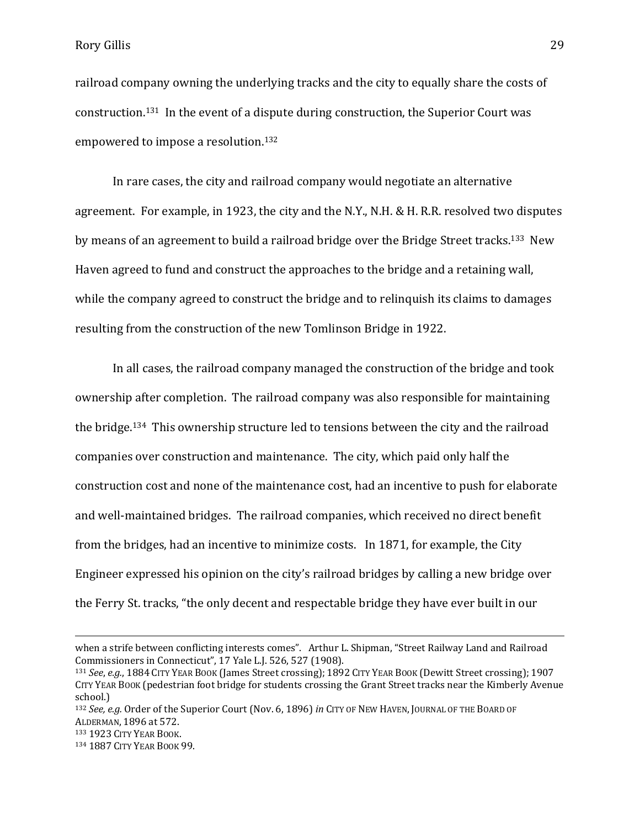railroad company owning the underlying tracks and the city to equally share the costs of construction.131 In the event of a dispute during construction, the Superior Court was empowered to impose a resolution.<sup>132</sup>

In rare cases, the city and railroad company would negotiate an alternative agreement. For example, in 1923, the city and the N.Y., N.H. & H. R.R. resolved two disputes by means of an agreement to build a railroad bridge over the Bridge Street tracks.133 New Haven agreed to fund and construct the approaches to the bridge and a retaining wall, while the company agreed to construct the bridge and to relinquish its claims to damages resulting from the construction of the new Tomlinson Bridge in 1922.

In all cases, the railroad company managed the construction of the bridge and took ownership after completion. The railroad company was also responsible for maintaining the bridge.134 This ownership structure led to tensions between the city and the railroad companies over construction and maintenance. The city, which paid only half the construction cost and none of the maintenance cost, had an incentive to push for elaborate and well-maintained bridges. The railroad companies, which received no direct benefit from the bridges, had an incentive to minimize costs. In 1871, for example, the City Engineer expressed his opinion on the city's railroad bridges by calling a new bridge over the Ferry St. tracks, "the only decent and respectable bridge they have ever built in our

when a strife between conflicting interests comes". Arthur L. Shipman, "Street Railway Land and Railroad Commissioners in Connecticut", 17 Yale L.J. 526, 527 (1908).

<sup>131</sup> *See*, *e.g.*, 1884 CITY YEAR BOOK (James Street crossing); 1892 CITY YEAR BOOK (Dewitt Street crossing); 1907 CITY YEAR BOOK (pedestrian foot bridge for students crossing the Grant Street tracks near the Kimberly Avenue school.)

<sup>132</sup> *See, e.g.* Order of the Superior Court (Nov. 6, 1896) *in* CITY OF NEW HAVEN, JOURNAL OF THE BOARD OF ALDERMAN, 1896 at 572.

<sup>133</sup> 1923 CITY YEAR BOOK.

<sup>134</sup> 1887 CITY YEAR BOOK 99.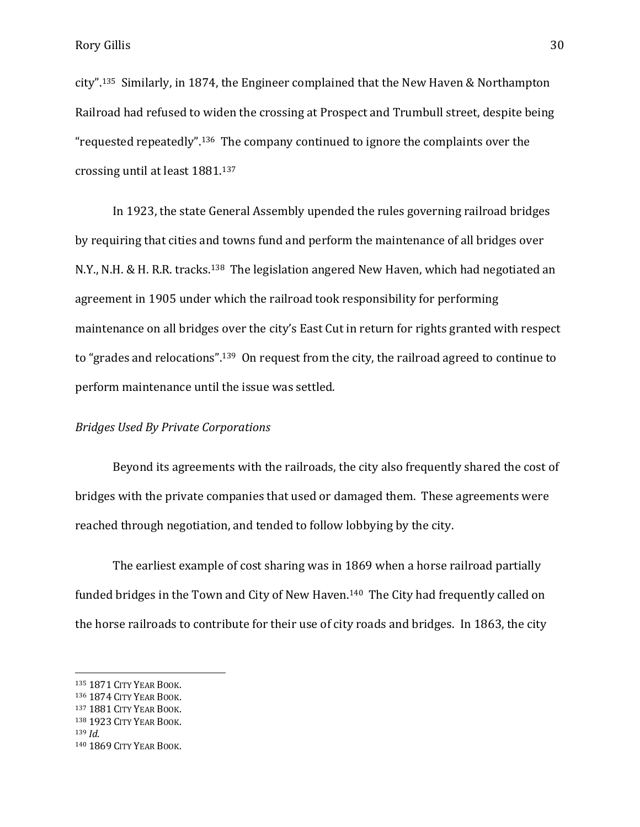city".135 Similarly, in 1874, the Engineer complained that the New Haven & Northampton Railroad had refused to widen the crossing at Prospect and Trumbull street, despite being "requested repeatedly".136 The company continued to ignore the complaints over the crossing until at least 1881.<sup>137</sup>

In 1923, the state General Assembly upended the rules governing railroad bridges by requiring that cities and towns fund and perform the maintenance of all bridges over N.Y., N.H. & H. R.R. tracks.138 The legislation angered New Haven, which had negotiated an agreement in 1905 under which the railroad took responsibility for performing maintenance on all bridges over the city's East Cut in return for rights granted with respect to "grades and relocations".139 On request from the city, the railroad agreed to continue to perform maintenance until the issue was settled.

#### *Bridges Used By Private Corporations*

Beyond its agreements with the railroads, the city also frequently shared the cost of bridges with the private companies that used or damaged them. These agreements were reached through negotiation, and tended to follow lobbying by the city.

The earliest example of cost sharing was in 1869 when a horse railroad partially funded bridges in the Town and City of New Haven.<sup>140</sup> The City had frequently called on the horse railroads to contribute for their use of city roads and bridges. In 1863, the city

<sup>135</sup> 1871 CITY YEAR BOOK.

<sup>136</sup> 1874 CITY YEAR BOOK.

<sup>137</sup> 1881 CITY YEAR BOOK.

<sup>138</sup> 1923 CITY YEAR BOOK.

<sup>139</sup> *Id*.

<sup>140</sup> 1869 CITY YEAR BOOK.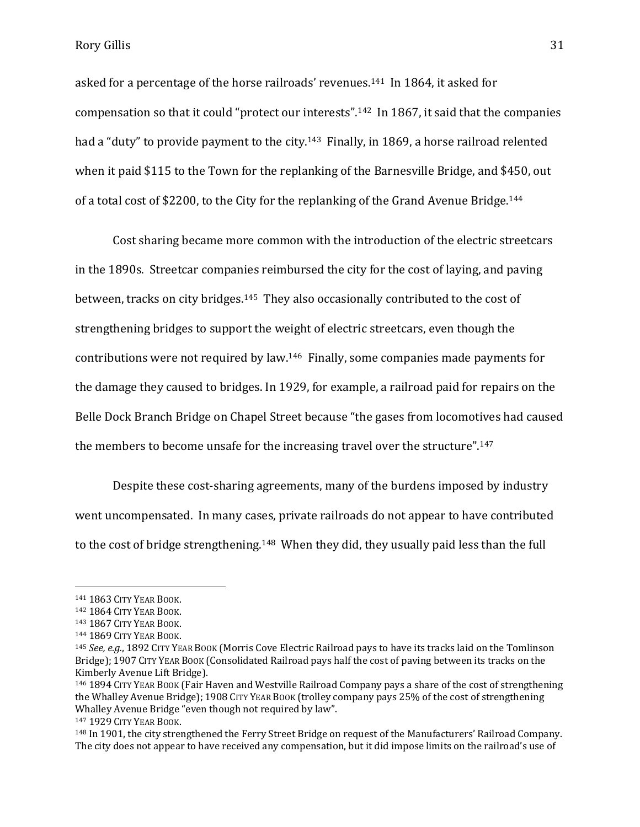asked for a percentage of the horse railroads' revenues.141 In 1864, it asked for compensation so that it could "protect our interests".142 In 1867, it said that the companies had a "duty" to provide payment to the city.<sup>143</sup> Finally, in 1869, a horse railroad relented when it paid \$115 to the Town for the replanking of the Barnesville Bridge, and \$450, out of a total cost of \$2200, to the City for the replanking of the Grand Avenue Bridge.<sup>144</sup>

Cost sharing became more common with the introduction of the electric streetcars in the 1890s. Streetcar companies reimbursed the city for the cost of laying, and paving between, tracks on city bridges.145 They also occasionally contributed to the cost of strengthening bridges to support the weight of electric streetcars, even though the contributions were not required by law.146 Finally, some companies made payments for the damage they caused to bridges. In 1929, for example, a railroad paid for repairs on the Belle Dock Branch Bridge on Chapel Street because "the gases from locomotives had caused the members to become unsafe for the increasing travel over the structure".<sup>147</sup>

Despite these cost-sharing agreements, many of the burdens imposed by industry went uncompensated. In many cases, private railroads do not appear to have contributed to the cost of bridge strengthening.<sup>148</sup> When they did, they usually paid less than the full

<sup>141</sup> 1863 CITY YEAR BOOK.

<sup>142</sup> 1864 CITY YEAR BOOK.

<sup>143</sup> 1867 CITY YEAR BOOK.

<sup>144</sup> 1869 CITY YEAR BOOK.

<sup>145</sup> *See, e.g.*, 1892 CITY YEAR BOOK (Morris Cove Electric Railroad pays to have its tracks laid on the Tomlinson Bridge); 1907 CITY YEAR BOOK (Consolidated Railroad pays half the cost of paving between its tracks on the Kimberly Avenue Lift Bridge).

<sup>146</sup> 1894 CITY YEAR BOOK (Fair Haven and Westville Railroad Company pays a share of the cost of strengthening the Whalley Avenue Bridge); 1908 CITY YEAR BOOK (trolley company pays 25% of the cost of strengthening Whalley Avenue Bridge "even though not required by law".

<sup>147</sup> 1929 CITY YEAR BOOK.

<sup>148</sup> In 1901, the city strengthened the Ferry Street Bridge on request of the Manufacturers' Railroad Company. The city does not appear to have received any compensation, but it did impose limits on the railroad's use of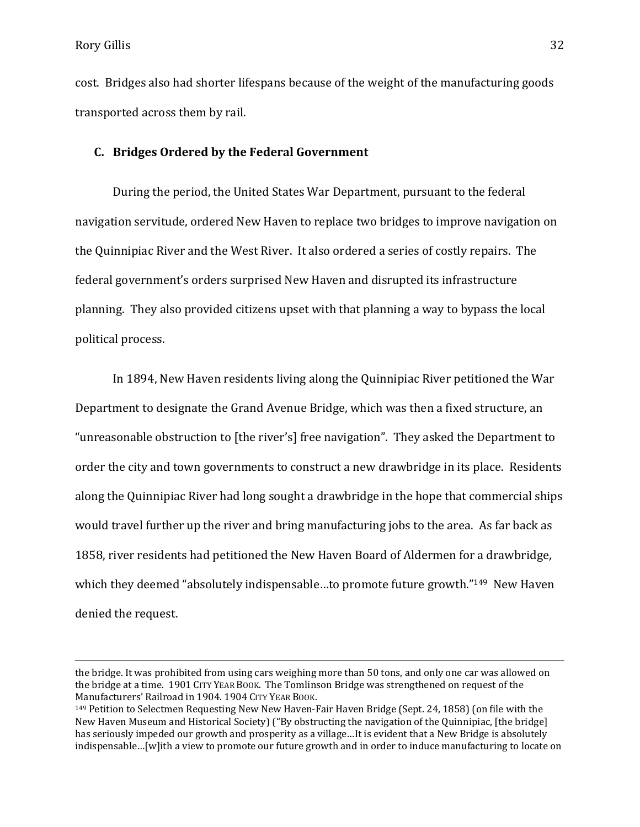$\overline{a}$ 

cost. Bridges also had shorter lifespans because of the weight of the manufacturing goods transported across them by rail.

# **C. Bridges Ordered by the Federal Government**

During the period, the United States War Department, pursuant to the federal navigation servitude, ordered New Haven to replace two bridges to improve navigation on the Quinnipiac River and the West River. It also ordered a series of costly repairs. The federal government's orders surprised New Haven and disrupted its infrastructure planning. They also provided citizens upset with that planning a way to bypass the local political process.

In 1894, New Haven residents living along the Quinnipiac River petitioned the War Department to designate the Grand Avenue Bridge, which was then a fixed structure, an "unreasonable obstruction to [the river's] free navigation". They asked the Department to order the city and town governments to construct a new drawbridge in its place. Residents along the Quinnipiac River had long sought a drawbridge in the hope that commercial ships would travel further up the river and bring manufacturing jobs to the area. As far back as 1858, river residents had petitioned the New Haven Board of Aldermen for a drawbridge, which they deemed "absolutely indispensable...to promote future growth."<sup>149</sup> New Haven denied the request.

the bridge. It was prohibited from using cars weighing more than 50 tons, and only one car was allowed on the bridge at a time. 1901 CITY YEAR BOOK. The Tomlinson Bridge was strengthened on request of the Manufacturers' Railroad in 1904. 1904 CITY YEAR BOOK.

<sup>149</sup> Petition to Selectmen Requesting New New Haven-Fair Haven Bridge (Sept. 24, 1858) (on file with the New Haven Museum and Historical Society) ("By obstructing the navigation of the Quinnipiac, [the bridge] has seriously impeded our growth and prosperity as a village…It is evident that a New Bridge is absolutely indispensable…[w]ith a view to promote our future growth and in order to induce manufacturing to locate on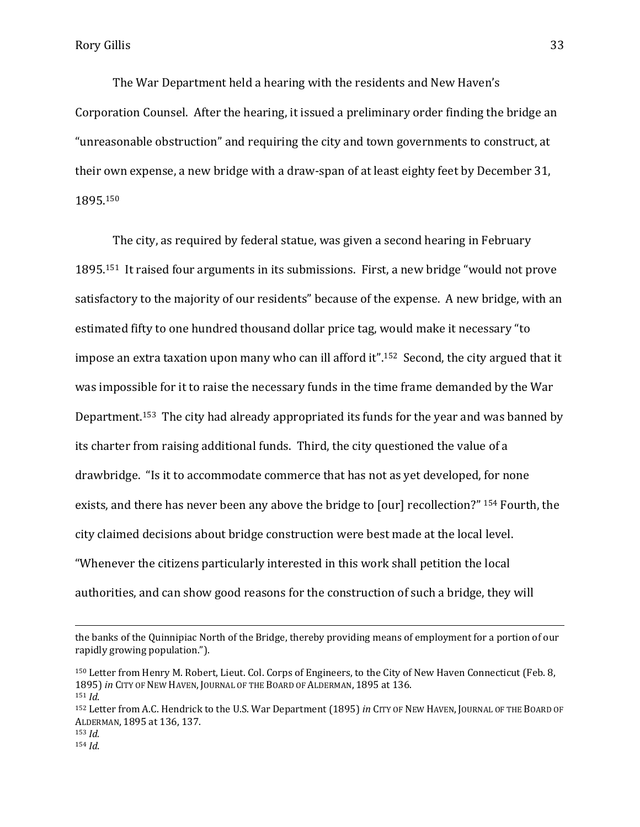The War Department held a hearing with the residents and New Haven's Corporation Counsel. After the hearing, it issued a preliminary order finding the bridge an "unreasonable obstruction" and requiring the city and town governments to construct, at their own expense, a new bridge with a draw-span of at least eighty feet by December 31, 1895.<sup>150</sup>

The city, as required by federal statue, was given a second hearing in February 1895.151 It raised four arguments in its submissions. First, a new bridge "would not prove satisfactory to the majority of our residents" because of the expense. A new bridge, with an estimated fifty to one hundred thousand dollar price tag, would make it necessary "to impose an extra taxation upon many who can ill afford it".<sup>152</sup> Second, the city argued that it was impossible for it to raise the necessary funds in the time frame demanded by the War Department.153 The city had already appropriated its funds for the year and was banned by its charter from raising additional funds. Third, the city questioned the value of a drawbridge. "Is it to accommodate commerce that has not as yet developed, for none exists, and there has never been any above the bridge to [our] recollection?" <sup>154</sup> Fourth, the city claimed decisions about bridge construction were best made at the local level. "Whenever the citizens particularly interested in this work shall petition the local authorities, and can show good reasons for the construction of such a bridge, they will

l

the banks of the Quinnipiac North of the Bridge, thereby providing means of employment for a portion of our rapidly growing population.").

<sup>150</sup> Letter from Henry M. Robert, Lieut. Col. Corps of Engineers, to the City of New Haven Connecticut (Feb. 8, 1895) *in* CITY OF NEW HAVEN, JOURNAL OF THE BOARD OF ALDERMAN, 1895 at 136. <sup>151</sup> *Id*.

<sup>152</sup> Letter from A.C. Hendrick to the U.S. War Department (1895) *in* CITY OF NEW HAVEN, JOURNAL OF THE BOARD OF ALDERMAN, 1895 at 136, 137.

 $153$  *Id.* <sup>154</sup> *Id*.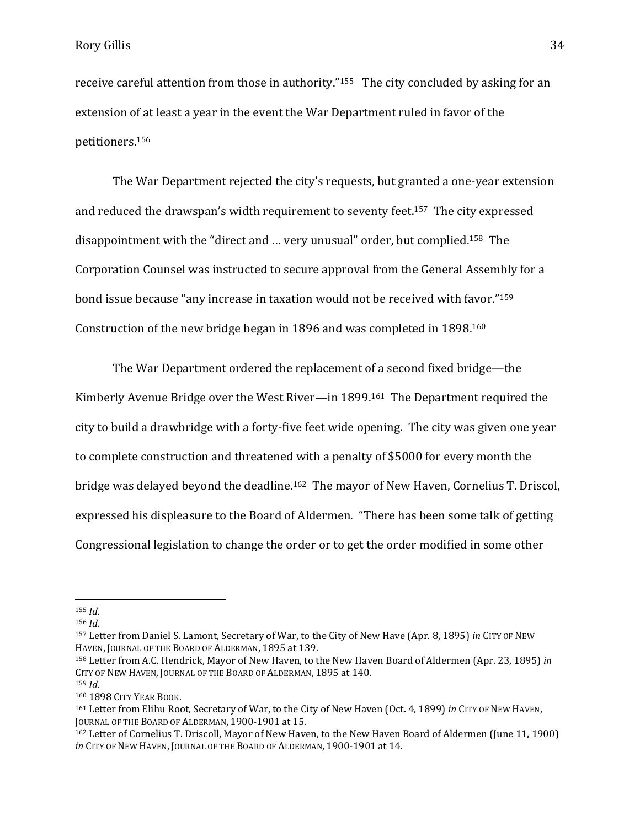receive careful attention from those in authority."155 The city concluded by asking for an extension of at least a year in the event the War Department ruled in favor of the petitioners. 156

The War Department rejected the city's requests, but granted a one-year extension and reduced the drawspan's width requirement to seventy feet.157 The city expressed disappointment with the "direct and … very unusual" order, but complied.158 The Corporation Counsel was instructed to secure approval from the General Assembly for a bond issue because "any increase in taxation would not be received with favor."<sup>159</sup> Construction of the new bridge began in 1896 and was completed in 1898.<sup>160</sup>

The War Department ordered the replacement of a second fixed bridge—the Kimberly Avenue Bridge over the West River—in 1899.161 The Department required the city to build a drawbridge with a forty-five feet wide opening. The city was given one year to complete construction and threatened with a penalty of \$5000 for every month the bridge was delayed beyond the deadline.<sup>162</sup> The mayor of New Haven, Cornelius T. Driscol, expressed his displeasure to the Board of Aldermen. "There has been some talk of getting Congressional legislation to change the order or to get the order modified in some other

l

- <sup>158</sup> Letter from A.C. Hendrick, Mayor of New Haven, to the New Haven Board of Aldermen (Apr. 23, 1895) *in*  CITY OF NEW HAVEN, JOURNAL OF THE BOARD OF ALDERMAN, 1895 at 140.
- <sup>159</sup> *Id*.

<sup>155</sup> *Id*.

<sup>156</sup> *Id*.

<sup>157</sup> Letter from Daniel S. Lamont, Secretary of War, to the City of New Have (Apr. 8, 1895) *in* CITY OF NEW HAVEN, JOURNAL OF THE BOARD OF ALDERMAN, 1895 at 139.

<sup>160</sup> 1898 CITY YEAR BOOK.

<sup>161</sup> Letter from Elihu Root, Secretary of War, to the City of New Haven (Oct. 4, 1899) *in* CITY OF NEW HAVEN, JOURNAL OF THE BOARD OF ALDERMAN, 1900-1901 at 15.

<sup>162</sup> Letter of Cornelius T. Driscoll, Mayor of New Haven, to the New Haven Board of Aldermen (June 11, 1900) *in* CITY OF NEW HAVEN, JOURNAL OF THE BOARD OF ALDERMAN, 1900-1901 at 14.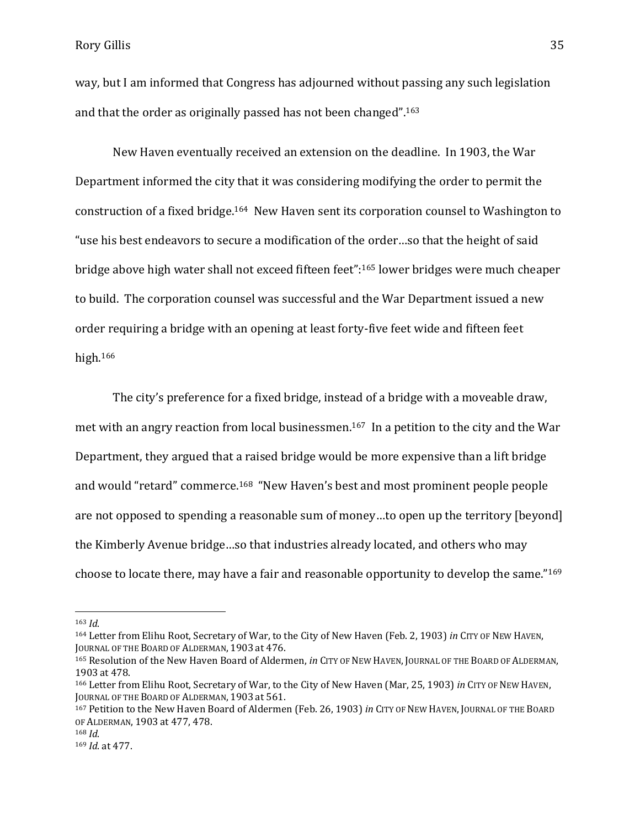way, but I am informed that Congress has adjourned without passing any such legislation and that the order as originally passed has not been changed".<sup>163</sup>

New Haven eventually received an extension on the deadline. In 1903, the War Department informed the city that it was considering modifying the order to permit the construction of a fixed bridge.164 New Haven sent its corporation counsel to Washington to "use his best endeavors to secure a modification of the order…so that the height of said bridge above high water shall not exceed fifteen feet":<sup>165</sup> lower bridges were much cheaper to build. The corporation counsel was successful and the War Department issued a new order requiring a bridge with an opening at least forty-five feet wide and fifteen feet high. <sup>166</sup>

The city's preference for a fixed bridge, instead of a bridge with a moveable draw, met with an angry reaction from local businessmen. <sup>167</sup> In a petition to the city and the War Department, they argued that a raised bridge would be more expensive than a lift bridge and would "retard" commerce.<sup>168</sup> "New Haven's best and most prominent people people are not opposed to spending a reasonable sum of money…to open up the territory [beyond] the Kimberly Avenue bridge…so that industries already located, and others who may choose to locate there, may have a fair and reasonable opportunity to develop the same."<sup>169</sup>

<sup>163</sup> *Id*.

<sup>164</sup> Letter from Elihu Root, Secretary of War, to the City of New Haven (Feb. 2, 1903) *in* CITY OF NEW HAVEN, JOURNAL OF THE BOARD OF ALDERMAN, 1903 at 476.

<sup>165</sup> Resolution of the New Haven Board of Aldermen, *in* CITY OF NEW HAVEN, JOURNAL OF THE BOARD OF ALDERMAN, 1903 at 478.

<sup>166</sup> Letter from Elihu Root, Secretary of War, to the City of New Haven (Mar, 25, 1903) *in* CITY OF NEW HAVEN, JOURNAL OF THE BOARD OF ALDERMAN, 1903 at 561.

<sup>167</sup> Petition to the New Haven Board of Aldermen (Feb. 26, 1903) *in* CITY OF NEW HAVEN, JOURNAL OF THE BOARD OF ALDERMAN, 1903 at 477, 478.

<sup>168</sup> *Id*.

<sup>169</sup> *Id*. at 477.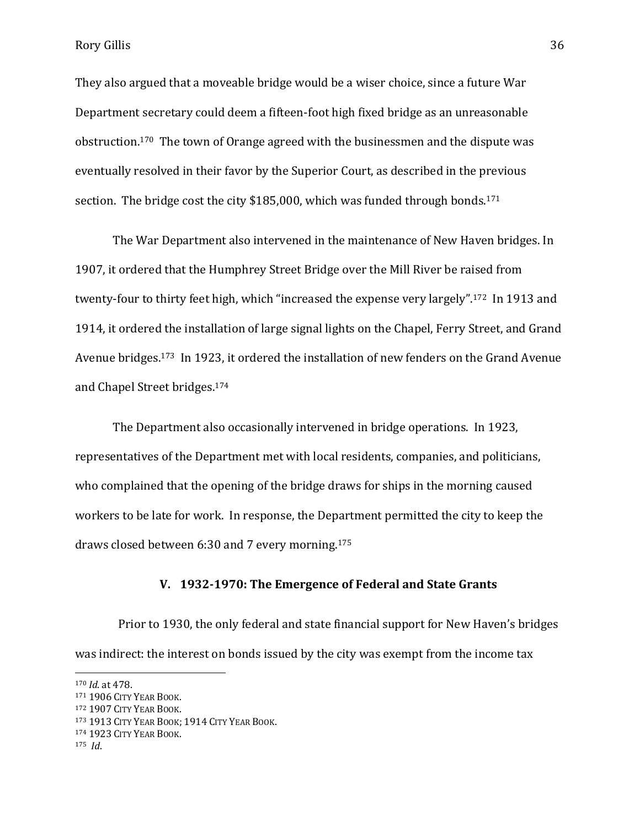Rory Gillis 36

They also argued that a moveable bridge would be a wiser choice, since a future War Department secretary could deem a fifteen-foot high fixed bridge as an unreasonable obstruction.170 The town of Orange agreed with the businessmen and the dispute was eventually resolved in their favor by the Superior Court, as described in the previous section. The bridge cost the city \$185,000, which was funded through bonds.<sup>171</sup>

The War Department also intervened in the maintenance of New Haven bridges. In 1907, it ordered that the Humphrey Street Bridge over the Mill River be raised from twenty-four to thirty feet high, which "increased the expense very largely".172 In 1913 and 1914, it ordered the installation of large signal lights on the Chapel, Ferry Street, and Grand Avenue bridges.173 In 1923, it ordered the installation of new fenders on the Grand Avenue and Chapel Street bridges.<sup>174</sup>

The Department also occasionally intervened in bridge operations. In 1923, representatives of the Department met with local residents, companies, and politicians, who complained that the opening of the bridge draws for ships in the morning caused workers to be late for work. In response, the Department permitted the city to keep the draws closed between 6:30 and 7 every morning.<sup>175</sup>

# **V. 1932-1970: The Emergence of Federal and State Grants**

 Prior to 1930, the only federal and state financial support for New Haven's bridges was indirect: the interest on bonds issued by the city was exempt from the income tax

<sup>172</sup> 1907 CITY YEAR BOOK.

 $\overline{\phantom{a}}$ 

<sup>170</sup> *Id*. at 478.

<sup>171</sup> 1906 CITY YEAR BOOK.

<sup>173</sup> 1913 CITY YEAR BOOK; 1914 CITY YEAR BOOK.

<sup>174</sup> 1923 CITY YEAR BOOK.

<sup>175</sup> *Id*.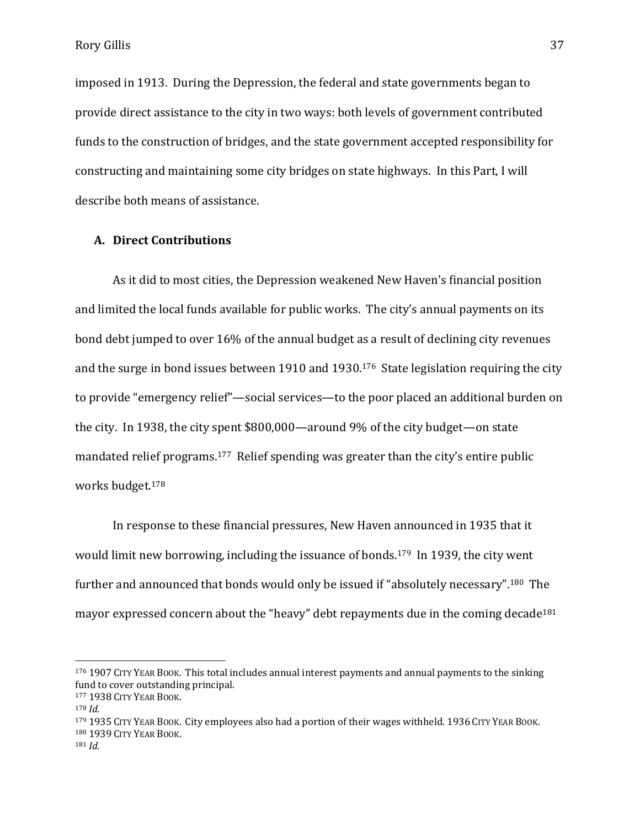imposed in 1913. During the Depression, the federal and state governments began to provide direct assistance to the city in two ways: both levels of government contributed funds to the construction of bridges, and the state government accepted responsibility for constructing and maintaining some city bridges on state highways. In this Part, I will describe both means of assistance.

#### **A. Direct Contributions**

As it did to most cities, the Depression weakened New Haven's financial position and limited the local funds available for public works. The city's annual payments on its bond debt jumped to over 16% of the annual budget as a result of declining city revenues and the surge in bond issues between 1910 and 1930.176 State legislation requiring the city to provide "emergency relief"—social services—to the poor placed an additional burden on the city. In 1938, the city spent \$800,000—around 9% of the city budget—on state mandated relief programs.<sup>177</sup> Relief spending was greater than the city's entire public works budget.<sup>178</sup>

In response to these financial pressures, New Haven announced in 1935 that it would limit new borrowing, including the issuance of bonds.179 In 1939, the city went further and announced that bonds would only be issued if "absolutely necessary".180 The mayor expressed concern about the "heavy" debt repayments due in the coming decade<sup>181</sup>

 $\overline{\phantom{a}}$ 

<sup>179</sup> 1935 CITY YEAR BOOK. City employees also had a portion of their wages withheld. 1936 CITY YEAR BOOK. <sup>180</sup> 1939 CITY YEAR BOOK.

<sup>176</sup> 1907 CITY YEAR BOOK. This total includes annual interest payments and annual payments to the sinking fund to cover outstanding principal.

<sup>177</sup> 1938 CITY YEAR BOOK.

<sup>178</sup> *Id*.

<sup>181</sup> *Id*.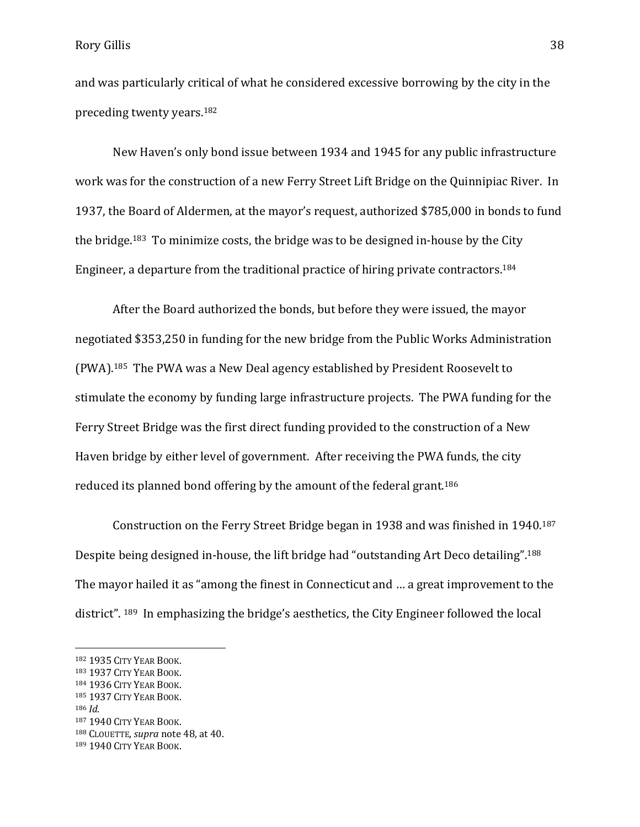and was particularly critical of what he considered excessive borrowing by the city in the preceding twenty years.<sup>182</sup>

New Haven's only bond issue between 1934 and 1945 for any public infrastructure work was for the construction of a new Ferry Street Lift Bridge on the Quinnipiac River. In 1937, the Board of Aldermen, at the mayor's request, authorized \$785,000 in bonds to fund the bridge.183 To minimize costs, the bridge was to be designed in-house by the City Engineer, a departure from the traditional practice of hiring private contractors.<sup>184</sup>

After the Board authorized the bonds, but before they were issued, the mayor negotiated \$353,250 in funding for the new bridge from the Public Works Administration (PWA).185 The PWA was a New Deal agency established by President Roosevelt to stimulate the economy by funding large infrastructure projects. The PWA funding for the Ferry Street Bridge was the first direct funding provided to the construction of a New Haven bridge by either level of government. After receiving the PWA funds, the city reduced its planned bond offering by the amount of the federal grant.<sup>186</sup>

Construction on the Ferry Street Bridge began in 1938 and was finished in 1940.<sup>187</sup> Despite being designed in-house, the lift bridge had "outstanding Art Deco detailing".<sup>188</sup> The mayor hailed it as "among the finest in Connecticut and … a great improvement to the district". <sup>189</sup> In emphasizing the bridge's aesthetics, the City Engineer followed the local

<sup>182</sup> 1935 CITY YEAR BOOK.

<sup>183</sup> 1937 CITY YEAR BOOK.

<sup>184</sup> 1936 CITY YEAR BOOK.

<sup>185</sup> 1937 CITY YEAR BOOK.

<sup>186</sup> *Id*.

<sup>187</sup> 1940 CITY YEAR BOOK.

<sup>188</sup> CLOUETTE, *supra* note 48, at 40.

<sup>189</sup> 1940 CITY YEAR BOOK.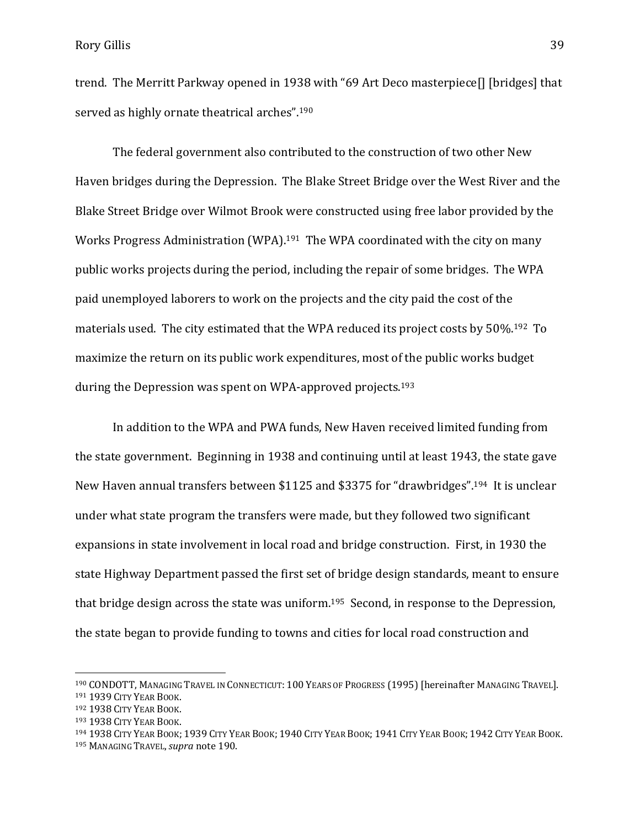trend. The Merritt Parkway opened in 1938 with "69 Art Deco masterpiece[] [bridges] that served as highly ornate theatrical arches".<sup>190</sup>

The federal government also contributed to the construction of two other New Haven bridges during the Depression. The Blake Street Bridge over the West River and the Blake Street Bridge over Wilmot Brook were constructed using free labor provided by the Works Progress Administration (WPA).<sup>191</sup> The WPA coordinated with the city on many public works projects during the period, including the repair of some bridges. The WPA paid unemployed laborers to work on the projects and the city paid the cost of the materials used. The city estimated that the WPA reduced its project costs by 50%.192 To maximize the return on its public work expenditures, most of the public works budget during the Depression was spent on WPA-approved projects.<sup>193</sup>

In addition to the WPA and PWA funds, New Haven received limited funding from the state government. Beginning in 1938 and continuing until at least 1943, the state gave New Haven annual transfers between \$1125 and \$3375 for "drawbridges".194 It is unclear under what state program the transfers were made, but they followed two significant expansions in state involvement in local road and bridge construction. First, in 1930 the state Highway Department passed the first set of bridge design standards, meant to ensure that bridge design across the state was uniform.<sup>195</sup> Second, in response to the Depression, the state began to provide funding to towns and cities for local road construction and

 $\overline{\phantom{a}}$ 

<sup>190</sup> CONDOTT, MANAGING TRAVEL IN CONNECTICUT: 100 YEARS OF PROGRESS (1995) [hereinafter MANAGING TRAVEL]. <sup>191</sup> 1939 CITY YEAR BOOK.

<sup>192</sup> 1938 CITY YEAR BOOK.

<sup>193</sup> 1938 CITY YEAR BOOK.

<sup>194</sup> 1938 CITY YEAR BOOK; 1939 CITY YEAR BOOK; 1940 CITY YEAR BOOK; 1941 CITY YEAR BOOK; 1942 CITY YEAR BOOK.

<sup>195</sup> MANAGING TRAVEL,*supra* note 190.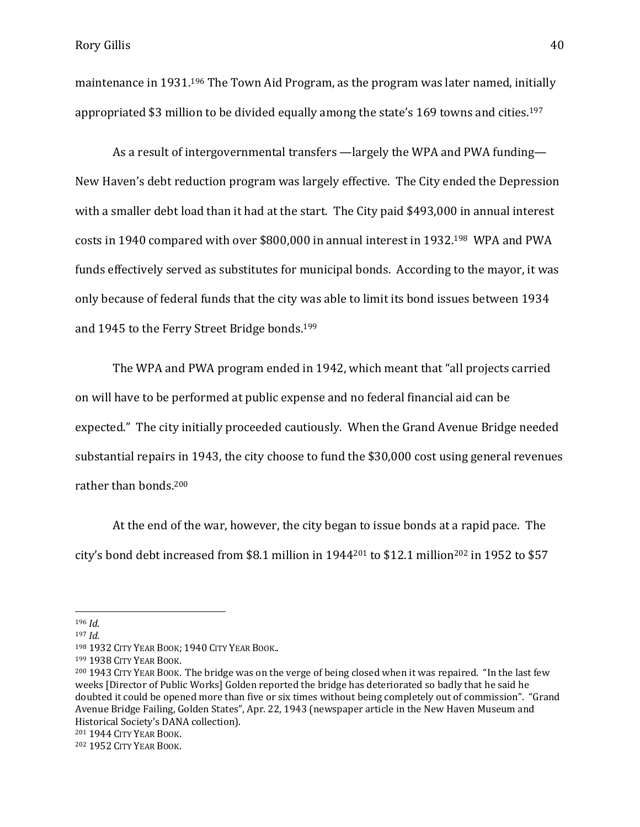maintenance in 1931.<sup>196</sup> The Town Aid Program, as the program was later named, initially appropriated \$3 million to be divided equally among the state's 169 towns and cities.<sup>197</sup>

As a result of intergovernmental transfers —largely the WPA and PWA funding— New Haven's debt reduction program was largely effective. The City ended the Depression with a smaller debt load than it had at the start. The City paid \$493,000 in annual interest costs in 1940 compared with over \$800,000 in annual interest in 1932.198 WPA and PWA funds effectively served as substitutes for municipal bonds. According to the mayor, it was only because of federal funds that the city was able to limit its bond issues between 1934 and 1945 to the Ferry Street Bridge bonds.<sup>199</sup>

The WPA and PWA program ended in 1942, which meant that "all projects carried on will have to be performed at public expense and no federal financial aid can be expected." The city initially proceeded cautiously. When the Grand Avenue Bridge needed substantial repairs in 1943, the city choose to fund the \$30,000 cost using general revenues rather than bonds. <sup>200</sup>

At the end of the war, however, the city began to issue bonds at a rapid pace. The city's bond debt increased from \$8.1 million in 1944<sup>201</sup> to \$12.1 million<sup>202</sup> in 1952 to \$57

<sup>196</sup> *Id*.

<sup>197</sup> *Id*.

<sup>198</sup> 1932 CITY YEAR BOOK; 1940 CITY YEAR BOOK..

<sup>199</sup> 1938 CITY YEAR BOOK.

<sup>200</sup> 1943 CITY YEAR BOOK. The bridge was on the verge of being closed when it was repaired. "In the last few weeks [Director of Public Works] Golden reported the bridge has deteriorated so badly that he said he doubted it could be opened more than five or six times without being completely out of commission". "Grand Avenue Bridge Failing, Golden States", Apr. 22, 1943 (newspaper article in the New Haven Museum and Historical Society's DANA collection).

<sup>201</sup> 1944 CITY YEAR BOOK.

<sup>202</sup> 1952 CITY YEAR BOOK.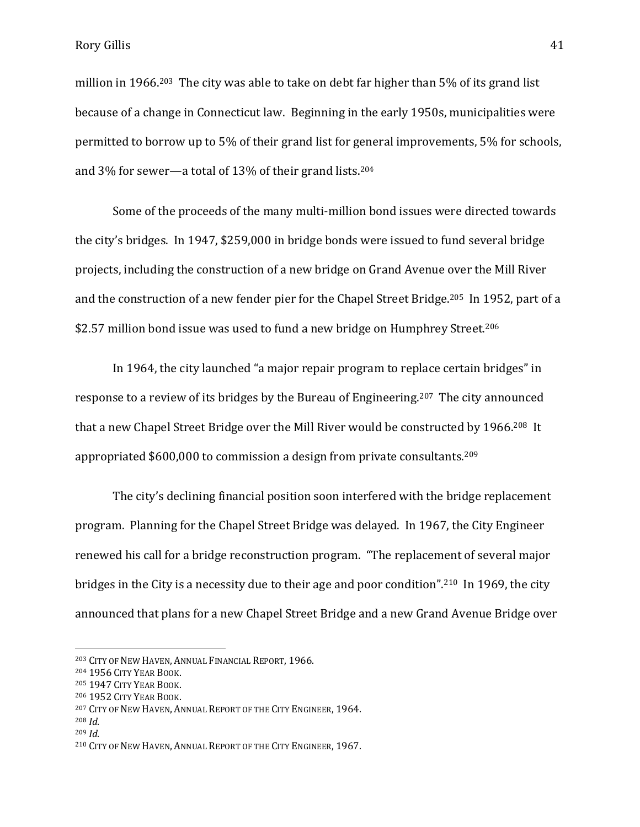Rory Gillis 41

million in 1966.203 The city was able to take on debt far higher than 5% of its grand list because of a change in Connecticut law. Beginning in the early 1950s, municipalities were permitted to borrow up to 5% of their grand list for general improvements, 5% for schools, and 3% for sewer—a total of 13% of their grand lists.<sup>204</sup>

Some of the proceeds of the many multi-million bond issues were directed towards the city's bridges. In 1947, \$259,000 in bridge bonds were issued to fund several bridge projects, including the construction of a new bridge on Grand Avenue over the Mill River and the construction of a new fender pier for the Chapel Street Bridge.205 In 1952, part of a \$2.57 million bond issue was used to fund a new bridge on Humphrey Street.<sup>206</sup>

In 1964, the city launched "a major repair program to replace certain bridges" in response to a review of its bridges by the Bureau of Engineering.207 The city announced that a new Chapel Street Bridge over the Mill River would be constructed by 1966.208 It appropriated \$600,000 to commission a design from private consultants.<sup>209</sup>

The city's declining financial position soon interfered with the bridge replacement program. Planning for the Chapel Street Bridge was delayed. In 1967, the City Engineer renewed his call for a bridge reconstruction program. "The replacement of several major bridges in the City is a necessity due to their age and poor condition".210 In 1969, the city announced that plans for a new Chapel Street Bridge and a new Grand Avenue Bridge over

<sup>203</sup> CITY OF NEW HAVEN, ANNUAL FINANCIAL REPORT, 1966.

<sup>204</sup> 1956 CITY YEAR BOOK.

<sup>205</sup> 1947 CITY YEAR BOOK.

<sup>206</sup> 1952 CITY YEAR BOOK.

<sup>207</sup> CITY OF NEW HAVEN, ANNUAL REPORT OF THE CITY ENGINEER, 1964.

<sup>208</sup> *Id*.

<sup>209</sup> *Id*.

<sup>210</sup> CITY OF NEW HAVEN, ANNUAL REPORT OF THE CITY ENGINEER, 1967.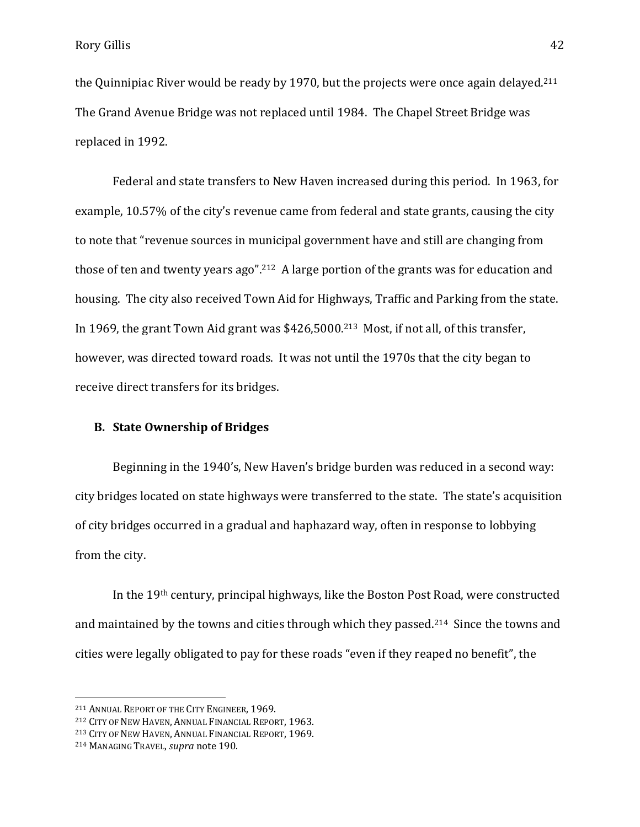the Quinnipiac River would be ready by 1970, but the projects were once again delayed.<sup>211</sup> The Grand Avenue Bridge was not replaced until 1984. The Chapel Street Bridge was replaced in 1992.

Federal and state transfers to New Haven increased during this period. In 1963, for example, 10.57% of the city's revenue came from federal and state grants, causing the city to note that "revenue sources in municipal government have and still are changing from those of ten and twenty years ago".212 A large portion of the grants was for education and housing. The city also received Town Aid for Highways, Traffic and Parking from the state. In 1969, the grant Town Aid grant was \$426,5000.<sup>213</sup> Most, if not all, of this transfer, however, was directed toward roads. It was not until the 1970s that the city began to receive direct transfers for its bridges.

## **B. State Ownership of Bridges**

Beginning in the 1940's, New Haven's bridge burden was reduced in a second way: city bridges located on state highways were transferred to the state. The state's acquisition of city bridges occurred in a gradual and haphazard way, often in response to lobbying from the city.

In the 19th century, principal highways, like the Boston Post Road, were constructed and maintained by the towns and cities through which they passed.214 Since the towns and cities were legally obligated to pay for these roads "even if they reaped no benefit", the

<sup>211</sup> ANNUAL REPORT OF THE CITY ENGINEER, 1969.

<sup>212</sup> CITY OF NEW HAVEN, ANNUAL FINANCIAL REPORT, 1963.

<sup>213</sup> CITY OF NEW HAVEN, ANNUAL FINANCIAL REPORT, 1969.

<sup>214</sup> MANAGING TRAVEL, *supra* note 190.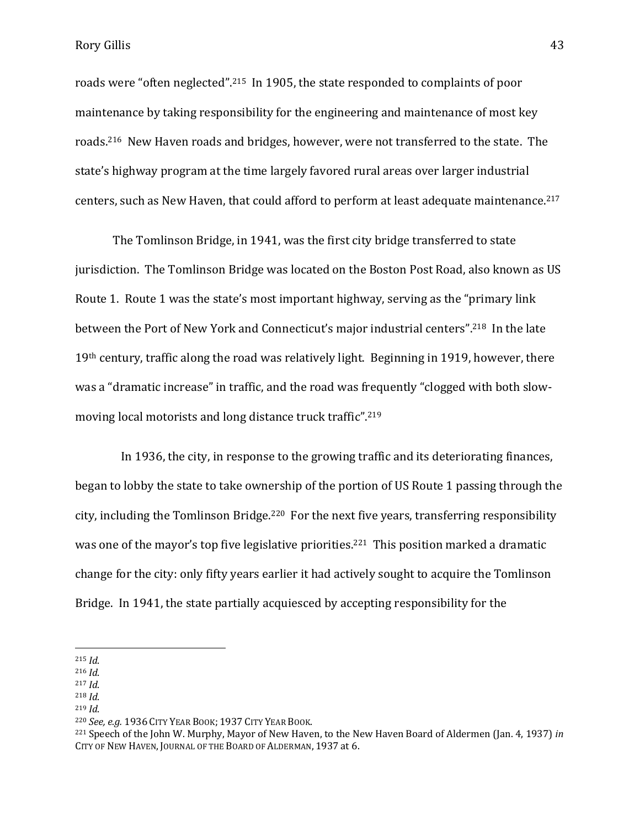Rory Gillis 43

roads were "often neglected".215 In 1905, the state responded to complaints of poor maintenance by taking responsibility for the engineering and maintenance of most key roads.216 New Haven roads and bridges, however, were not transferred to the state. The state's highway program at the time largely favored rural areas over larger industrial centers, such as New Haven, that could afford to perform at least adequate maintenance.<sup>217</sup>

The Tomlinson Bridge, in 1941, was the first city bridge transferred to state jurisdiction. The Tomlinson Bridge was located on the Boston Post Road, also known as US Route 1. Route 1 was the state's most important highway, serving as the "primary link between the Port of New York and Connecticut's major industrial centers".218 In the late 19th century, traffic along the road was relatively light. Beginning in 1919, however, there was a "dramatic increase" in traffic, and the road was frequently "clogged with both slowmoving local motorists and long distance truck traffic".<sup>219</sup>

 In 1936, the city, in response to the growing traffic and its deteriorating finances, began to lobby the state to take ownership of the portion of US Route 1 passing through the city, including the Tomlinson Bridge.<sup>220</sup> For the next five years, transferring responsibility was one of the mayor's top five legislative priorities.<sup>221</sup> This position marked a dramatic change for the city: only fifty years earlier it had actively sought to acquire the Tomlinson Bridge. In 1941, the state partially acquiesced by accepting responsibility for the

<sup>215</sup> *Id*.

<sup>216</sup> *Id*.

<sup>217</sup> *Id*.

<sup>218</sup> *Id*.

<sup>219</sup> *Id*.

<sup>220</sup> *See, e.g.* 1936 CITY YEAR BOOK; 1937 CITY YEAR BOOK.

<sup>221</sup> Speech of the John W. Murphy, Mayor of New Haven, to the New Haven Board of Aldermen (Jan. 4, 1937) *in*  CITY OF NEW HAVEN, JOURNAL OF THE BOARD OF ALDERMAN, 1937 at 6.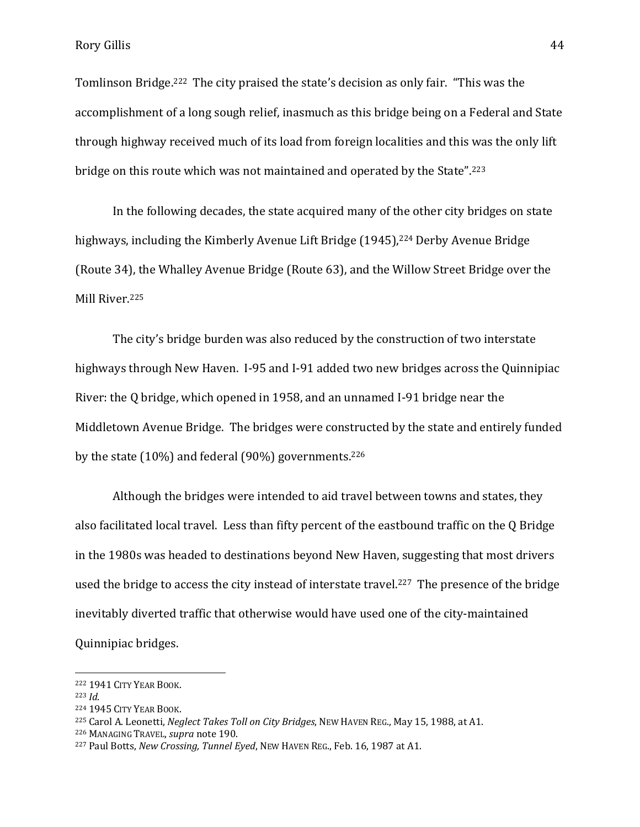Tomlinson Bridge.<sup>222</sup> The city praised the state's decision as only fair. "This was the accomplishment of a long sough relief, inasmuch as this bridge being on a Federal and State through highway received much of its load from foreign localities and this was the only lift bridge on this route which was not maintained and operated by the State".<sup>223</sup>

In the following decades, the state acquired many of the other city bridges on state highways, including the Kimberly Avenue Lift Bridge (1945),<sup>224</sup> Derby Avenue Bridge (Route 34), the Whalley Avenue Bridge (Route 63), and the Willow Street Bridge over the Mill River.<sup>225</sup>

The city's bridge burden was also reduced by the construction of two interstate highways through New Haven. I-95 and I-91 added two new bridges across the Quinnipiac River: the Q bridge, which opened in 1958, and an unnamed I-91 bridge near the Middletown Avenue Bridge. The bridges were constructed by the state and entirely funded by the state  $(10\%)$  and federal  $(90\%)$  governments.<sup>226</sup>

Although the bridges were intended to aid travel between towns and states, they also facilitated local travel. Less than fifty percent of the eastbound traffic on the Q Bridge in the 1980s was headed to destinations beyond New Haven, suggesting that most drivers used the bridge to access the city instead of interstate travel.<sup>227</sup> The presence of the bridge inevitably diverted traffic that otherwise would have used one of the city-maintained Quinnipiac bridges.

<sup>223</sup> *Id*.

<sup>222</sup> 1941 CITY YEAR BOOK.

<sup>224</sup> 1945 CITY YEAR BOOK.

<sup>225</sup> Carol A. Leonetti, *Neglect Takes Toll on City Bridges*, NEW HAVEN REG., May 15, 1988, at A1.

<sup>226</sup> MANAGING TRAVEL, *supra* note 190.

<sup>227</sup> Paul Botts, *New Crossing, Tunnel Eyed*, NEW HAVEN REG., Feb. 16, 1987 at A1.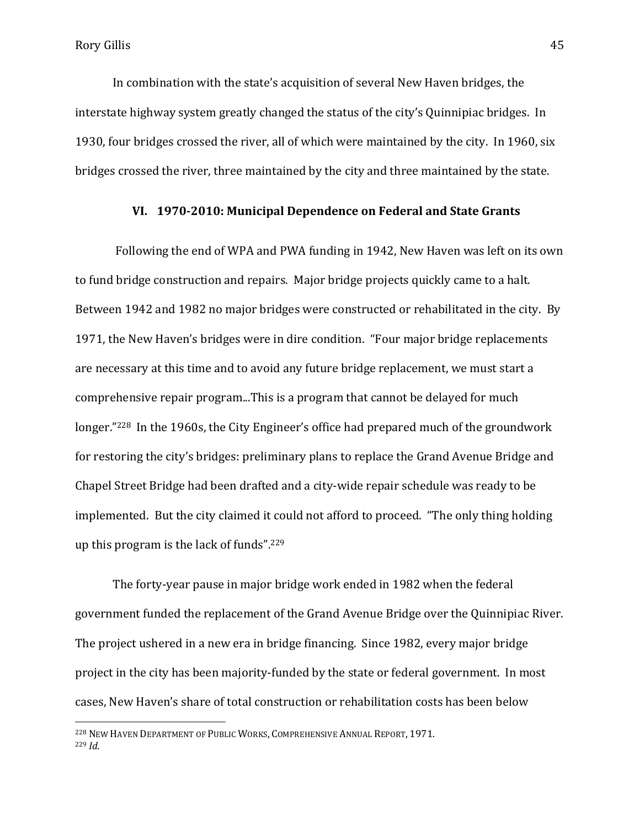$\overline{a}$ 

In combination with the state's acquisition of several New Haven bridges, the interstate highway system greatly changed the status of the city's Quinnipiac bridges. In 1930, four bridges crossed the river, all of which were maintained by the city. In 1960, six bridges crossed the river, three maintained by the city and three maintained by the state.

## **VI. 1970-2010: Municipal Dependence on Federal and State Grants**

Following the end of WPA and PWA funding in 1942, New Haven was left on its own to fund bridge construction and repairs. Major bridge projects quickly came to a halt. Between 1942 and 1982 no major bridges were constructed or rehabilitated in the city. By 1971, the New Haven's bridges were in dire condition. "Four major bridge replacements are necessary at this time and to avoid any future bridge replacement, we must start a comprehensive repair program...This is a program that cannot be delayed for much longer."228 In the 1960s, the City Engineer's office had prepared much of the groundwork for restoring the city's bridges: preliminary plans to replace the Grand Avenue Bridge and Chapel Street Bridge had been drafted and a city-wide repair schedule was ready to be implemented. But the city claimed it could not afford to proceed. "The only thing holding up this program is the lack of funds".<sup>229</sup>

The forty-year pause in major bridge work ended in 1982 when the federal government funded the replacement of the Grand Avenue Bridge over the Quinnipiac River. The project ushered in a new era in bridge financing. Since 1982, every major bridge project in the city has been majority-funded by the state or federal government. In most cases, New Haven's share of total construction or rehabilitation costs has been below

<sup>228</sup> NEW HAVEN DEPARTMENT OF PUBLIC WORKS, COMPREHENSIVE ANNUAL REPORT, 1971. <sup>229</sup> *Id*.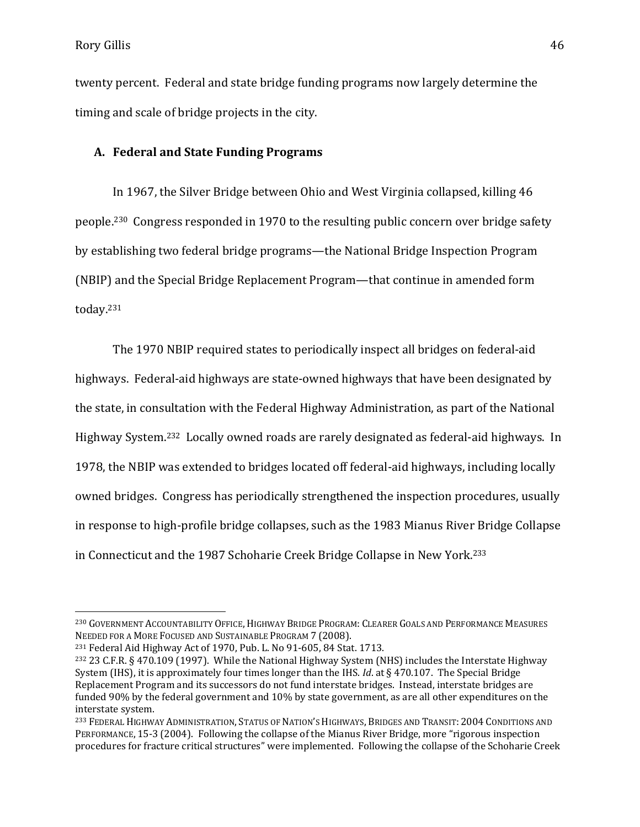$\overline{a}$ 

twenty percent. Federal and state bridge funding programs now largely determine the timing and scale of bridge projects in the city.

# **A. Federal and State Funding Programs**

In 1967, the Silver Bridge between Ohio and West Virginia collapsed, killing 46 people.230 Congress responded in 1970 to the resulting public concern over bridge safety by establishing two federal bridge programs—the National Bridge Inspection Program (NBIP) and the Special Bridge Replacement Program—that continue in amended form today.<sup>231</sup>

The 1970 NBIP required states to periodically inspect all bridges on federal-aid highways. Federal-aid highways are state-owned highways that have been designated by the state, in consultation with the Federal Highway Administration, as part of the National Highway System.232 Locally owned roads are rarely designated as federal-aid highways. In 1978, the NBIP was extended to bridges located off federal-aid highways, including locally owned bridges. Congress has periodically strengthened the inspection procedures, usually in response to high-profile bridge collapses, such as the 1983 Mianus River Bridge Collapse in Connecticut and the 1987 Schoharie Creek Bridge Collapse in New York.<sup>233</sup>

<sup>230</sup> GOVERNMENT ACCOUNTABILITY OFFICE, HIGHWAY BRIDGE PROGRAM: CLEARER GOALS AND PERFORMANCE MEASURES NEEDED FOR A MORE FOCUSED AND SUSTAINABLE PROGRAM 7 (2008).

<sup>231</sup> Federal Aid Highway Act of 1970, Pub. L. No 91-605, 84 Stat. 1713.

<sup>232</sup> 23 C.F.R. § 470.109 (1997). While the National Highway System (NHS) includes the Interstate Highway System (IHS), it is approximately four times longer than the IHS. *Id*. at § 470.107. The Special Bridge Replacement Program and its successors do not fund interstate bridges. Instead, interstate bridges are funded 90% by the federal government and 10% by state government, as are all other expenditures on the interstate system.

<sup>233</sup> FEDERAL HIGHWAY ADMINISTRATION, STATUS OF NATION'S HIGHWAYS, BRIDGES AND TRANSIT: 2004 CONDITIONS AND PERFORMANCE, 15-3 (2004). Following the collapse of the Mianus River Bridge, more "rigorous inspection procedures for fracture critical structures" were implemented. Following the collapse of the Schoharie Creek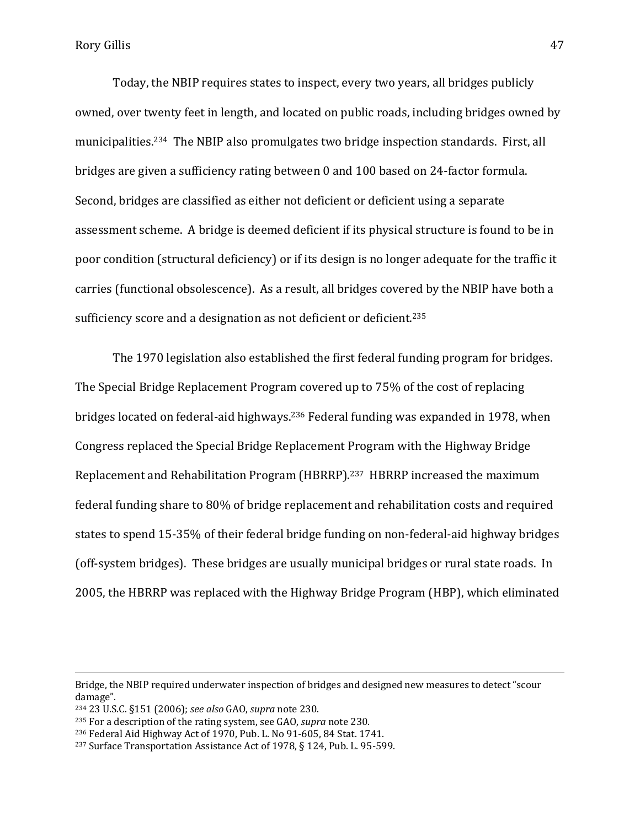Today, the NBIP requires states to inspect, every two years, all bridges publicly owned, over twenty feet in length, and located on public roads, including bridges owned by municipalities.234 The NBIP also promulgates two bridge inspection standards. First, all bridges are given a sufficiency rating between 0 and 100 based on 24-factor formula. Second, bridges are classified as either not deficient or deficient using a separate assessment scheme. A bridge is deemed deficient if its physical structure is found to be in poor condition (structural deficiency) or if its design is no longer adequate for the traffic it carries (functional obsolescence). As a result, all bridges covered by the NBIP have both a sufficiency score and a designation as not deficient or deficient.<sup>235</sup>

The 1970 legislation also established the first federal funding program for bridges. The Special Bridge Replacement Program covered up to 75% of the cost of replacing bridges located on federal-aid highways. <sup>236</sup> Federal funding was expanded in 1978, when Congress replaced the Special Bridge Replacement Program with the Highway Bridge Replacement and Rehabilitation Program (HBRRP).237 HBRRP increased the maximum federal funding share to 80% of bridge replacement and rehabilitation costs and required states to spend 15-35% of their federal bridge funding on non-federal-aid highway bridges (off-system bridges). These bridges are usually municipal bridges or rural state roads. In 2005, the HBRRP was replaced with the Highway Bridge Program (HBP), which eliminated

Bridge, the NBIP required underwater inspection of bridges and designed new measures to detect "scour damage".

<sup>234</sup> 23 U.S.C. §151 (2006); *see also* GAO, *supra* note 230.

<sup>235</sup> For a description of the rating system, see GAO, *supra* note 230.

<sup>236</sup> Federal Aid Highway Act of 1970, Pub. L. No 91-605, 84 Stat. 1741.

<sup>237</sup> Surface Transportation Assistance Act of 1978, § 124, Pub. L. 95-599.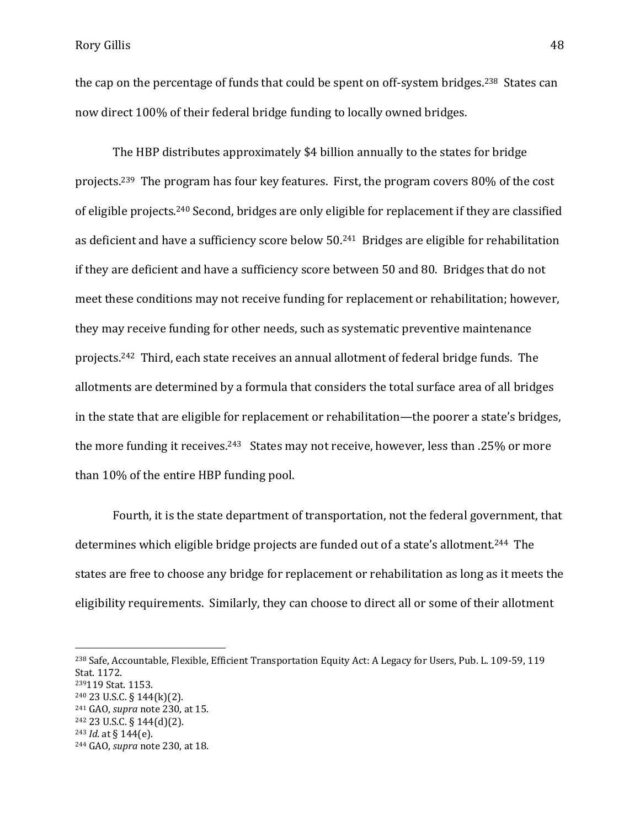the cap on the percentage of funds that could be spent on off-system bridges.<sup>238</sup> States can now direct 100% of their federal bridge funding to locally owned bridges.

The HBP distributes approximately \$4 billion annually to the states for bridge projects.239 The program has four key features. First, the program covers 80% of the cost of eligible projects.<sup>240</sup> Second, bridges are only eligible for replacement if they are classified as deficient and have a sufficiency score below 50.<sup>241</sup> Bridges are eligible for rehabilitation if they are deficient and have a sufficiency score between 50 and 80. Bridges that do not meet these conditions may not receive funding for replacement or rehabilitation; however, they may receive funding for other needs, such as systematic preventive maintenance projects.242 Third, each state receives an annual allotment of federal bridge funds. The allotments are determined by a formula that considers the total surface area of all bridges in the state that are eligible for replacement or rehabilitation—the poorer a state's bridges, the more funding it receives.<sup>243</sup> States may not receive, however, less than .25% or more than 10% of the entire HBP funding pool.

Fourth, it is the state department of transportation, not the federal government, that determines which eligible bridge projects are funded out of a state's allotment.244 The states are free to choose any bridge for replacement or rehabilitation as long as it meets the eligibility requirements. Similarly, they can choose to direct all or some of their allotment

<sup>238</sup> Safe, Accountable, Flexible, Efficient Transportation Equity Act: A Legacy for Users, Pub. L. 109-59, 119 Stat. 1172.

<sup>239</sup>119 Stat. 1153.

 $240$  23 U.S.C. § 144(k)(2).

<sup>241</sup> GAO, *supra* note 230, at 15.

 $242$  23 U.S.C. § 144(d)(2).

<sup>243</sup> *Id*. at § 144(e).

<sup>244</sup> GAO, *supra* note 230, at 18.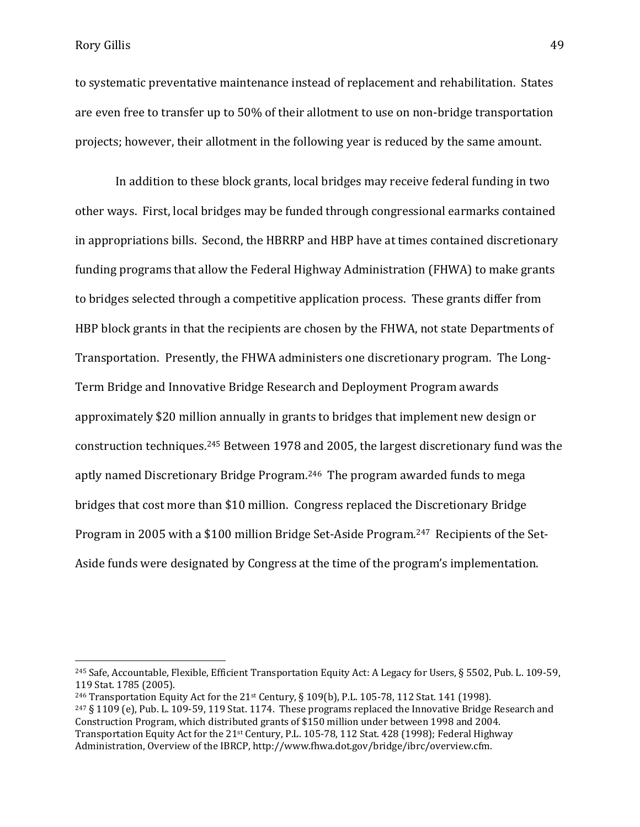Rory Gillis 49

 $\overline{a}$ 

to systematic preventative maintenance instead of replacement and rehabilitation. States are even free to transfer up to 50% of their allotment to use on non-bridge transportation projects; however, their allotment in the following year is reduced by the same amount.

In addition to these block grants, local bridges may receive federal funding in two other ways. First, local bridges may be funded through congressional earmarks contained in appropriations bills. Second, the HBRRP and HBP have at times contained discretionary funding programs that allow the Federal Highway Administration (FHWA) to make grants to bridges selected through a competitive application process. These grants differ from HBP block grants in that the recipients are chosen by the FHWA, not state Departments of Transportation. Presently, the FHWA administers one discretionary program. The Long-Term Bridge and Innovative Bridge Research and Deployment Program awards approximately \$20 million annually in grants to bridges that implement new design or construction techniques. <sup>245</sup> Between 1978 and 2005, the largest discretionary fund was the aptly named Discretionary Bridge Program. <sup>246</sup> The program awarded funds to mega bridges that cost more than \$10 million. Congress replaced the Discretionary Bridge Program in 2005 with a \$100 million Bridge Set-Aside Program.<sup>247</sup> Recipients of the Set-Aside funds were designated by Congress at the time of the program's implementation.

<sup>245</sup> Safe, Accountable, Flexible, Efficient Transportation Equity Act: A Legacy for Users, § 5502, Pub. L. 109-59, 119 Stat. 1785 (2005).

<sup>&</sup>lt;sup>246</sup> Transportation Equity Act for the 21<sup>st</sup> Century, § 109(b), P.L. 105-78, 112 Stat. 141 (1998).

<sup>247</sup> § 1109 (e), Pub. L. 109-59, 119 Stat. 1174. These programs replaced the Innovative Bridge Research and Construction Program, which distributed grants of \$150 million under between 1998 and 2004. Transportation Equity Act for the 21<sup>st</sup> Century, P.L. 105-78, 112 Stat. 428 (1998); Federal Highway Administration, Overview of the IBRCP, http://www.fhwa.dot.gov/bridge/ibrc/overview.cfm.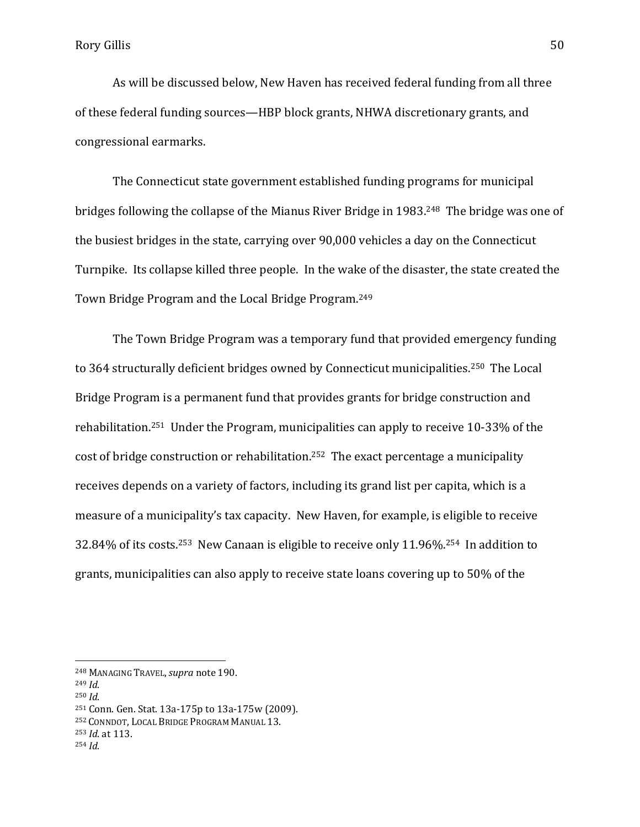As will be discussed below, New Haven has received federal funding from all three of these federal funding sources—HBP block grants, NHWA discretionary grants, and congressional earmarks.

The Connecticut state government established funding programs for municipal bridges following the collapse of the Mianus River Bridge in 1983. <sup>248</sup> The bridge was one of the busiest bridges in the state, carrying over 90,000 vehicles a day on the Connecticut Turnpike. Its collapse killed three people. In the wake of the disaster, the state created the Town Bridge Program and the Local Bridge Program.<sup>249</sup>

The Town Bridge Program was a temporary fund that provided emergency funding to 364 structurally deficient bridges owned by Connecticut municipalities.<sup>250</sup> The Local Bridge Program is a permanent fund that provides grants for bridge construction and rehabilitation.<sup>251</sup> Under the Program, municipalities can apply to receive 10-33% of the cost of bridge construction or rehabilitation.252 The exact percentage a municipality receives depends on a variety of factors, including its grand list per capita, which is a measure of a municipality's tax capacity. New Haven, for example, is eligible to receive 32.84% of its costs.253 New Canaan is eligible to receive only 11.96%.254 In addition to grants, municipalities can also apply to receive state loans covering up to 50% of the

 $\overline{a}$ 

<sup>253</sup> *Id*. at 113.

<sup>248</sup> MANAGING TRAVEL,*supra* note 190.

<sup>249</sup> *Id*.

<sup>250</sup> *Id*.

<sup>251</sup> Conn. Gen. Stat. 13a-175p to 13a-175w (2009).

<sup>252</sup> CONNDOT, LOCAL BRIDGE PROGRAM MANUAL 13.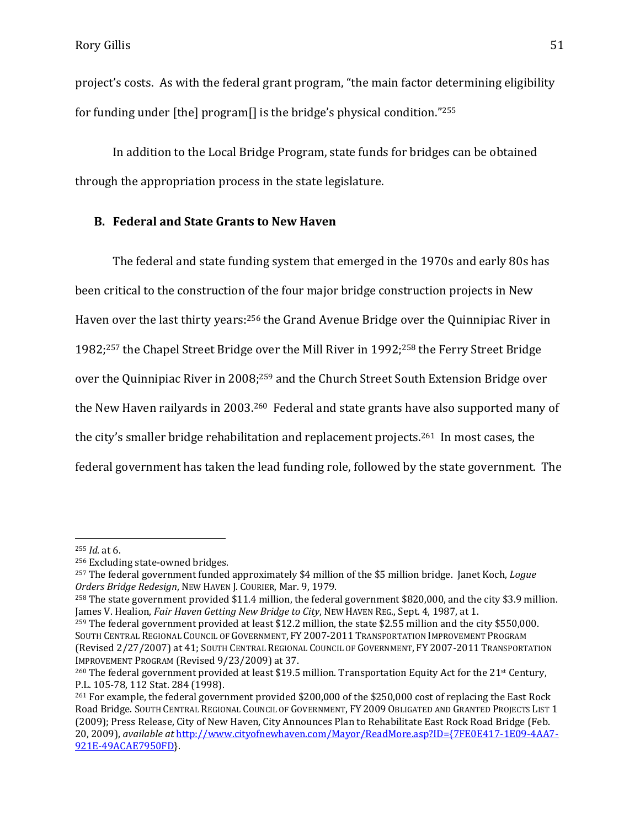project's costs. As with the federal grant program, "the main factor determining eligibility for funding under [the] program[] is the bridge's physical condition." 255

In addition to the Local Bridge Program, state funds for bridges can be obtained through the appropriation process in the state legislature.

# **B. Federal and State Grants to New Haven**

The federal and state funding system that emerged in the 1970s and early 80s has been critical to the construction of the four major bridge construction projects in New Haven over the last thirty years:<sup>256</sup> the Grand Avenue Bridge over the Quinnipiac River in 1982;<sup>257</sup> the Chapel Street Bridge over the Mill River in 1992;<sup>258</sup> the Ferry Street Bridge over the Quinnipiac River in 2008;<sup>259</sup> and the Church Street South Extension Bridge over the New Haven railyards in 2003. <sup>260</sup> Federal and state grants have also supported many of the city's smaller bridge rehabilitation and replacement projects.<sup>261</sup> In most cases, the federal government has taken the lead funding role, followed by the state government. The

<sup>255</sup> *Id*. at 6.

<sup>256</sup> Excluding state-owned bridges.

<sup>257</sup> The federal government funded approximately \$4 million of the \$5 million bridge. Janet Koch, *Logue Orders Bridge Redesign*, NEW HAVEN J. COURIER, Mar. 9, 1979.

<sup>258</sup> The state government provided \$11.4 million, the federal government \$820,000, and the city \$3.9 million. James V. Healion, *Fair Haven Getting New Bridge to City*, NEW HAVEN REG., Sept. 4, 1987, at 1.

<sup>259</sup> The federal government provided at least \$12.2 million, the state \$2.55 million and the city \$550,000. SOUTH CENTRAL REGIONAL COUNCIL OF GOVERNMENT, FY 2007-2011 TRANSPORTATION IMPROVEMENT PROGRAM (Revised 2/27/2007) at 41; SOUTH CENTRAL REGIONAL COUNCIL OF GOVERNMENT, FY 2007-2011 TRANSPORTATION IMPROVEMENT PROGRAM (Revised 9/23/2009) at 37.

<sup>&</sup>lt;sup>260</sup> The federal government provided at least \$19.5 million. Transportation Equity Act for the 21<sup>st</sup> Century, P.L. 105-78, 112 Stat. 284 (1998).

<sup>&</sup>lt;sup>261</sup> For example, the federal government provided \$200,000 of the \$250,000 cost of replacing the East Rock Road Bridge. SOUTH CENTRAL REGIONAL COUNCIL OF GOVERNMENT, FY 2009 OBLIGATED AND GRANTED PROJECTS LIST 1 (2009); Press Release, City of New Haven, City Announces Plan to Rehabilitate East Rock Road Bridge (Feb. 20, 2009), *available at* [http://www.cityofnewhaven.com/Mayor/ReadMore.asp?ID={7FE0E417-1E09-4AA7-](http://www.cityofnewhaven.com/Mayor/ReadMore.asp?ID=%7b7FE0E417-1E09-4AA7-921E-49ACAE7950FD) [921E-49ACAE7950FD}](http://www.cityofnewhaven.com/Mayor/ReadMore.asp?ID=%7b7FE0E417-1E09-4AA7-921E-49ACAE7950FD).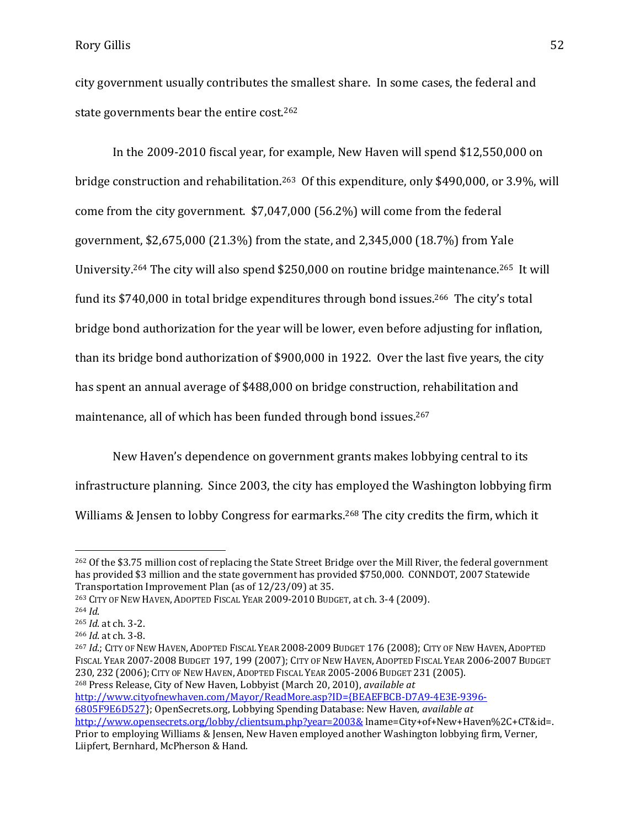city government usually contributes the smallest share. In some cases, the federal and state governments bear the entire cost.<sup>262</sup>

In the 2009-2010 fiscal year, for example, New Haven will spend \$12,550,000 on bridge construction and rehabilitation.<sup>263</sup> Of this expenditure, only \$490,000, or 3.9%, will come from the city government. \$7,047,000 (56.2%) will come from the federal government, \$2,675,000 (21.3%) from the state, and 2,345,000 (18.7%) from Yale University.<sup>264</sup> The city will also spend \$250,000 on routine bridge maintenance.<sup>265</sup> It will fund its \$740,000 in total bridge expenditures through bond issues.<sup>266</sup> The city's total bridge bond authorization for the year will be lower, even before adjusting for inflation, than its bridge bond authorization of \$900,000 in 1922. Over the last five years, the city has spent an annual average of \$488,000 on bridge construction, rehabilitation and maintenance, all of which has been funded through bond issues.<sup>267</sup>

New Haven's dependence on government grants makes lobbying central to its infrastructure planning. Since 2003, the city has employed the Washington lobbying firm Williams & Jensen to lobby Congress for earmarks.<sup>268</sup> The city credits the firm, which it

l

[http://www.cityofnewhaven.com/Mayor/ReadMore.asp?ID={BEAEFBCB-D7A9-4E3E-9396-](http://www.cityofnewhaven.com/Mayor/ReadMore.asp?ID=%7bBEAEFBCB-D7A9-4E3E-9396-6805F9E6D527)

<sup>262</sup> Of the \$3.75 million cost of replacing the State Street Bridge over the Mill River, the federal government has provided \$3 million and the state government has provided \$750,000. CONNDOT, 2007 Statewide Transportation Improvement Plan (as of 12/23/09) at 35.

<sup>263</sup> CITY OF NEW HAVEN, ADOPTED FISCAL YEAR 2009-2010 BUDGET, at ch. 3-4 (2009).

<sup>264</sup> *Id*.

<sup>265</sup> *Id*. at ch. 3-2.

<sup>266</sup> *Id*. at ch. 3-8.

<sup>267</sup> *Id*.; CITY OF NEW HAVEN, ADOPTED FISCAL YEAR 2008-2009 BUDGET 176 (2008); CITY OF NEW HAVEN, ADOPTED FISCAL YEAR 2007-2008 BUDGET 197, 199 (2007); CITY OF NEW HAVEN, ADOPTED FISCAL YEAR 2006-2007 BUDGET 230, 232 (2006); CITY OF NEW HAVEN, ADOPTED FISCAL YEAR 2005-2006 BUDGET 231 (2005). <sup>268</sup> Press Release, City of New Haven, Lobbyist (March 20, 2010), *available at* 

[<sup>6805</sup>F9E6D527}](http://www.cityofnewhaven.com/Mayor/ReadMore.asp?ID=%7bBEAEFBCB-D7A9-4E3E-9396-6805F9E6D527); OpenSecrets.org, Lobbying Spending Database: New Haven, *available at* <http://www.opensecrets.org/lobby/clientsum.php?year=2003&> lname=City+of+New+Haven%2C+CT&id=. Prior to employing Williams & Jensen, New Haven employed another Washington lobbying firm, Verner, Liipfert, Bernhard, McPherson & Hand.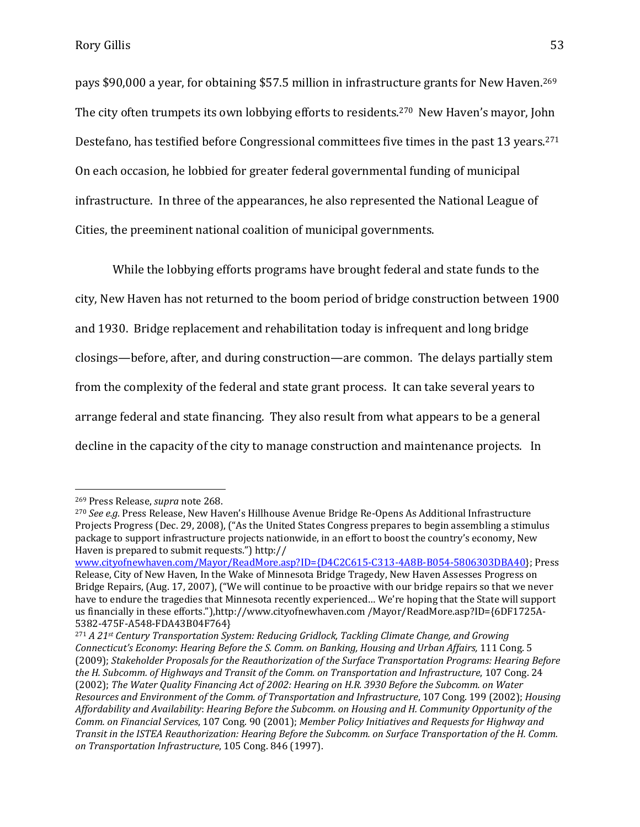pays \$90,000 a year, for obtaining \$57.5 million in infrastructure grants for New Haven. <sup>269</sup> The city often trumpets its own lobbying efforts to residents.<sup>270</sup> New Haven's mayor, John Destefano, has testified before Congressional committees five times in the past 13 years.<sup>271</sup> On each occasion, he lobbied for greater federal governmental funding of municipal infrastructure. In three of the appearances, he also represented the National League of Cities, the preeminent national coalition of municipal governments.

While the lobbying efforts programs have brought federal and state funds to the city, New Haven has not returned to the boom period of bridge construction between 1900 and 1930. Bridge replacement and rehabilitation today is infrequent and long bridge closings—before, after, and during construction—are common. The delays partially stem from the complexity of the federal and state grant process. It can take several years to arrange federal and state financing. They also result from what appears to be a general decline in the capacity of the city to manage construction and maintenance projects. In

<sup>269</sup> Press Release, *supra* note 268.

<sup>270</sup> *See e.g.* Press Release, New Haven's Hillhouse Avenue Bridge Re-Opens As Additional Infrastructure Projects Progress (Dec. 29, 2008), ("As the United States Congress prepares to begin assembling a stimulus package to support infrastructure projects nationwide, in an effort to boost the country's economy, New Haven is prepared to submit requests.") http://

[www.cityofnewhaven.com/Mayor/ReadMore.asp?ID={D4C2C615-C313-4A8B-B054-5806303DBA40}](http://www.cityofnewhaven.com/Mayor/ReadMore.asp?ID=%7bD4C2C615-C313-4A8B-B054-5806303DBA40); Press Release, City of New Haven, In the Wake of Minnesota Bridge Tragedy, New Haven Assesses Progress on Bridge Repairs, (Aug. 17, 2007), ("We will continue to be proactive with our bridge repairs so that we never have to endure the tragedies that Minnesota recently experienced… We're hoping that the State will support us financially in these efforts."),http://www.cityofnewhaven.com /Mayor/ReadMore.asp?ID={6DF1725A-5382-475F-A548-FDA43B04F764}

<sup>271</sup> *A 21st Century Transportation System: Reducing Gridlock, Tackling Climate Change, and Growing Connecticut's Economy*: *Hearing Before the S. Comm. on Banking, Housing and Urban Affairs,* 111 Cong. 5 (2009); *Stakeholder Proposals for the Reauthorization of the Surface Transportation Programs: Hearing Before the H. Subcomm. of Highways and Transit of the Comm. on Transportation and Infrastructure*, 107 Cong. 24 (2002); *The Water Quality Financing Act of 2002: Hearing on H.R. 3930 Before the Subcomm. on Water Resources and Environment of the Comm. of Transportation and Infrastructure*, 107 Cong. 199 (2002); *Housing Affordability and Availability*: *Hearing Before the Subcomm. on Housing and H. Community Opportunity of the Comm. on Financial Services*, 107 Cong. 90 (2001); *Member Policy Initiatives and Requests for Highway and Transit in the ISTEA Reauthorization: Hearing Before the Subcomm. on Surface Transportation of the H. Comm. on Transportation Infrastructure*, 105 Cong. 846 (1997).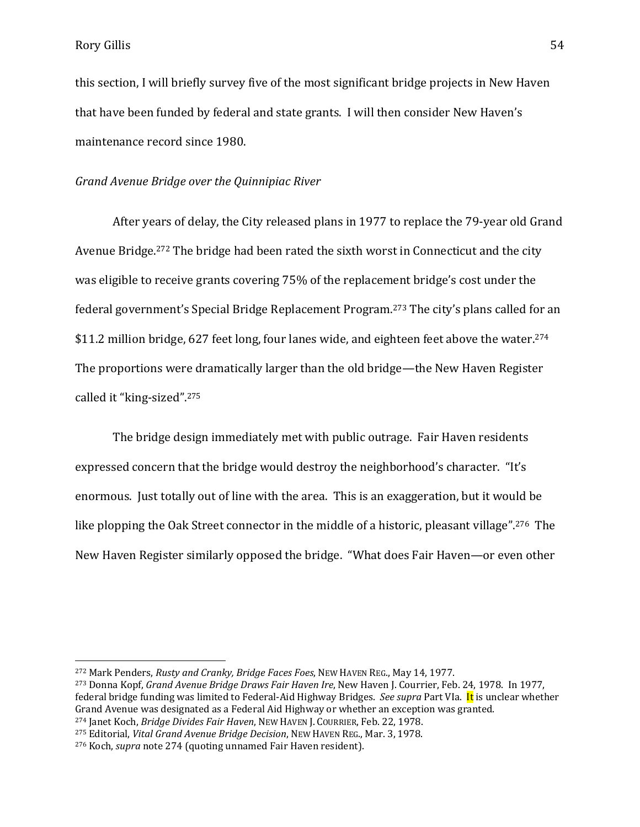$\overline{a}$ 

this section, I will briefly survey five of the most significant bridge projects in New Haven that have been funded by federal and state grants. I will then consider New Haven's maintenance record since 1980.

# *Grand Avenue Bridge over the Quinnipiac River*

After years of delay, the City released plans in 1977 to replace the 79-year old Grand Avenue Bridge.<sup>272</sup> The bridge had been rated the sixth worst in Connecticut and the city was eligible to receive grants covering 75% of the replacement bridge's cost under the federal government's Special Bridge Replacement Program. <sup>273</sup> The city's plans called for an \$11.2 million bridge, 627 feet long, four lanes wide, and eighteen feet above the water.<sup>274</sup> The proportions were dramatically larger than the old bridge—the New Haven Register called it "king-sized".<sup>275</sup>

The bridge design immediately met with public outrage. Fair Haven residents expressed concern that the bridge would destroy the neighborhood's character. "It's enormous. Just totally out of line with the area. This is an exaggeration, but it would be like plopping the Oak Street connector in the middle of a historic, pleasant village".<sup>276</sup> The New Haven Register similarly opposed the bridge. "What does Fair Haven—or even other

<sup>272</sup> Mark Penders, *Rusty and Cranky, Bridge Faces Foes*, NEW HAVEN REG., May 14, 1977.

<sup>273</sup> Donna Kopf, *Grand Avenue Bridge Draws Fair Haven Ire*, New Haven J. Courrier, Feb. 24, 1978. In 1977, federal bridge funding was limited to Federal-Aid Highway Bridges. *See supra* Part VIa. It is unclear whether Grand Avenue was designated as a Federal Aid Highway or whether an exception was granted.

<sup>274</sup> Janet Koch, *Bridge Divides Fair Haven*, NEW HAVEN J. COURRIER, Feb. 22, 1978.

<sup>275</sup> Editorial, *Vital Grand Avenue Bridge Decision*, NEW HAVEN REG., Mar. 3, 1978.

<sup>276</sup> Koch, *supra* note 274 (quoting unnamed Fair Haven resident).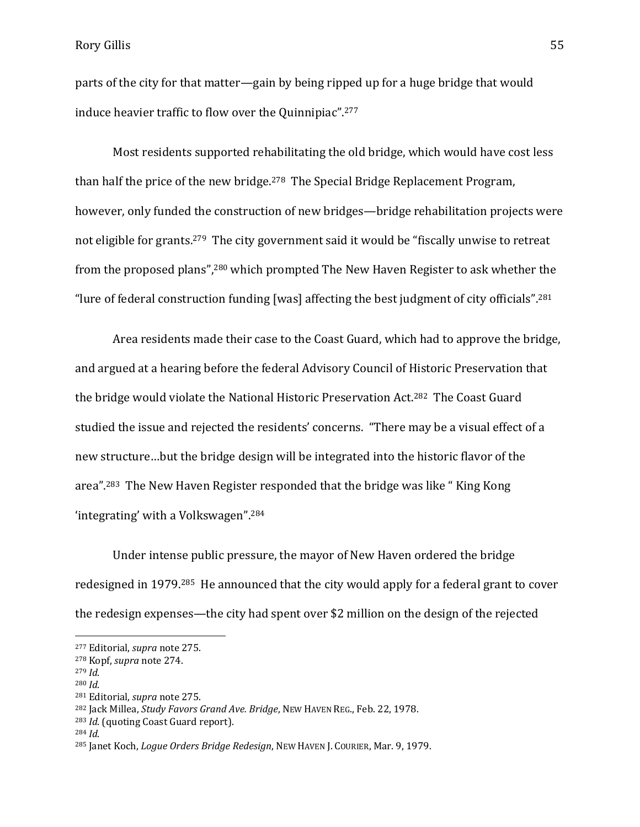parts of the city for that matter—gain by being ripped up for a huge bridge that would induce heavier traffic to flow over the Quinnipiac".<sup>277</sup>

Most residents supported rehabilitating the old bridge, which would have cost less than half the price of the new bridge.<sup>278</sup> The Special Bridge Replacement Program, however, only funded the construction of new bridges—bridge rehabilitation projects were not eligible for grants.<sup>279</sup> The city government said it would be "fiscally unwise to retreat from the proposed plans",<sup>280</sup> which prompted The New Haven Register to ask whether the "lure of federal construction funding [was] affecting the best judgment of city officials".<sup>281</sup>

Area residents made their case to the Coast Guard, which had to approve the bridge, and argued at a hearing before the federal Advisory Council of Historic Preservation that the bridge would violate the National Historic Preservation Act.282 The Coast Guard studied the issue and rejected the residents' concerns. "There may be a visual effect of a new structure…but the bridge design will be integrated into the historic flavor of the area".<sup>283</sup> The New Haven Register responded that the bridge was like " King Kong 'integrating' with a Volkswagen".<sup>284</sup>

Under intense public pressure, the mayor of New Haven ordered the bridge redesigned in 1979.285 He announced that the city would apply for a federal grant to cover the redesign expenses—the city had spent over \$2 million on the design of the rejected

<sup>277</sup> Editorial, *supra* note 275.

<sup>278</sup> Kopf, *supra* note 274.

<sup>279</sup> *Id*.

<sup>280</sup> *Id*.

<sup>281</sup> Editorial, *supra* note 275.

<sup>282</sup> Jack Millea, *Study Favors Grand Ave. Bridge*, NEW HAVEN REG., Feb. 22, 1978.

<sup>283</sup> *Id*. (quoting Coast Guard report).

<sup>284</sup> *Id*.

<sup>285</sup> Janet Koch, *Logue Orders Bridge Redesign*, NEW HAVEN J. COURIER, Mar. 9, 1979.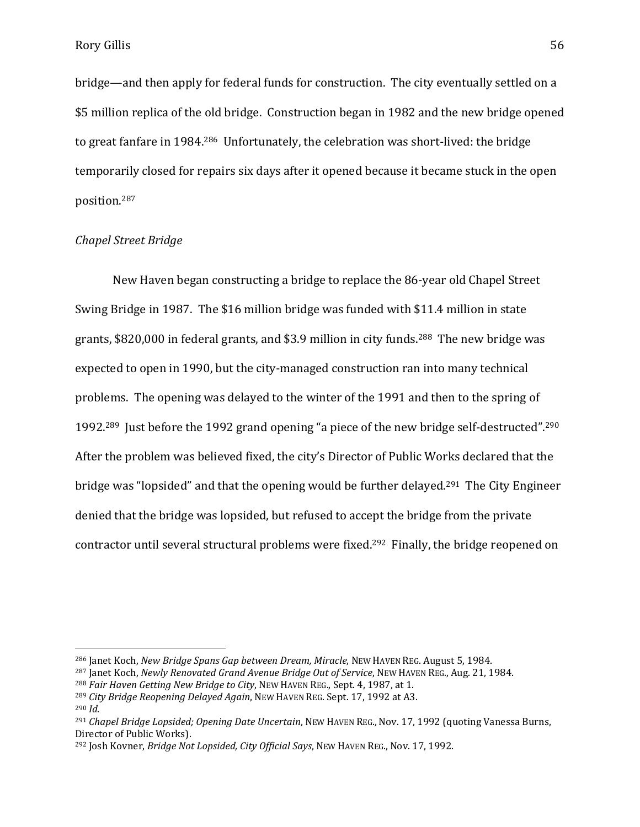bridge—and then apply for federal funds for construction. The city eventually settled on a \$5 million replica of the old bridge. Construction began in 1982 and the new bridge opened to great fanfare in 1984.<sup>286</sup> Unfortunately, the celebration was short-lived: the bridge temporarily closed for repairs six days after it opened because it became stuck in the open position.<sup>287</sup>

#### *Chapel Street Bridge*

New Haven began constructing a bridge to replace the 86-year old Chapel Street Swing Bridge in 1987. The \$16 million bridge was funded with \$11.4 million in state grants, \$820,000 in federal grants, and \$3.9 million in city funds.288 The new bridge was expected to open in 1990, but the city-managed construction ran into many technical problems. The opening was delayed to the winter of the 1991 and then to the spring of 1992.<sup>289</sup> Just before the 1992 grand opening "a piece of the new bridge self-destructed".<sup>290</sup> After the problem was believed fixed, the city's Director of Public Works declared that the bridge was "lopsided" and that the opening would be further delayed.291 The City Engineer denied that the bridge was lopsided, but refused to accept the bridge from the private contractor until several structural problems were fixed.292 Finally, the bridge reopened on

<sup>286</sup> Janet Koch, *New Bridge Spans Gap between Dream, Miracle*, NEW HAVEN REG. August 5, 1984.

<sup>287</sup> Janet Koch, *Newly Renovated Grand Avenue Bridge Out of Service*, NEW HAVEN REG., Aug. 21, 1984.

<sup>288</sup> *Fair Haven Getting New Bridge to City*, NEW HAVEN REG., Sept. 4, 1987, at 1.

<sup>289</sup> *City Bridge Reopening Delayed Again*, NEW HAVEN REG. Sept. 17, 1992 at A3.

<sup>290</sup> *Id*.

<sup>291</sup> *Chapel Bridge Lopsided; Opening Date Uncertain*, NEW HAVEN REG., Nov. 17, 1992 (quoting Vanessa Burns, Director of Public Works).

<sup>292</sup> Josh Kovner, *Bridge Not Lopsided, City Official Says*, NEW HAVEN REG., Nov. 17, 1992.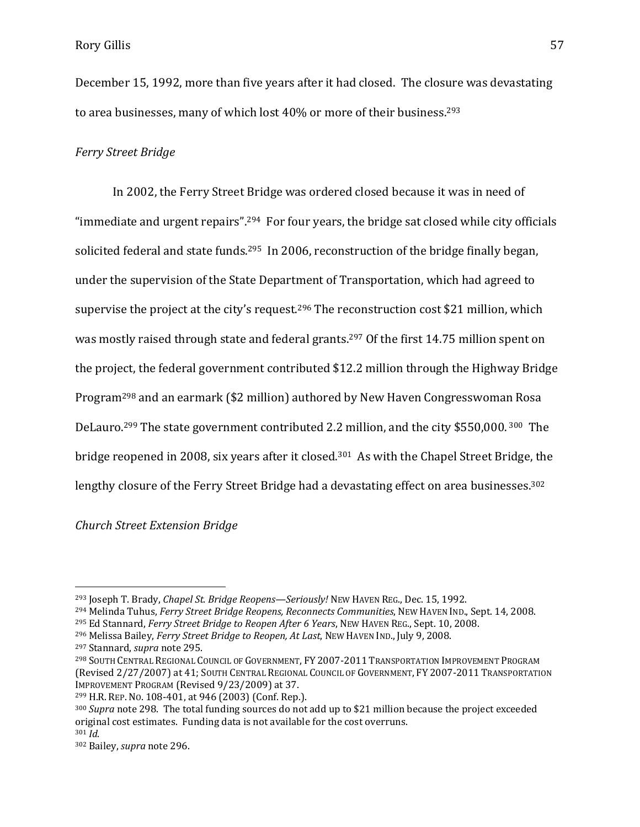December 15, 1992, more than five years after it had closed. The closure was devastating to area businesses, many of which lost 40% or more of their business.<sup>293</sup>

# *Ferry Street Bridge*

In 2002, the Ferry Street Bridge was ordered closed because it was in need of "immediate and urgent repairs".<sup>294</sup> For four years, the bridge sat closed while city officials solicited federal and state funds.<sup>295</sup> In 2006, reconstruction of the bridge finally began, under the supervision of the State Department of Transportation, which had agreed to supervise the project at the city's request.<sup>296</sup> The reconstruction cost \$21 million, which was mostly raised through state and federal grants.<sup>297</sup> Of the first 14.75 million spent on the project, the federal government contributed \$12.2 million through the Highway Bridge Program<sup>298</sup> and an earmark (\$2 million) authored by New Haven Congresswoman Rosa DeLauro.<sup>299</sup> The state government contributed 2.2 million, and the city \$550,000. <sup>300</sup> The bridge reopened in 2008, six years after it closed.301 As with the Chapel Street Bridge, the lengthy closure of the Ferry Street Bridge had a devastating effect on area businesses.<sup>302</sup>

*Church Street Extension Bridge*

<sup>293</sup> Joseph T. Brady, *Chapel St. Bridge Reopens—Seriously!* NEW HAVEN REG., Dec. 15, 1992.

<sup>294</sup> Melinda Tuhus, *Ferry Street Bridge Reopens, Reconnects Communities*, NEW HAVEN IND., Sept. 14, 2008.

<sup>295</sup> Ed Stannard, *Ferry Street Bridge to Reopen After 6 Years*, NEW HAVEN REG., Sept. 10, 2008.

<sup>296</sup> Melissa Bailey, *Ferry Street Bridge to Reopen, At Last*, NEW HAVEN IND., July 9, 2008.

<sup>297</sup> Stannard, *supra* note 295.

<sup>298</sup> SOUTH CENTRAL REGIONAL COUNCIL OF GOVERNMENT, FY 2007-2011 TRANSPORTATION IMPROVEMENT PROGRAM (Revised 2/27/2007) at 41; SOUTH CENTRAL REGIONAL COUNCIL OF GOVERNMENT, FY 2007-2011 TRANSPORTATION IMPROVEMENT PROGRAM (Revised 9/23/2009) at 37.

<sup>299</sup> H.R. REP. NO. 108-401, at 946 (2003) (Conf. Rep.).

<sup>300</sup> *Supra* note 298. The total funding sources do not add up to \$21 million because the project exceeded original cost estimates. Funding data is not available for the cost overruns.

<sup>301</sup> *Id*.

<sup>302</sup> Bailey, *supra* note 296.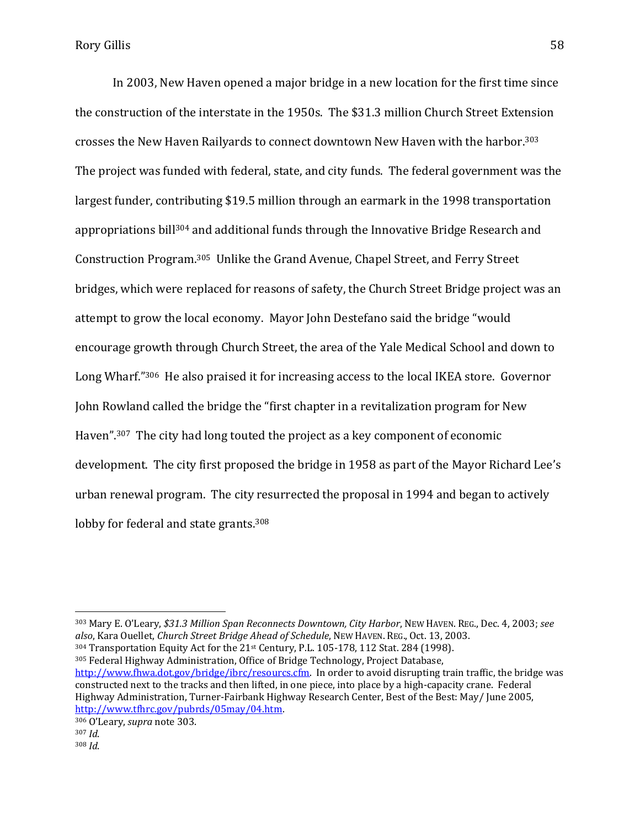In 2003, New Haven opened a major bridge in a new location for the first time since the construction of the interstate in the 1950s. The \$31.3 million Church Street Extension crosses the New Haven Railyards to connect downtown New Haven with the harbor.<sup>303</sup> The project was funded with federal, state, and city funds. The federal government was the largest funder, contributing \$19.5 million through an earmark in the 1998 transportation appropriations bill<sup>304</sup> and additional funds through the Innovative Bridge Research and Construction Program. <sup>305</sup> Unlike the Grand Avenue, Chapel Street, and Ferry Street bridges, which were replaced for reasons of safety, the Church Street Bridge project was an attempt to grow the local economy. Mayor John Destefano said the bridge "would encourage growth through Church Street, the area of the Yale Medical School and down to Long Wharf."<sup>306</sup> He also praised it for increasing access to the local IKEA store. Governor John Rowland called the bridge the "first chapter in a revitalization program for New Haven".<sup>307</sup> The city had long touted the project as a key component of economic development. The city first proposed the bridge in 1958 as part of the Mayor Richard Lee's urban renewal program. The city resurrected the proposal in 1994 and began to actively lobby for federal and state grants.<sup>308</sup>

<sup>303</sup> Mary E. O'Leary, *\$31.3 Million Span Reconnects Downtown, City Harbor*, NEW HAVEN. REG., Dec. 4, 2003; *see also*, Kara Ouellet, *Church Street Bridge Ahead of Schedule*, NEW HAVEN. REG., Oct. 13, 2003.  $304$  Transportation Equity Act for the 21st Century, P.L. 105-178, 112 Stat. 284 (1998). <sup>305</sup> Federal Highway Administration, Office of Bridge Technology, Project Database, [http://www.fhwa.dot.gov/bridge/ibrc/resourcs.cfm.](http://www.fhwa.dot.gov/bridge/ibrc/resourcs.cfm) In order to avoid disrupting train traffic, the bridge was constructed next to the tracks and then lifted, in one piece, into place by a high-capacity crane. Federal Highway Administration, Turner-Fairbank Highway Research Center, Best of the Best: May/ June 2005, [http://www.tfhrc.gov/pubrds/05may/04.htm.](http://www.tfhrc.gov/pubrds/05may/04.htm)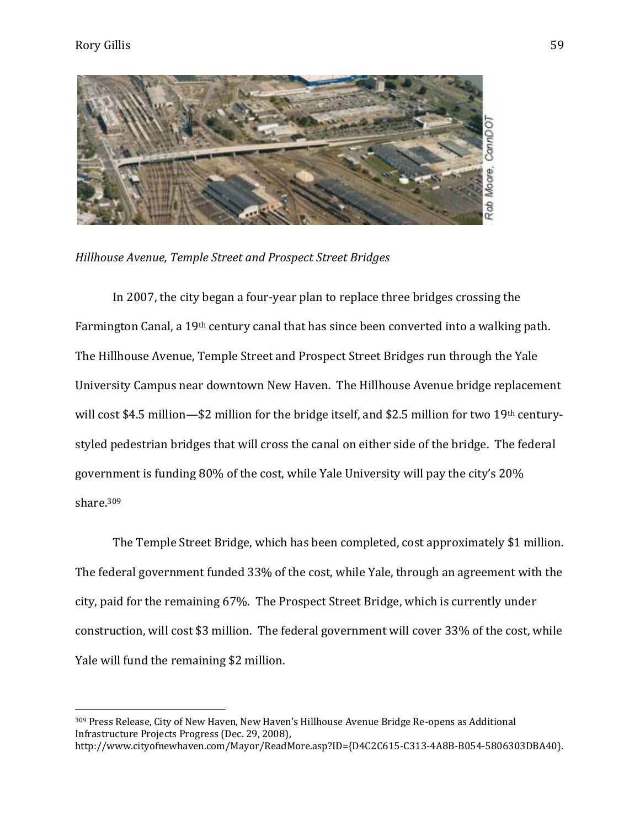$\overline{a}$ 



*Hillhouse Avenue, Temple Street and Prospect Street Bridges*

In 2007, the city began a four-year plan to replace three bridges crossing the Farmington Canal, a 19th century canal that has since been converted into a walking path. The Hillhouse Avenue, Temple Street and Prospect Street Bridges run through the Yale University Campus near downtown New Haven. The Hillhouse Avenue bridge replacement will cost \$4.5 million—\$2 million for the bridge itself, and \$2.5 million for two 19<sup>th</sup> centurystyled pedestrian bridges that will cross the canal on either side of the bridge. The federal government is funding 80% of the cost, while Yale University will pay the city's 20% share.<sup>309</sup>

The Temple Street Bridge, which has been completed, cost approximately \$1 million. The federal government funded 33% of the cost, while Yale, through an agreement with the city, paid for the remaining 67%. The Prospect Street Bridge, which is currently under construction, will cost \$3 million. The federal government will cover 33% of the cost, while Yale will fund the remaining \$2 million.

<sup>309</sup> Press Release, City of New Haven, New Haven's Hillhouse Avenue Bridge Re-opens as Additional Infrastructure Projects Progress (Dec. 29, 2008),

http://www.cityofnewhaven.com/Mayor/ReadMore.asp?ID={D4C2C615-C313-4A8B-B054-5806303DBA40}.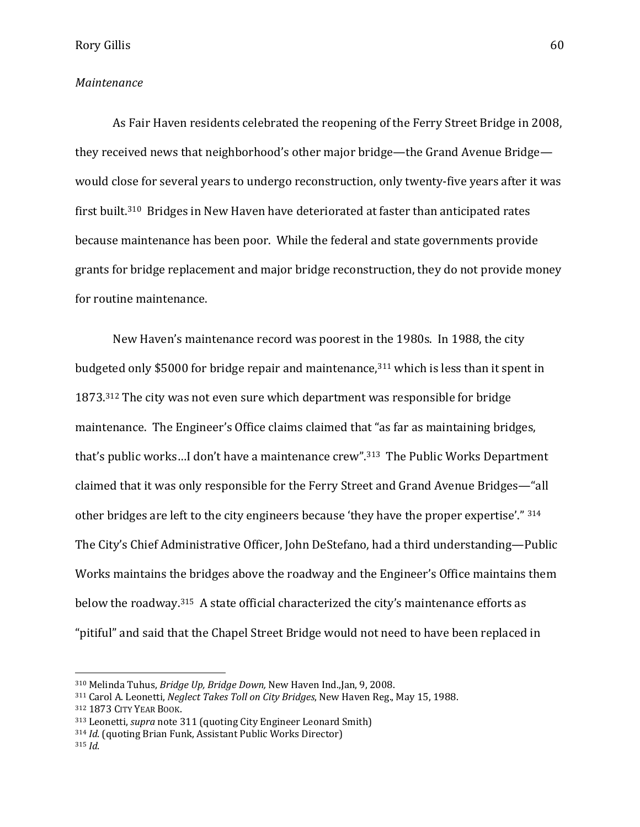### *Maintenance*

As Fair Haven residents celebrated the reopening of the Ferry Street Bridge in 2008, they received news that neighborhood's other major bridge—the Grand Avenue Bridge would close for several years to undergo reconstruction, only twenty-five years after it was first built.<sup>310</sup> Bridges in New Haven have deteriorated at faster than anticipated rates because maintenance has been poor. While the federal and state governments provide grants for bridge replacement and major bridge reconstruction, they do not provide money for routine maintenance.

New Haven's maintenance record was poorest in the 1980s. In 1988, the city budgeted only \$5000 for bridge repair and maintenance,<sup>311</sup> which is less than it spent in 1873.<sup>312</sup> The city was not even sure which department was responsible for bridge maintenance. The Engineer's Office claims claimed that "as far as maintaining bridges, that's public works…I don't have a maintenance crew".313 The Public Works Department claimed that it was only responsible for the Ferry Street and Grand Avenue Bridges—"all other bridges are left to the city engineers because 'they have the proper expertise'." 314 The City's Chief Administrative Officer, John DeStefano, had a third understanding—Public Works maintains the bridges above the roadway and the Engineer's Office maintains them below the roadway.<sup>315</sup> A state official characterized the city's maintenance efforts as "pitiful" and said that the Chapel Street Bridge would not need to have been replaced in

<sup>310</sup> Melinda Tuhus, *Bridge Up, Bridge Down,* New Haven Ind.,Jan, 9, 2008.

<sup>311</sup> Carol A. Leonetti, *Neglect Takes Toll on City Bridges*, New Haven Reg., May 15, 1988.

<sup>312</sup> 1873 CITY YEAR BOOK.

<sup>313</sup> Leonetti, *supra* note 311 (quoting City Engineer Leonard Smith)

<sup>314</sup> *Id*. (quoting Brian Funk, Assistant Public Works Director)

<sup>315</sup> *Id*.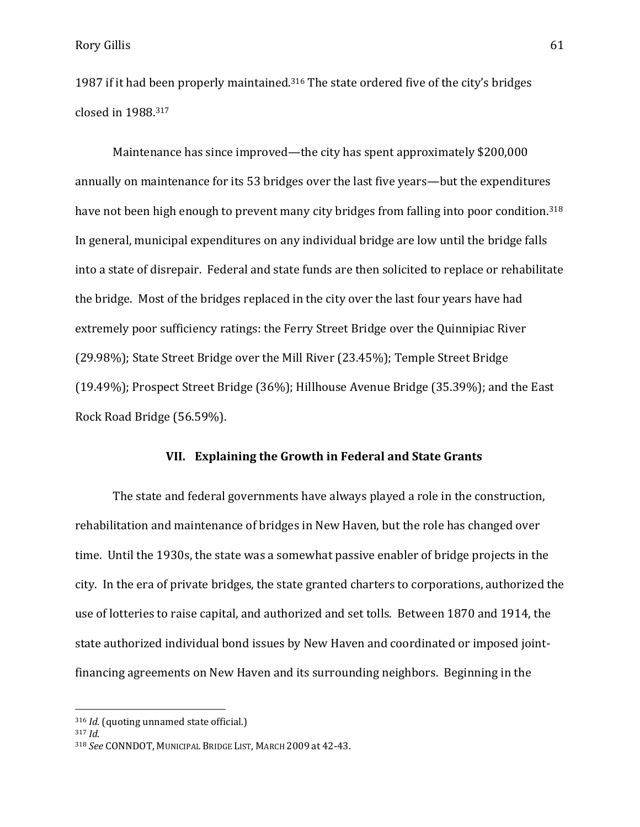1987 if it had been properly maintained.<sup>316</sup> The state ordered five of the city's bridges closed in 1988. <sup>317</sup>

Maintenance has since improved—the city has spent approximately \$200,000 annually on maintenance for its 53 bridges over the last five years—but the expenditures have not been high enough to prevent many city bridges from falling into poor condition.<sup>318</sup> In general, municipal expenditures on any individual bridge are low until the bridge falls into a state of disrepair. Federal and state funds are then solicited to replace or rehabilitate the bridge. Most of the bridges replaced in the city over the last four years have had extremely poor sufficiency ratings: the Ferry Street Bridge over the Quinnipiac River (29.98%); State Street Bridge over the Mill River (23.45%); Temple Street Bridge (19.49%); Prospect Street Bridge (36%); Hillhouse Avenue Bridge (35.39%); and the East Rock Road Bridge (56.59%).

# **VII. Explaining the Growth in Federal and State Grants**

The state and federal governments have always played a role in the construction, rehabilitation and maintenance of bridges in New Haven, but the role has changed over time. Until the 1930s, the state was a somewhat passive enabler of bridge projects in the city. In the era of private bridges, the state granted charters to corporations, authorized the use of lotteries to raise capital, and authorized and set tolls. Between 1870 and 1914, the state authorized individual bond issues by New Haven and coordinated or imposed jointfinancing agreements on New Haven and its surrounding neighbors. Beginning in the

<sup>316</sup> *Id*. (quoting unnamed state official.)

<sup>317</sup> *Id*.

<sup>318</sup> *See* CONNDOT, MUNICIPAL BRIDGE LIST, MARCH 2009 at 42-43.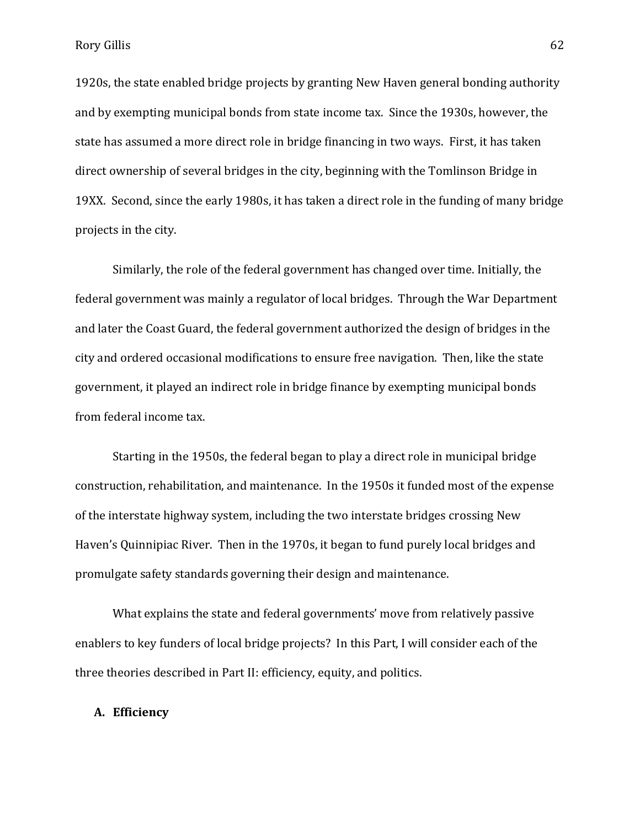1920s, the state enabled bridge projects by granting New Haven general bonding authority and by exempting municipal bonds from state income tax. Since the 1930s, however, the state has assumed a more direct role in bridge financing in two ways. First, it has taken direct ownership of several bridges in the city, beginning with the Tomlinson Bridge in 19XX. Second, since the early 1980s, it has taken a direct role in the funding of many bridge projects in the city.

Similarly, the role of the federal government has changed over time. Initially, the federal government was mainly a regulator of local bridges. Through the War Department and later the Coast Guard, the federal government authorized the design of bridges in the city and ordered occasional modifications to ensure free navigation. Then, like the state government, it played an indirect role in bridge finance by exempting municipal bonds from federal income tax.

Starting in the 1950s, the federal began to play a direct role in municipal bridge construction, rehabilitation, and maintenance. In the 1950s it funded most of the expense of the interstate highway system, including the two interstate bridges crossing New Haven's Quinnipiac River. Then in the 1970s, it began to fund purely local bridges and promulgate safety standards governing their design and maintenance.

What explains the state and federal governments' move from relatively passive enablers to key funders of local bridge projects? In this Part, I will consider each of the three theories described in Part II: efficiency, equity, and politics.

# **A. Efficiency**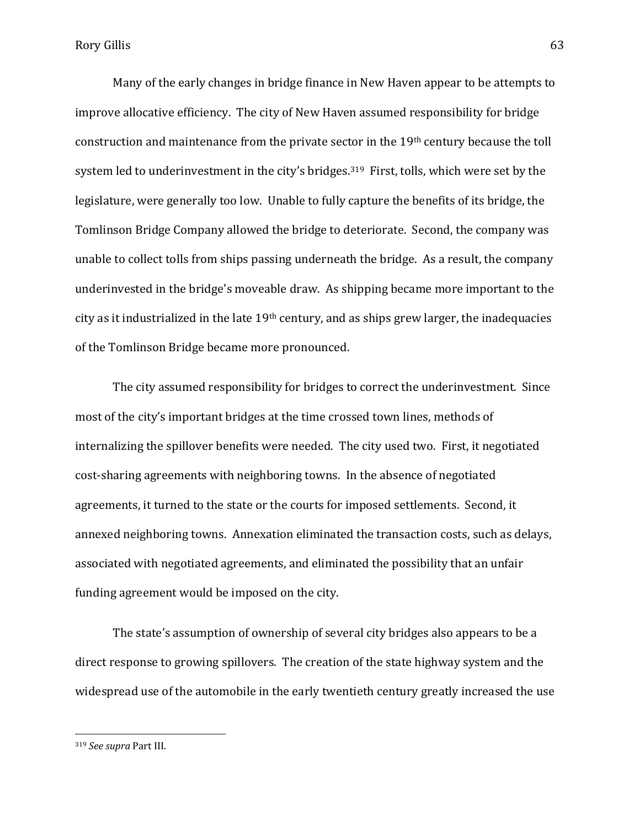Many of the early changes in bridge finance in New Haven appear to be attempts to improve allocative efficiency. The city of New Haven assumed responsibility for bridge construction and maintenance from the private sector in the 19th century because the toll system led to underinvestment in the city's bridges.<sup>319</sup> First, tolls, which were set by the legislature, were generally too low. Unable to fully capture the benefits of its bridge, the Tomlinson Bridge Company allowed the bridge to deteriorate. Second, the company was unable to collect tolls from ships passing underneath the bridge. As a result, the company underinvested in the bridge's moveable draw. As shipping became more important to the city as it industrialized in the late  $19<sup>th</sup>$  century, and as ships grew larger, the inadequacies of the Tomlinson Bridge became more pronounced.

The city assumed responsibility for bridges to correct the underinvestment. Since most of the city's important bridges at the time crossed town lines, methods of internalizing the spillover benefits were needed. The city used two. First, it negotiated cost-sharing agreements with neighboring towns. In the absence of negotiated agreements, it turned to the state or the courts for imposed settlements. Second, it annexed neighboring towns. Annexation eliminated the transaction costs, such as delays, associated with negotiated agreements, and eliminated the possibility that an unfair funding agreement would be imposed on the city.

The state's assumption of ownership of several city bridges also appears to be a direct response to growing spillovers. The creation of the state highway system and the widespread use of the automobile in the early twentieth century greatly increased the use

<sup>319</sup> *See supra* Part III.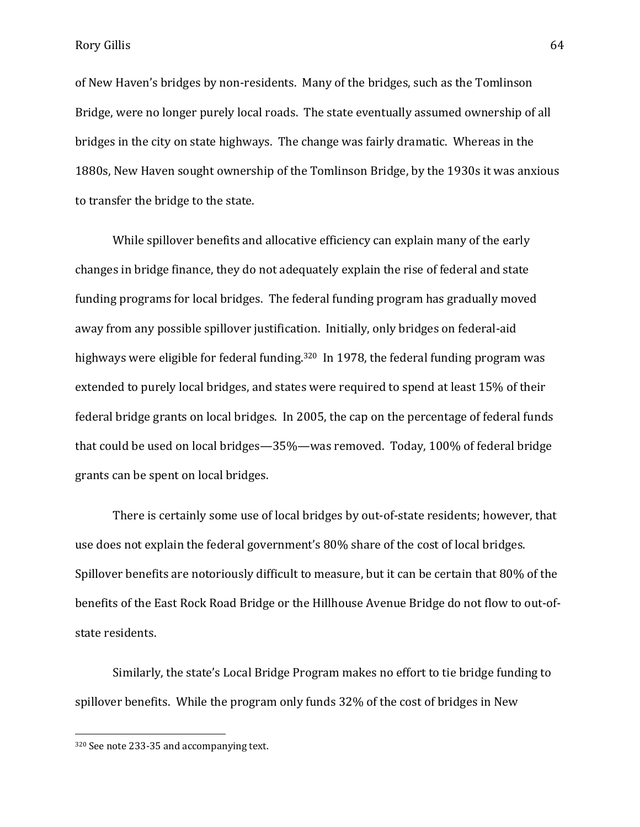Rory Gillis 64

of New Haven's bridges by non-residents. Many of the bridges, such as the Tomlinson Bridge, were no longer purely local roads. The state eventually assumed ownership of all bridges in the city on state highways. The change was fairly dramatic. Whereas in the 1880s, New Haven sought ownership of the Tomlinson Bridge, by the 1930s it was anxious to transfer the bridge to the state.

While spillover benefits and allocative efficiency can explain many of the early changes in bridge finance, they do not adequately explain the rise of federal and state funding programs for local bridges. The federal funding program has gradually moved away from any possible spillover justification. Initially, only bridges on federal-aid highways were eligible for federal funding.<sup>320</sup> In 1978, the federal funding program was extended to purely local bridges, and states were required to spend at least 15% of their federal bridge grants on local bridges. In 2005, the cap on the percentage of federal funds that could be used on local bridges—35%—was removed. Today, 100% of federal bridge grants can be spent on local bridges.

There is certainly some use of local bridges by out-of-state residents; however, that use does not explain the federal government's 80% share of the cost of local bridges. Spillover benefits are notoriously difficult to measure, but it can be certain that 80% of the benefits of the East Rock Road Bridge or the Hillhouse Avenue Bridge do not flow to out-ofstate residents.

Similarly, the state's Local Bridge Program makes no effort to tie bridge funding to spillover benefits. While the program only funds 32% of the cost of bridges in New

<sup>320</sup> See note 233-35 and accompanying text.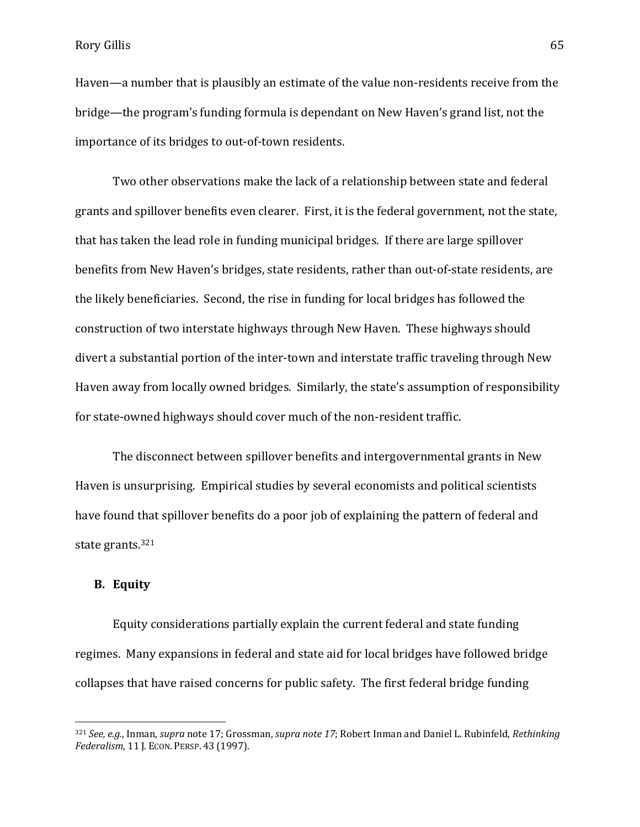Haven—a number that is plausibly an estimate of the value non-residents receive from the bridge—the program's funding formula is dependant on New Haven's grand list, not the importance of its bridges to out-of-town residents.

Two other observations make the lack of a relationship between state and federal grants and spillover benefits even clearer. First, it is the federal government, not the state, that has taken the lead role in funding municipal bridges. If there are large spillover benefits from New Haven's bridges, state residents, rather than out-of-state residents, are the likely beneficiaries. Second, the rise in funding for local bridges has followed the construction of two interstate highways through New Haven. These highways should divert a substantial portion of the inter-town and interstate traffic traveling through New Haven away from locally owned bridges. Similarly, the state's assumption of responsibility for state-owned highways should cover much of the non-resident traffic.

The disconnect between spillover benefits and intergovernmental grants in New Haven is unsurprising. Empirical studies by several economists and political scientists have found that spillover benefits do a poor job of explaining the pattern of federal and state grants.<sup>321</sup>

## **B. Equity**

 $\overline{a}$ 

Equity considerations partially explain the current federal and state funding regimes. Many expansions in federal and state aid for local bridges have followed bridge collapses that have raised concerns for public safety. The first federal bridge funding

<sup>321</sup> *See, e.g.*, Inman, *supra* note 17; Grossman, *supra note 17*; Robert Inman and Daniel L. Rubinfeld, *Rethinking Federalism*, 11 J. ECON. PERSP. 43 (1997).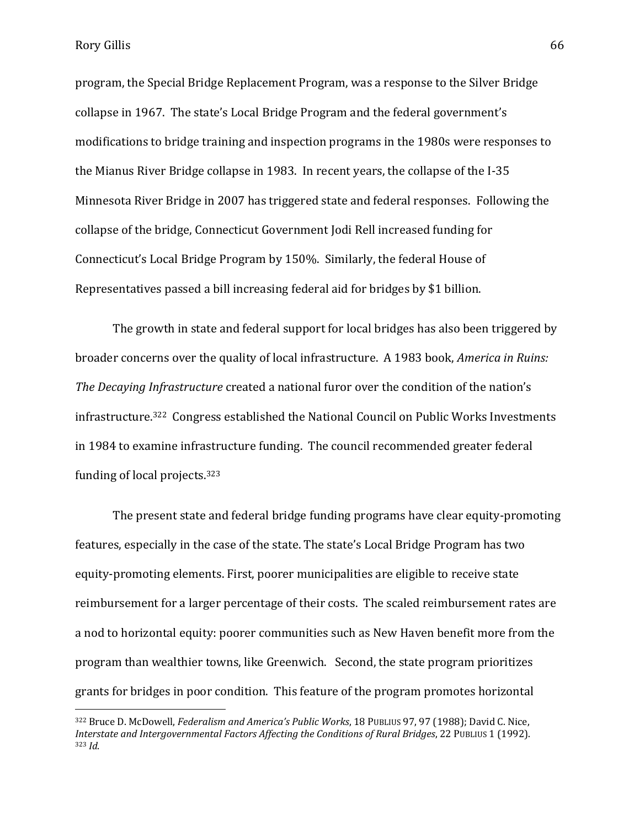Rory Gillis 66

 $\overline{a}$ 

program, the Special Bridge Replacement Program, was a response to the Silver Bridge collapse in 1967. The state's Local Bridge Program and the federal government's modifications to bridge training and inspection programs in the 1980s were responses to the Mianus River Bridge collapse in 1983. In recent years, the collapse of the I-35 Minnesota River Bridge in 2007 has triggered state and federal responses. Following the collapse of the bridge, Connecticut Government Jodi Rell increased funding for Connecticut's Local Bridge Program by 150%. Similarly, the federal House of Representatives passed a bill increasing federal aid for bridges by \$1 billion.

The growth in state and federal support for local bridges has also been triggered by broader concerns over the quality of local infrastructure. A 1983 book, *America in Ruins: The Decaying Infrastructure* created a national furor over the condition of the nation's infrastructure.322 Congress established the National Council on Public Works Investments in 1984 to examine infrastructure funding. The council recommended greater federal funding of local projects.<sup>323</sup>

The present state and federal bridge funding programs have clear equity-promoting features, especially in the case of the state. The state's Local Bridge Program has two equity-promoting elements. First, poorer municipalities are eligible to receive state reimbursement for a larger percentage of their costs. The scaled reimbursement rates are a nod to horizontal equity: poorer communities such as New Haven benefit more from the program than wealthier towns, like Greenwich. Second, the state program prioritizes grants for bridges in poor condition. This feature of the program promotes horizontal

<sup>322</sup> Bruce D. McDowell, *Federalism and America's Public Works*, 18 PUBLIUS 97, 97 (1988); David C. Nice, *Interstate and Intergovernmental Factors Affecting the Conditions of Rural Bridges*, 22 PUBLIUS 1 (1992). <sup>323</sup> *Id*.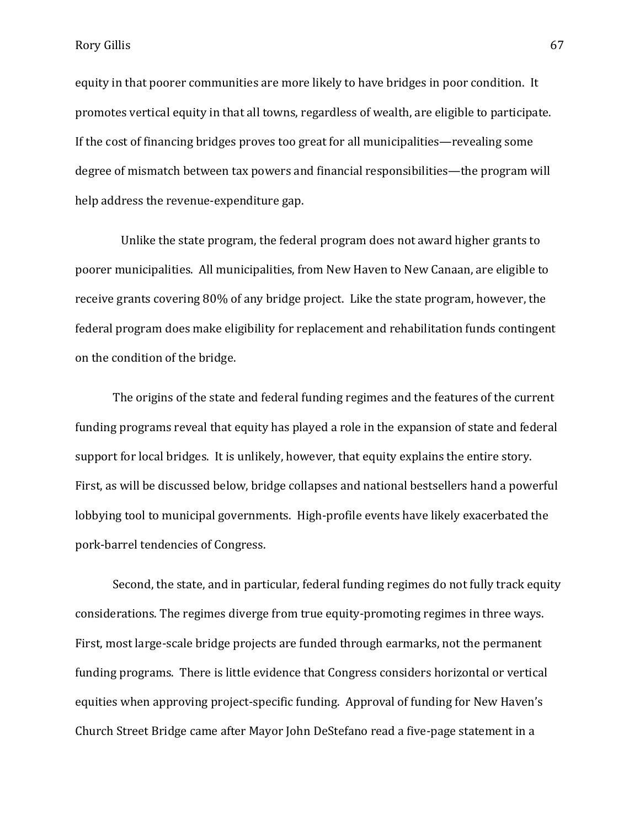Rory Gillis 67

equity in that poorer communities are more likely to have bridges in poor condition. It promotes vertical equity in that all towns, regardless of wealth, are eligible to participate. If the cost of financing bridges proves too great for all municipalities—revealing some degree of mismatch between tax powers and financial responsibilities—the program will help address the revenue-expenditure gap.

 Unlike the state program, the federal program does not award higher grants to poorer municipalities. All municipalities, from New Haven to New Canaan, are eligible to receive grants covering 80% of any bridge project. Like the state program, however, the federal program does make eligibility for replacement and rehabilitation funds contingent on the condition of the bridge.

The origins of the state and federal funding regimes and the features of the current funding programs reveal that equity has played a role in the expansion of state and federal support for local bridges. It is unlikely, however, that equity explains the entire story. First, as will be discussed below, bridge collapses and national bestsellers hand a powerful lobbying tool to municipal governments. High-profile events have likely exacerbated the pork-barrel tendencies of Congress.

Second, the state, and in particular, federal funding regimes do not fully track equity considerations. The regimes diverge from true equity-promoting regimes in three ways. First, most large-scale bridge projects are funded through earmarks, not the permanent funding programs. There is little evidence that Congress considers horizontal or vertical equities when approving project-specific funding. Approval of funding for New Haven's Church Street Bridge came after Mayor John DeStefano read a five-page statement in a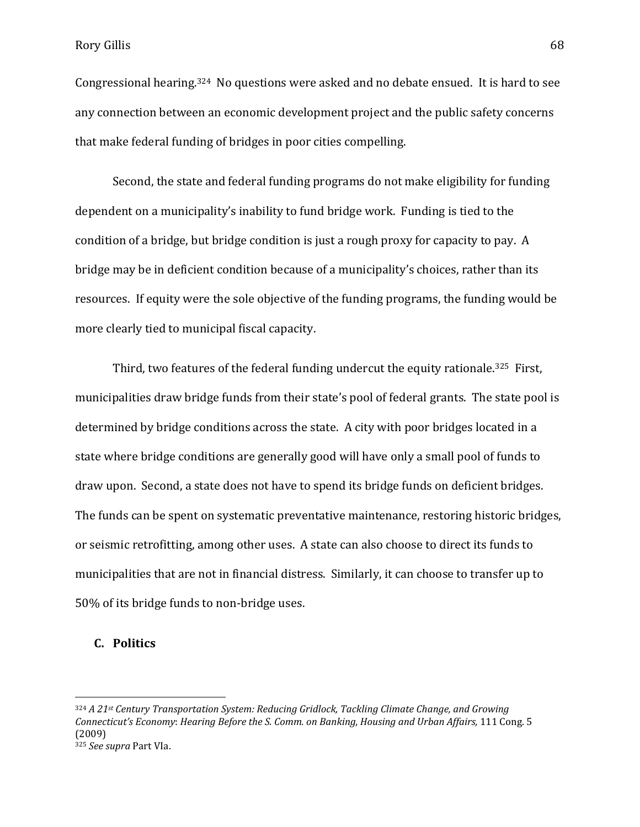Congressional hearing.324 No questions were asked and no debate ensued. It is hard to see any connection between an economic development project and the public safety concerns that make federal funding of bridges in poor cities compelling.

Second, the state and federal funding programs do not make eligibility for funding dependent on a municipality's inability to fund bridge work. Funding is tied to the condition of a bridge, but bridge condition is just a rough proxy for capacity to pay. A bridge may be in deficient condition because of a municipality's choices, rather than its resources. If equity were the sole objective of the funding programs, the funding would be more clearly tied to municipal fiscal capacity.

Third, two features of the federal funding undercut the equity rationale.<sup>325</sup> First, municipalities draw bridge funds from their state's pool of federal grants. The state pool is determined by bridge conditions across the state. A city with poor bridges located in a state where bridge conditions are generally good will have only a small pool of funds to draw upon. Second, a state does not have to spend its bridge funds on deficient bridges. The funds can be spent on systematic preventative maintenance, restoring historic bridges, or seismic retrofitting, among other uses. A state can also choose to direct its funds to municipalities that are not in financial distress. Similarly, it can choose to transfer up to 50% of its bridge funds to non-bridge uses.

# **C. Politics**

<sup>324</sup> *A 21st Century Transportation System: Reducing Gridlock, Tackling Climate Change, and Growing Connecticut's Economy*: *Hearing Before the S. Comm. on Banking, Housing and Urban Affairs,* 111 Cong. 5 (2009) <sup>325</sup> *See supra* Part VIa.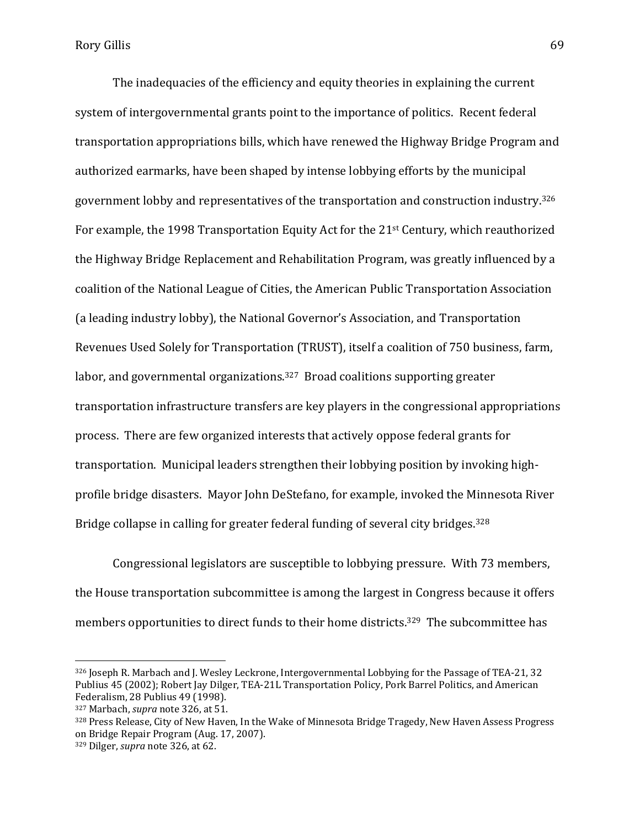The inadequacies of the efficiency and equity theories in explaining the current system of intergovernmental grants point to the importance of politics. Recent federal transportation appropriations bills, which have renewed the Highway Bridge Program and authorized earmarks, have been shaped by intense lobbying efforts by the municipal government lobby and representatives of the transportation and construction industry.<sup>326</sup> For example, the 1998 Transportation Equity Act for the 21st Century, which reauthorized the Highway Bridge Replacement and Rehabilitation Program, was greatly influenced by a coalition of the National League of Cities, the American Public Transportation Association (a leading industry lobby), the National Governor's Association, and Transportation Revenues Used Solely for Transportation (TRUST), itself a coalition of 750 business, farm, labor, and governmental organizations.<sup>327</sup> Broad coalitions supporting greater transportation infrastructure transfers are key players in the congressional appropriations process. There are few organized interests that actively oppose federal grants for transportation. Municipal leaders strengthen their lobbying position by invoking highprofile bridge disasters. Mayor John DeStefano, for example, invoked the Minnesota River Bridge collapse in calling for greater federal funding of several city bridges.<sup>328</sup>

Congressional legislators are susceptible to lobbying pressure. With 73 members, the House transportation subcommittee is among the largest in Congress because it offers members opportunities to direct funds to their home districts. <sup>329</sup> The subcommittee has

<sup>326</sup> Joseph R. Marbach and J. Wesley Leckrone, Intergovernmental Lobbying for the Passage of TEA-21, 32 Publius 45 (2002); Robert Jay Dilger, TEA-21L Transportation Policy, Pork Barrel Politics, and American Federalism, 28 Publius 49 (1998).

<sup>327</sup> Marbach, *supra* note 326, at 51.

<sup>328</sup> Press Release, City of New Haven, In the Wake of Minnesota Bridge Tragedy, New Haven Assess Progress on Bridge Repair Program (Aug. 17, 2007).

<sup>329</sup> Dilger, *supra* note 326, at 62.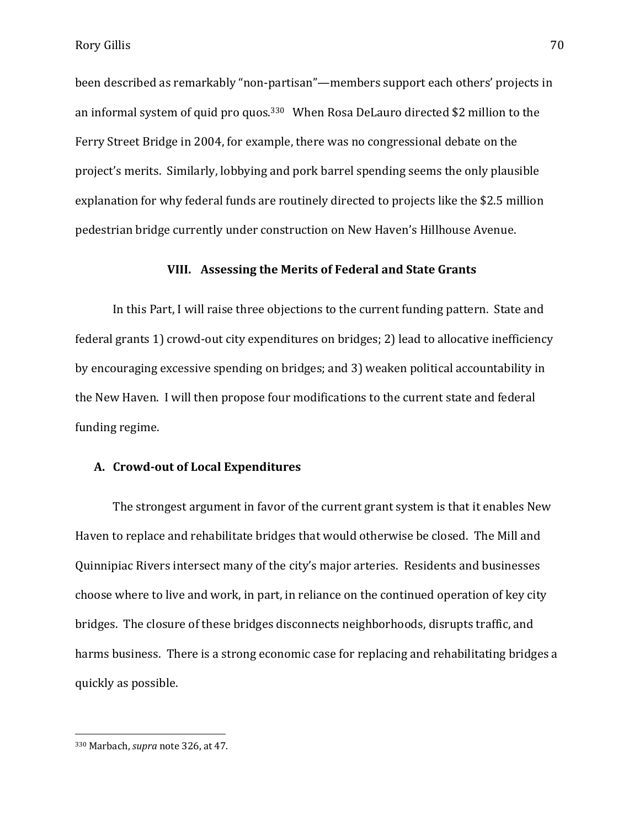been described as remarkably "non-partisan"—members support each others' projects in an informal system of quid pro quos.<sup>330</sup> When Rosa DeLauro directed \$2 million to the Ferry Street Bridge in 2004, for example, there was no congressional debate on the project's merits. Similarly, lobbying and pork barrel spending seems the only plausible explanation for why federal funds are routinely directed to projects like the \$2.5 million pedestrian bridge currently under construction on New Haven's Hillhouse Avenue.

## **VIII. Assessing the Merits of Federal and State Grants**

In this Part, I will raise three objections to the current funding pattern. State and federal grants 1) crowd-out city expenditures on bridges; 2) lead to allocative inefficiency by encouraging excessive spending on bridges; and 3) weaken political accountability in the New Haven. I will then propose four modifications to the current state and federal funding regime.

#### **A. Crowd-out of Local Expenditures**

The strongest argument in favor of the current grant system is that it enables New Haven to replace and rehabilitate bridges that would otherwise be closed. The Mill and Quinnipiac Rivers intersect many of the city's major arteries. Residents and businesses choose where to live and work, in part, in reliance on the continued operation of key city bridges. The closure of these bridges disconnects neighborhoods, disrupts traffic, and harms business. There is a strong economic case for replacing and rehabilitating bridges a quickly as possible.

<sup>330</sup> Marbach, *supra* note 326, at 47.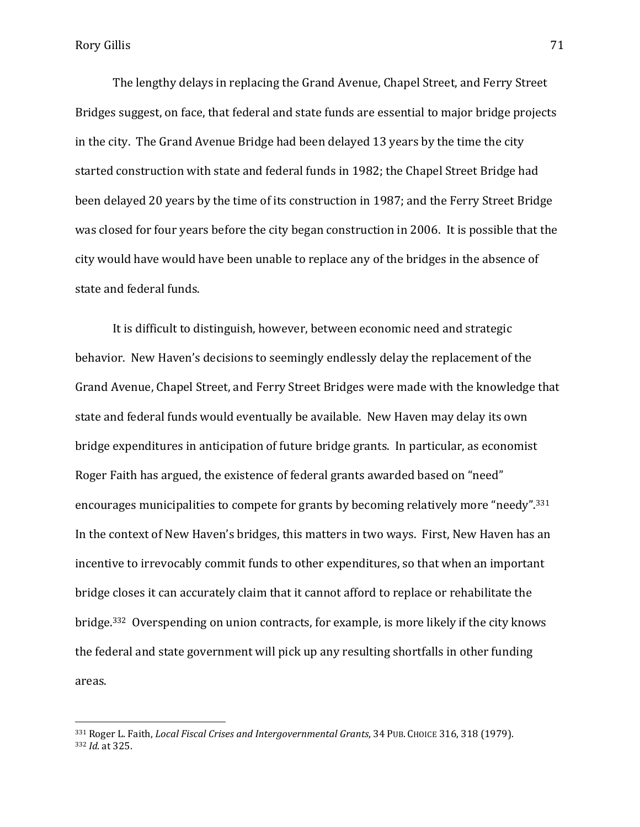$\overline{a}$ 

The lengthy delays in replacing the Grand Avenue, Chapel Street, and Ferry Street Bridges suggest, on face, that federal and state funds are essential to major bridge projects in the city. The Grand Avenue Bridge had been delayed 13 years by the time the city started construction with state and federal funds in 1982; the Chapel Street Bridge had been delayed 20 years by the time of its construction in 1987; and the Ferry Street Bridge was closed for four years before the city began construction in 2006. It is possible that the city would have would have been unable to replace any of the bridges in the absence of state and federal funds.

It is difficult to distinguish, however, between economic need and strategic behavior. New Haven's decisions to seemingly endlessly delay the replacement of the Grand Avenue, Chapel Street, and Ferry Street Bridges were made with the knowledge that state and federal funds would eventually be available. New Haven may delay its own bridge expenditures in anticipation of future bridge grants. In particular, as economist Roger Faith has argued, the existence of federal grants awarded based on "need" encourages municipalities to compete for grants by becoming relatively more "needy". <sup>331</sup> In the context of New Haven's bridges, this matters in two ways. First, New Haven has an incentive to irrevocably commit funds to other expenditures, so that when an important bridge closes it can accurately claim that it cannot afford to replace or rehabilitate the bridge.332 Overspending on union contracts, for example, is more likely if the city knows the federal and state government will pick up any resulting shortfalls in other funding areas.

<sup>331</sup> Roger L. Faith, *Local Fiscal Crises and Intergovernmental Grants*, 34 PUB. CHOICE 316, 318 (1979). <sup>332</sup> *Id*. at 325.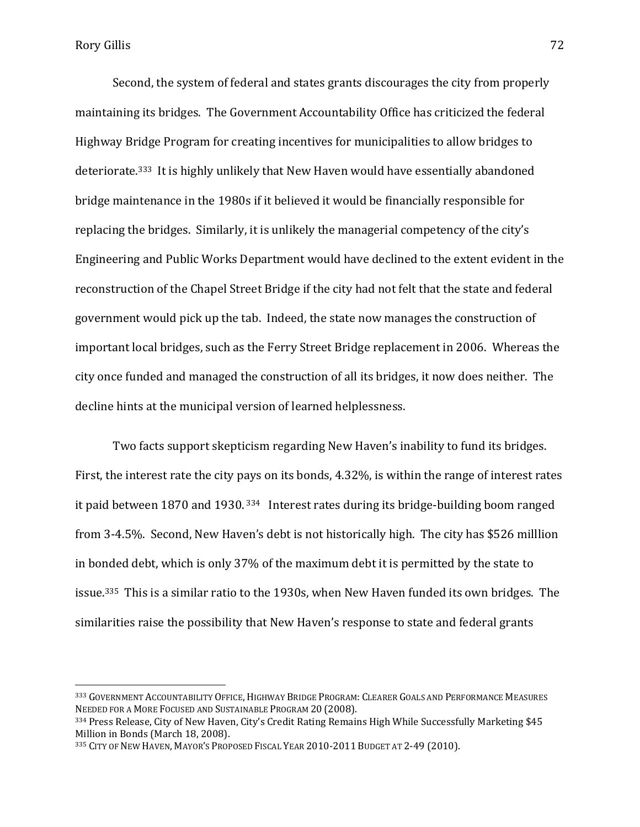l

Second, the system of federal and states grants discourages the city from properly maintaining its bridges. The Government Accountability Office has criticized the federal Highway Bridge Program for creating incentives for municipalities to allow bridges to deteriorate.333 It is highly unlikely that New Haven would have essentially abandoned bridge maintenance in the 1980s if it believed it would be financially responsible for replacing the bridges. Similarly, it is unlikely the managerial competency of the city's Engineering and Public Works Department would have declined to the extent evident in the reconstruction of the Chapel Street Bridge if the city had not felt that the state and federal government would pick up the tab. Indeed, the state now manages the construction of important local bridges, such as the Ferry Street Bridge replacement in 2006. Whereas the city once funded and managed the construction of all its bridges, it now does neither. The decline hints at the municipal version of learned helplessness.

Two facts support skepticism regarding New Haven's inability to fund its bridges. First, the interest rate the city pays on its bonds, 4.32%, is within the range of interest rates it paid between 1870 and 1930. <sup>334</sup> Interest rates during its bridge-building boom ranged from 3-4.5%. Second, New Haven's debt is not historically high. The city has \$526 milllion in bonded debt, which is only 37% of the maximum debt it is permitted by the state to issue.335 This is a similar ratio to the 1930s, when New Haven funded its own bridges. The similarities raise the possibility that New Haven's response to state and federal grants

<sup>333</sup> GOVERNMENT ACCOUNTABILITY OFFICE, HIGHWAY BRIDGE PROGRAM: CLEARER GOALS AND PERFORMANCE MEASURES NEEDED FOR A MORE FOCUSED AND SUSTAINABLE PROGRAM 20 (2008).

<sup>334</sup> Press Release, City of New Haven, City's Credit Rating Remains High While Successfully Marketing \$45 Million in Bonds (March 18, 2008).

<sup>335</sup> CITY OF NEW HAVEN, MAYOR'S PROPOSED FISCAL YEAR 2010-2011 BUDGET AT 2-49 (2010).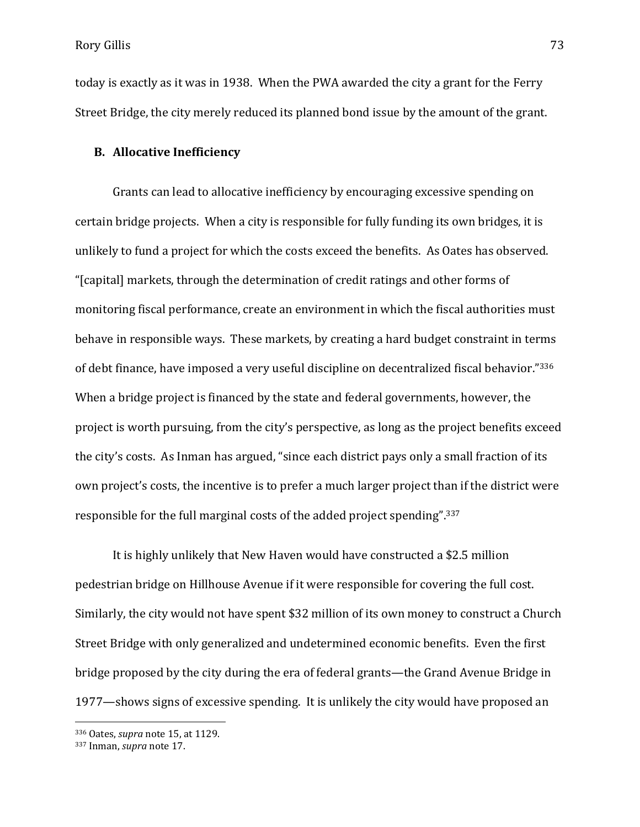Rory Gillis 73

today is exactly as it was in 1938. When the PWA awarded the city a grant for the Ferry Street Bridge, the city merely reduced its planned bond issue by the amount of the grant.

## **B. Allocative Inefficiency**

Grants can lead to allocative inefficiency by encouraging excessive spending on certain bridge projects. When a city is responsible for fully funding its own bridges, it is unlikely to fund a project for which the costs exceed the benefits. As Oates has observed. "[capital] markets, through the determination of credit ratings and other forms of monitoring fiscal performance, create an environment in which the fiscal authorities must behave in responsible ways. These markets, by creating a hard budget constraint in terms of debt finance, have imposed a very useful discipline on decentralized fiscal behavior." <sup>336</sup> When a bridge project is financed by the state and federal governments, however, the project is worth pursuing, from the city's perspective, as long as the project benefits exceed the city's costs. As Inman has argued, "since each district pays only a small fraction of its own project's costs, the incentive is to prefer a much larger project than if the district were responsible for the full marginal costs of the added project spending".<sup>337</sup>

It is highly unlikely that New Haven would have constructed a \$2.5 million pedestrian bridge on Hillhouse Avenue if it were responsible for covering the full cost. Similarly, the city would not have spent \$32 million of its own money to construct a Church Street Bridge with only generalized and undetermined economic benefits. Even the first bridge proposed by the city during the era of federal grants—the Grand Avenue Bridge in 1977—shows signs of excessive spending. It is unlikely the city would have proposed an

 $\overline{a}$ 

<sup>336</sup> Oates, *supra* note 15, at 1129.

<sup>337</sup> Inman, *supra* note 17.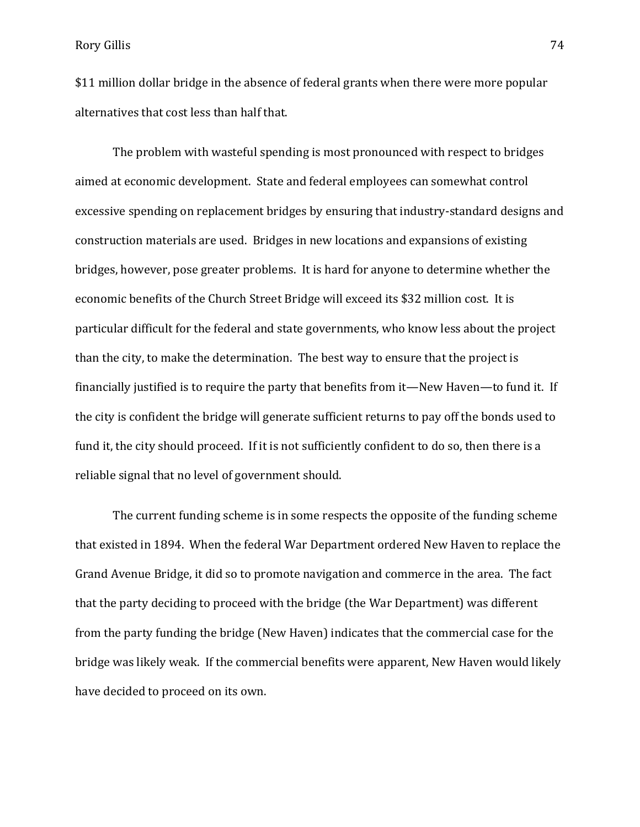\$11 million dollar bridge in the absence of federal grants when there were more popular alternatives that cost less than half that.

The problem with wasteful spending is most pronounced with respect to bridges aimed at economic development. State and federal employees can somewhat control excessive spending on replacement bridges by ensuring that industry-standard designs and construction materials are used. Bridges in new locations and expansions of existing bridges, however, pose greater problems. It is hard for anyone to determine whether the economic benefits of the Church Street Bridge will exceed its \$32 million cost. It is particular difficult for the federal and state governments, who know less about the project than the city, to make the determination. The best way to ensure that the project is financially justified is to require the party that benefits from it—New Haven—to fund it. If the city is confident the bridge will generate sufficient returns to pay off the bonds used to fund it, the city should proceed. If it is not sufficiently confident to do so, then there is a reliable signal that no level of government should.

The current funding scheme is in some respects the opposite of the funding scheme that existed in 1894. When the federal War Department ordered New Haven to replace the Grand Avenue Bridge, it did so to promote navigation and commerce in the area. The fact that the party deciding to proceed with the bridge (the War Department) was different from the party funding the bridge (New Haven) indicates that the commercial case for the bridge was likely weak. If the commercial benefits were apparent, New Haven would likely have decided to proceed on its own.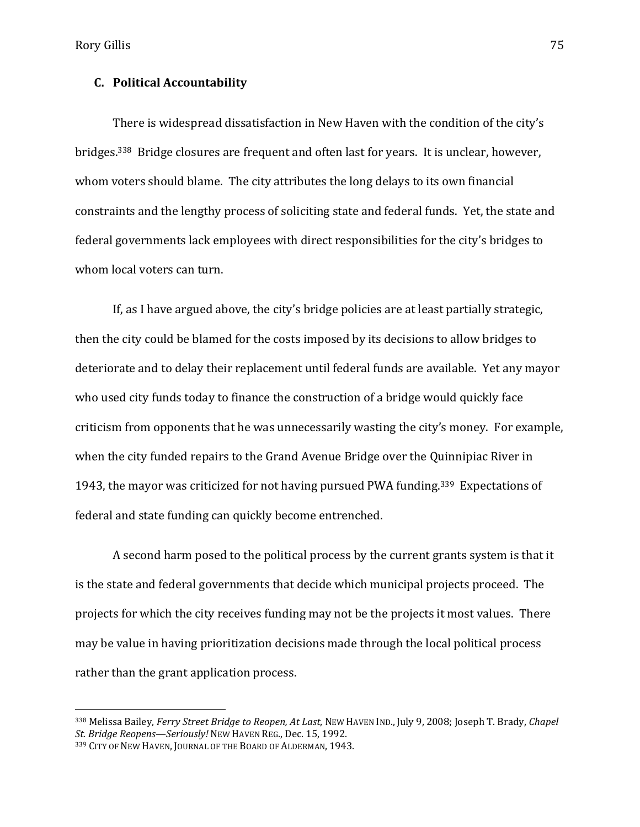Rory Gillis 75

## **C. Political Accountability**

There is widespread dissatisfaction in New Haven with the condition of the city's bridges.338 Bridge closures are frequent and often last for years. It is unclear, however, whom voters should blame. The city attributes the long delays to its own financial constraints and the lengthy process of soliciting state and federal funds. Yet, the state and federal governments lack employees with direct responsibilities for the city's bridges to whom local voters can turn.

 If, as I have argued above, the city's bridge policies are at least partially strategic, then the city could be blamed for the costs imposed by its decisions to allow bridges to deteriorate and to delay their replacement until federal funds are available. Yet any mayor who used city funds today to finance the construction of a bridge would quickly face criticism from opponents that he was unnecessarily wasting the city's money. For example, when the city funded repairs to the Grand Avenue Bridge over the Quinnipiac River in 1943, the mayor was criticized for not having pursued PWA funding.339 Expectations of federal and state funding can quickly become entrenched.

A second harm posed to the political process by the current grants system is that it is the state and federal governments that decide which municipal projects proceed. The projects for which the city receives funding may not be the projects it most values. There may be value in having prioritization decisions made through the local political process rather than the grant application process.

 $\overline{a}$ 

<sup>338</sup> Melissa Bailey, *Ferry Street Bridge to Reopen, At Last*, NEW HAVEN IND., July 9, 2008; Joseph T. Brady, *Chapel St. Bridge Reopens—Seriously!* NEW HAVEN REG., Dec. 15, 1992.

<sup>339</sup> CITY OF NEW HAVEN, JOURNAL OF THE BOARD OF ALDERMAN, 1943.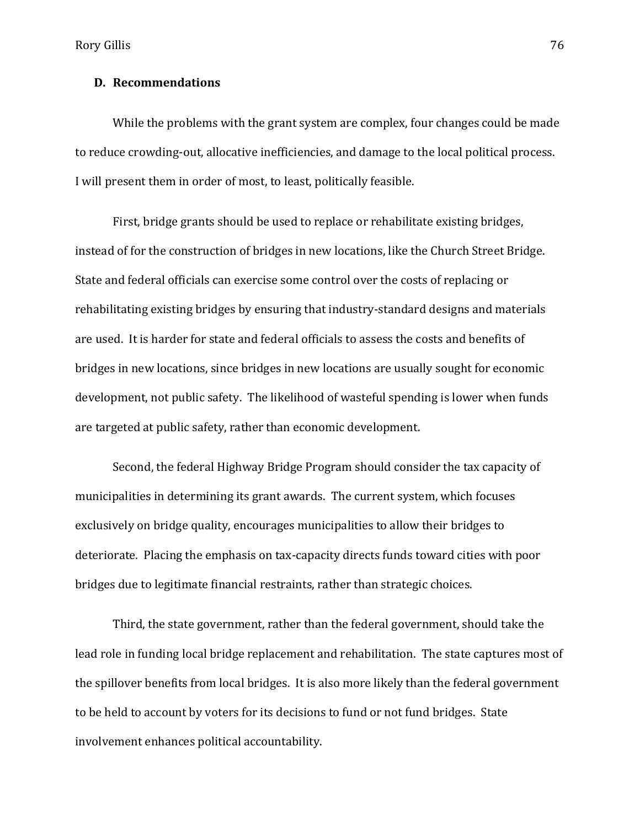Rory Gillis 76

## **D. Recommendations**

While the problems with the grant system are complex, four changes could be made to reduce crowding-out, allocative inefficiencies, and damage to the local political process. I will present them in order of most, to least, politically feasible.

First, bridge grants should be used to replace or rehabilitate existing bridges, instead of for the construction of bridges in new locations, like the Church Street Bridge. State and federal officials can exercise some control over the costs of replacing or rehabilitating existing bridges by ensuring that industry-standard designs and materials are used. It is harder for state and federal officials to assess the costs and benefits of bridges in new locations, since bridges in new locations are usually sought for economic development, not public safety. The likelihood of wasteful spending is lower when funds are targeted at public safety, rather than economic development.

Second, the federal Highway Bridge Program should consider the tax capacity of municipalities in determining its grant awards. The current system, which focuses exclusively on bridge quality, encourages municipalities to allow their bridges to deteriorate. Placing the emphasis on tax-capacity directs funds toward cities with poor bridges due to legitimate financial restraints, rather than strategic choices.

Third, the state government, rather than the federal government, should take the lead role in funding local bridge replacement and rehabilitation. The state captures most of the spillover benefits from local bridges. It is also more likely than the federal government to be held to account by voters for its decisions to fund or not fund bridges. State involvement enhances political accountability.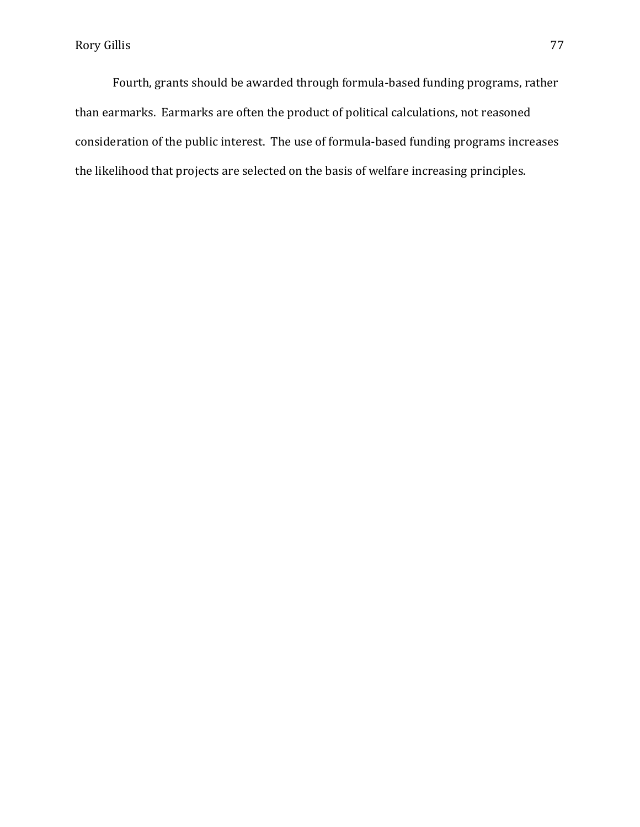Fourth, grants should be awarded through formula-based funding programs, rather than earmarks. Earmarks are often the product of political calculations, not reasoned consideration of the public interest. The use of formula-based funding programs increases the likelihood that projects are selected on the basis of welfare increasing principles.